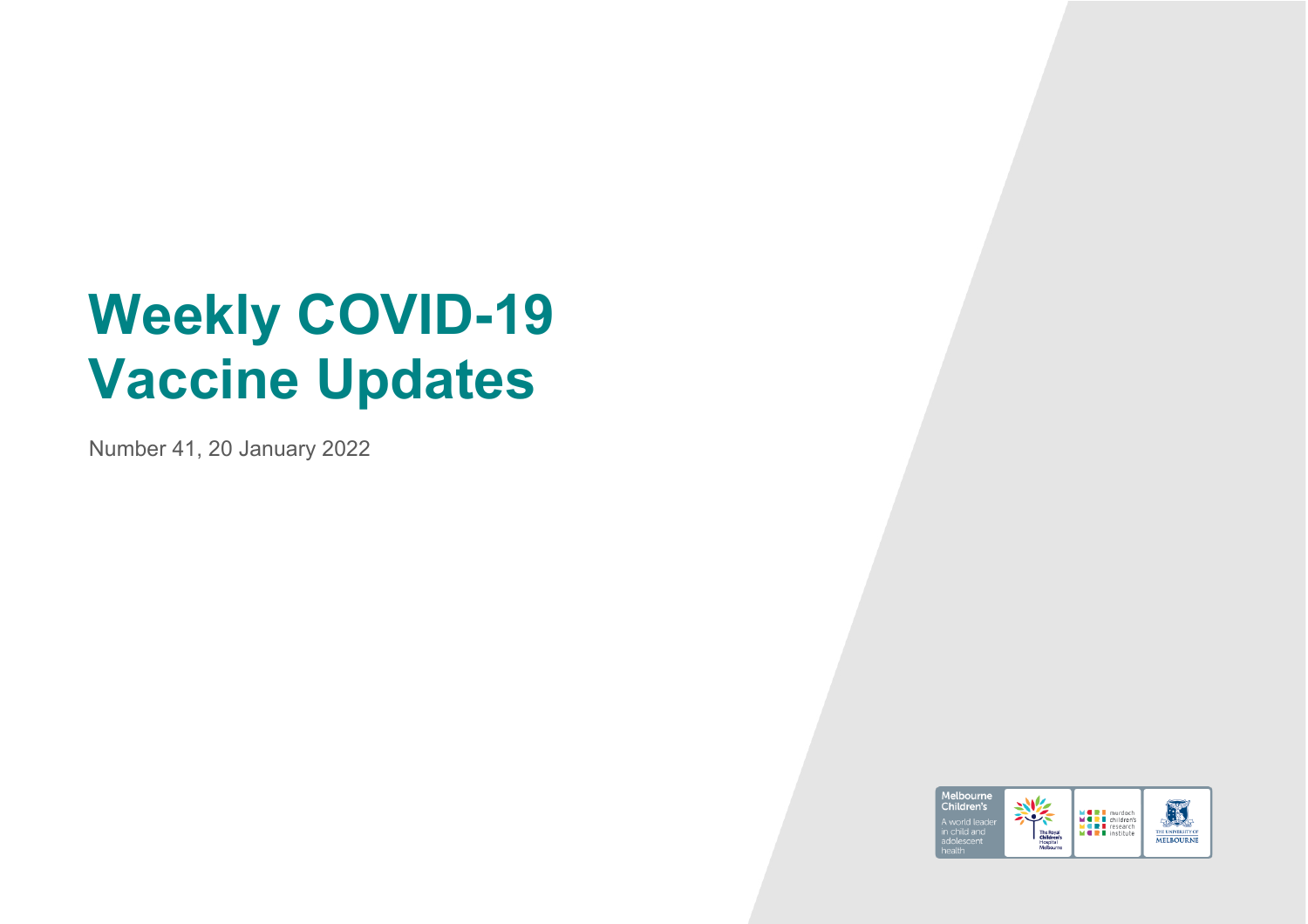# **Weekly COVID-19 Vaccine Updates**

Number 41, 20 January 2022

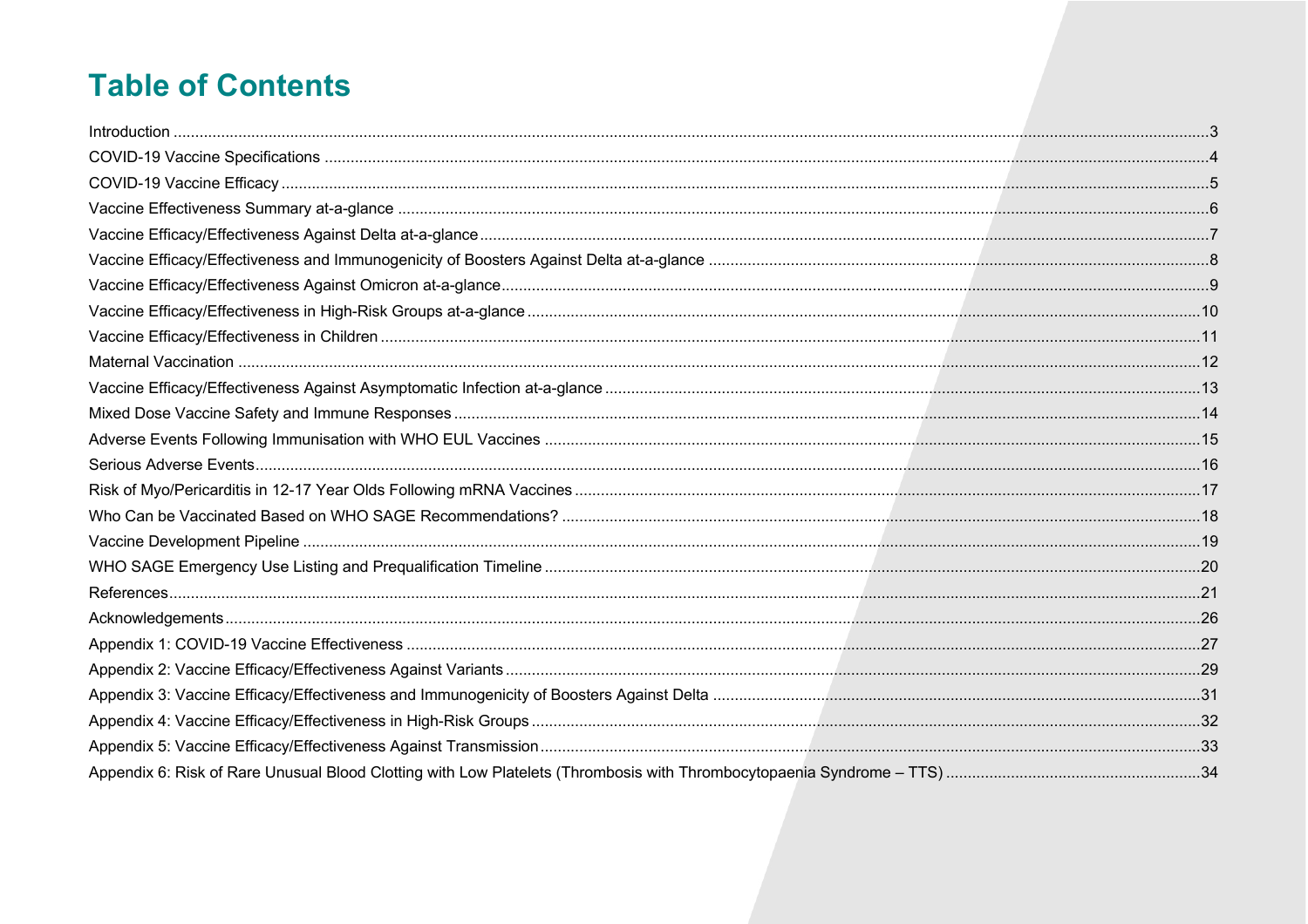# **Table of Contents**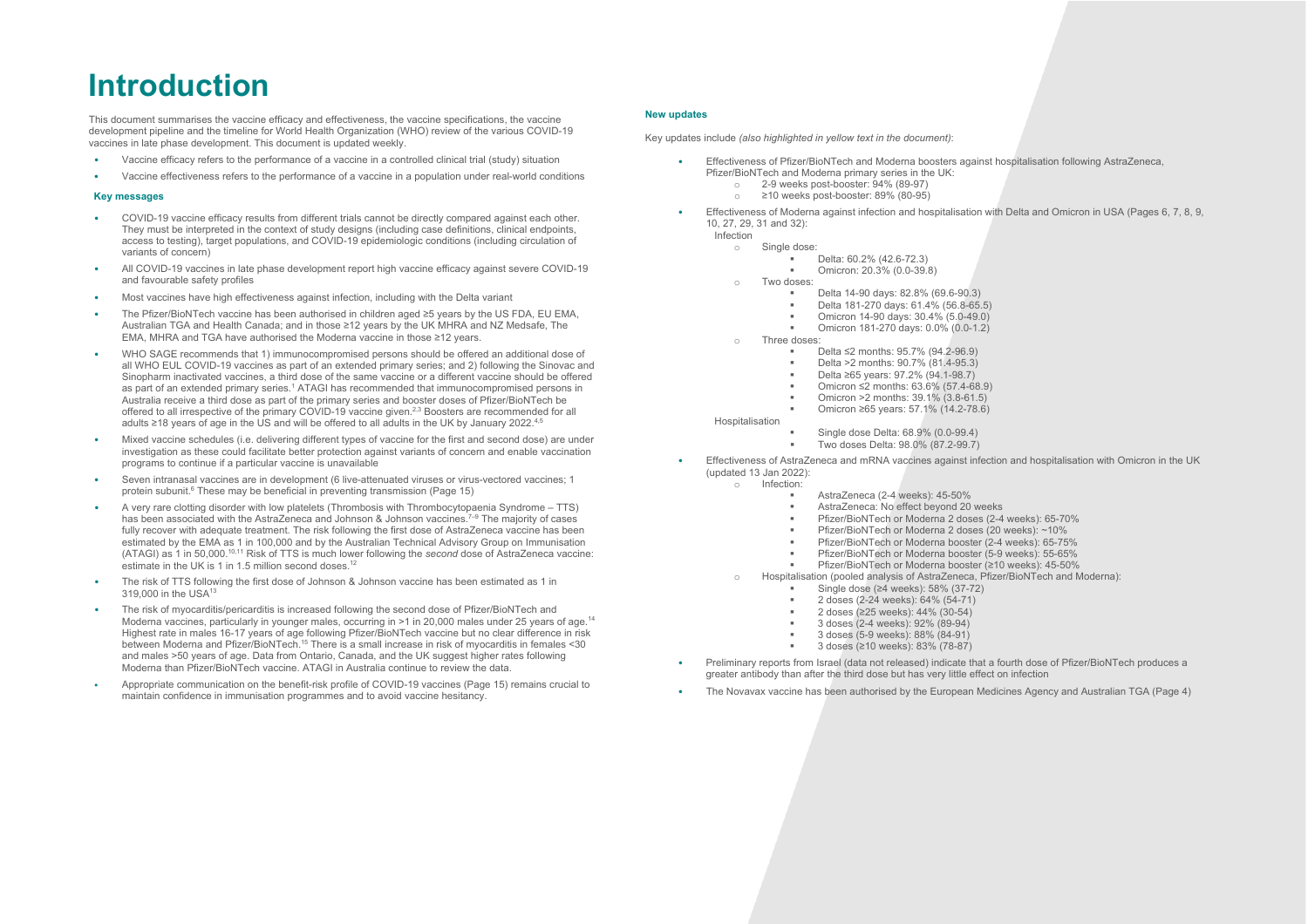# **Introduction**

This document summarises the vaccine efficacy and effectiveness, the vaccine specifications, the vaccine development pipeline and the timeline for World Health Organization (WHO) review of the various COVID-19 vaccines in late phase development. This document is updated weekly.

- Vaccine efficacy refers to the performance of a vaccine in a controlled clinical trial (study) situation
- Vaccine effectiveness refers to the performance of a vaccine in a population under real-world conditions

#### **Key messages**

- COVID-19 vaccine efficacy results from different trials cannot be directly compared against each other. They must be interpreted in the context of study designs (including case definitions, clinical endpoints, access to testing), target populations, and COVID-19 epidemiologic conditions (including circulation of variants of concern)
- All COVID-19 vaccines in late phase development report high vaccine efficacy against severe COVID-19 and favourable safety profiles
- Most vaccines have high effectiveness against infection, including with the Delta variant
- The Pfizer/BioNTech vaccine has been authorised in children aged ≥5 years by the US FDA, EU EMA, Australian TGA and Health Canada; and in those ≥12 years by the UK MHRA and NZ Medsafe, The EMA, MHRA and TGA have authorised the Moderna vaccine in those ≥12 years.
- WHO SAGE recommends that 1) immunocompromised persons should be offered an additional dose of all WHO EUL COVID-19 vaccines as part of an extended primary series; and 2) following the Sinovac and Sinopharm inactivated vaccines, a third dose of the same vaccine or a different vaccine should be offered as part of an extended primary series.<sup>1</sup> ATAGI has recommended that immunocompromised persons in Australia receive a third dose as part of the primary series and booster doses of Pfizer/BioNTech be offered to all irrespective of the primary COVID-19 vaccine given.<sup>2,3</sup> Boosters are recommended for all adults ≥18 years of age in the US and will be offered to all adults in the UK by January 2022.<sup>4,5</sup>
- Mixed vaccine schedules (i.e. delivering different types of vaccine for the first and second dose) are under investigation as these could facilitate better protection against variants of concern and enable vaccination programs to continue if a particular vaccine is unavailable
- Seven intranasal vaccines are in development (6 live-attenuated viruses or virus-vectored vaccines; 1 protein subunit.<sup>6</sup> These may be beneficial in preventing transmission (Page 15)
- A very rare clotting disorder with low platelets (Thrombosis with Thrombocytopaenia Syndrome TTS) has been associated with the AstraZeneca and Johnson & Johnson vaccines.<sup>7–9</sup> The majority of cases fully recover with adequate treatment. The risk following the first dose of AstraZeneca vaccine has been estimated by the EMA as 1 in 100,000 and by the Australian Technical Advisory Group on Immunisation (ATAGI) as 1 in 50,000.10,11 Risk of TTS is much lower following the *second* dose of AstraZeneca vaccine: estimate in the UK is 1 in 1.5 million second doses<sup>12</sup>
- The risk of TTS following the first dose of Johnson & Johnson vaccine has been estimated as 1 in 319,000 in the USA13
- The risk of myocarditis/pericarditis is increased following the second dose of Pfizer/BioNTech and Moderna vaccines, particularly in younger males, occurring in >1 in 20,000 males under 25 years of age.<sup>14</sup> Highest rate in males 16-17 years of age following Pfizer/BioNTech vaccine but no clear difference in risk between Moderna and Pfizer/BioNTech.15 There is a small increase in risk of myocarditis in females <30 and males >50 years of age. Data from Ontario, Canada, and the UK suggest higher rates following Moderna than Pfizer/BioNTech vaccine. ATAGI in Australia continue to review the data.
- Appropriate communication on the benefit-risk profile of COVID-19 vaccines (Page 15) remains crucial to maintain confidence in immunisation programmes and to avoid vaccine hesitancy.

#### **New updates**

Key updates include *(also highlighted in yellow text in the document)*:

- Effectiveness of Pfizer/BioNTech and Moderna boosters against hospitalisation following AstraZeneca, Pfizer/BioNTech and Moderna primary series in the UK:
	- o 2-9 weeks post-booster: 94% (89-97)
	- $\geq$ 10 weeks post-booster: 89% (80-95)
- Effectiveness of Moderna against infection and hospitalisation with Delta and Omicron in USA (Pages 6, 7, 8, 9, 10, 27, 29, 31 and 32):

Infection

- o Single dose:
	- § Delta: 60.2% (42.6-72.3) § Omicron: 20.3% (0.0-39.8)
- Two doses:
	- Delta 14-90 days: 82.8% (69.6-90.3)
	- § Delta 181-270 days: 61.4% (56.8-65.5)
	- § Omicron 14-90 days: 30.4% (5.0-49.0)
	- § Omicron 181-270 days: 0.0% (0.0-1.2)
- o Three doses:
	- § Delta ≤2 months: 95.7% (94.2-96.9)
	- § Delta >2 months: 90.7% (81.4-95.3)
	- § Delta ≥65 years: 97.2% (94.1-98.7)
	- § Omicron ≤2 months: 63.6% (57.4-68.9)
	- § Omicron >2 months: 39.1% (3.8-61.5)
	- § Omicron ≥65 years: 57.1% (14.2-78.6)
- Hospitalisation
	- § Single dose Delta: 68.9% (0.0-99.4)
	- § Two doses Delta: 98.0% (87.2-99.7)
- Effectiveness of AstraZeneca and mRNA vaccines against infection and hospitalisation with Omicron in the UK (updated 13 Jan 2022):
	- o Infection:
		- § AstraZeneca (2-4 weeks): 45-50%
		- § AstraZeneca: No effect beyond 20 weeks
		- § Pfizer/BioNTech or Moderna 2 doses (2-4 weeks): 65-70%
		- § Pfizer/BioNTech or Moderna 2 doses (20 weeks): ~10%
		- § Pfizer/BioNTech or Moderna booster (2-4 weeks): 65-75%
		- § Pfizer/BioNTech or Moderna booster (5-9 weeks): 55-65%
		- § Pfizer/BioNTech or Moderna booster (≥10 weeks): 45-50%
	- o Hospitalisation (pooled analysis of AstraZeneca, Pfizer/BioNTech and Moderna):
	- - § Single dose (≥4 weeks): 58% (37-72)
		- § 2 doses (2-24 weeks): 64% (54-71)
		- § 2 doses (≥25 weeks): 44% (30-54)
		- § 3 doses (2-4 weeks): 92% (89-94)
		- § 3 doses (5-9 weeks): 88% (84-91)
		- 3 doses (≥10 weeks): 83% (78-87)
- Preliminary reports from Israel (data not released) indicate that a fourth dose of Pfizer/BioNTech produces a greater antibody than after the third dose but has very little effect on infection
- The Novavax vaccine has been authorised by the European Medicines Agency and Australian TGA (Page 4)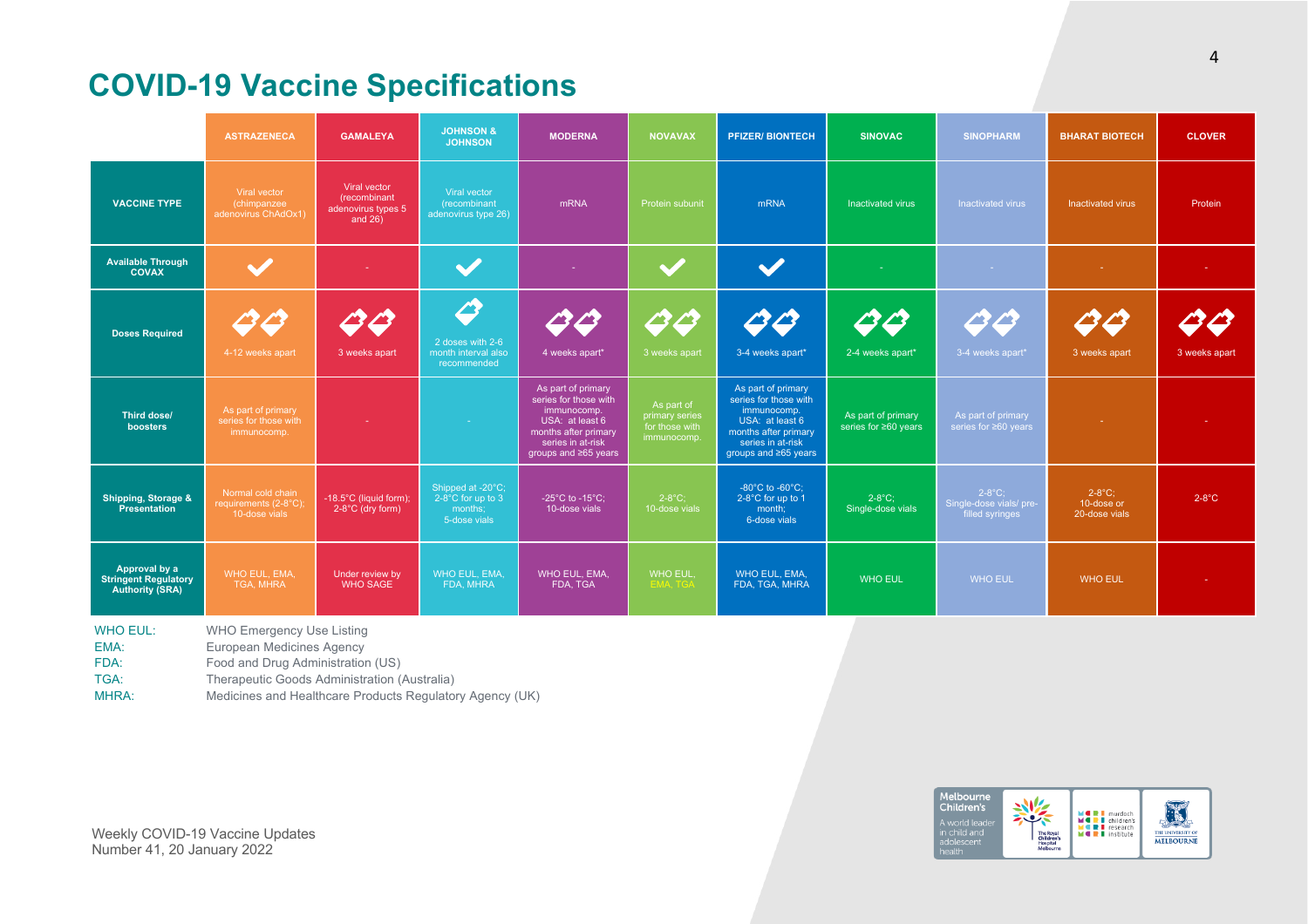# **COVID-19 Vaccine Specifications**

|                                                                        | <b>ASTRAZENECA</b>                                                                                                                                 | <b>GAMALEYA</b>                                                  | <b>JOHNSON &amp;</b><br><b>JOHNSON</b>                            | <b>MODERNA</b>                                                                                                                                     | <b>NOVAVAX</b>                                                | <b>PFIZER/ BIONTECH</b>                                                                                                                            | <b>SINOVAC</b>                             | <b>SINOPHARM</b>                                        | <b>BHARAT BIOTECH</b>                    | <b>CLOVER</b> |
|------------------------------------------------------------------------|----------------------------------------------------------------------------------------------------------------------------------------------------|------------------------------------------------------------------|-------------------------------------------------------------------|----------------------------------------------------------------------------------------------------------------------------------------------------|---------------------------------------------------------------|----------------------------------------------------------------------------------------------------------------------------------------------------|--------------------------------------------|---------------------------------------------------------|------------------------------------------|---------------|
| <b>VACCINE TYPE</b>                                                    | Viral vector<br>(chimpanzee<br>adenovirus ChAdOx1)                                                                                                 | Viral vector<br>(recombinant<br>adenovirus types 5<br>and $26$ ) | Viral vector<br>(recombinant<br>adenovirus type 26)               | mRNA                                                                                                                                               | Protein subunit                                               | mRNA                                                                                                                                               | Inactivated virus                          | Inactivated virus                                       | Inactivated virus                        | Protein       |
| <b>Available Through</b><br><b>COVAX</b>                               |                                                                                                                                                    |                                                                  |                                                                   |                                                                                                                                                    |                                                               | $\blacktriangledown$                                                                                                                               |                                            |                                                         |                                          |               |
| <b>Doses Required</b>                                                  | 88<br>4-12 weeks apart                                                                                                                             | 23 B<br>3 weeks apart                                            | 4<br>2 doses with 2-6<br>month interval also<br>recommended       | 23 ES<br>4 weeks apart*                                                                                                                            | C3 C3<br>3 weeks apart                                        | 44<br>3-4 weeks apart*                                                                                                                             | $\ket{\mathcal{L}}$<br>2-4 weeks apart*    | 23 P<br>3-4 weeks apart*                                | 00<br>3 weeks apart                      | 3 weeks apart |
| <b>Third dose/</b><br>boosters                                         | As part of primary<br>series for those with<br>immunocomp.                                                                                         |                                                                  | car.                                                              | As part of primary<br>series for those with<br>immunocomp.<br>USA: at least 6<br>months after primary<br>series in at-risk<br>groups and ≥65 years | As part of<br>primary series<br>for those with<br>immunocomp. | As part of primary<br>series for those with<br>immunocomp.<br>USA: at least 6<br>months after primary<br>series in at-risk<br>groups and ≥65 years | As part of primary<br>series for ≥60 years | As part of primary<br>series for ≥60 years              |                                          |               |
| <b>Shipping, Storage &amp;</b><br><b>Presentation</b>                  | Normal cold chain<br>requirements (2-8°C);<br>10-dose vials                                                                                        | -18.5°C (liquid form);<br>2-8°C (dry form)                       | Shipped at -20°C;<br>2-8°C for up to 3<br>months;<br>5-dose vials | -25 $^{\circ}$ C to -15 $^{\circ}$ C;<br>10-dose vials                                                                                             | $2-8$ °C;<br>10-dose vials                                    | -80 $^{\circ}$ C to -60 $^{\circ}$ C;<br>2-8°C for up to 1<br>month;<br>6-dose vials                                                               | $2-8$ °C;<br>Single-dose vials             | $2-8$ °C;<br>Single-dose vials/ pre-<br>filled syringes | $2-8$ °C;<br>10-dose or<br>20-dose vials | $2-8$ °C      |
| Approval by a<br><b>Stringent Regulatory</b><br><b>Authority (SRA)</b> | WHO EUL, EMA,<br>TGA, MHRA                                                                                                                         | Under review by<br><b>WHO SAGE</b>                               | <b>WHO EUL, EMA,</b><br>FDA, MHRA                                 | WHO EUL, EMA,<br>FDA, TGA                                                                                                                          | WHO EUL,<br><b>EMA, TGA</b>                                   | WHO EUL, EMA,<br>FDA, TGA, MHRA                                                                                                                    | <b>WHO EUL</b>                             | <b>WHO EUL</b>                                          | <b>WHO EUL</b>                           |               |
| <b>WHO EUL:</b><br>EMA:<br>FDA:<br>TGA:                                | <b>WHO Emergency Use Listing</b><br>European Medicines Agency<br>Food and Drug Administration (US)<br>Therapeutic Goods Administration (Australia) |                                                                  |                                                                   |                                                                                                                                                    |                                                               |                                                                                                                                                    |                                            |                                                         |                                          |               |

MHRA: Medicines and Healthcare Products Regulatory Agency (UK)

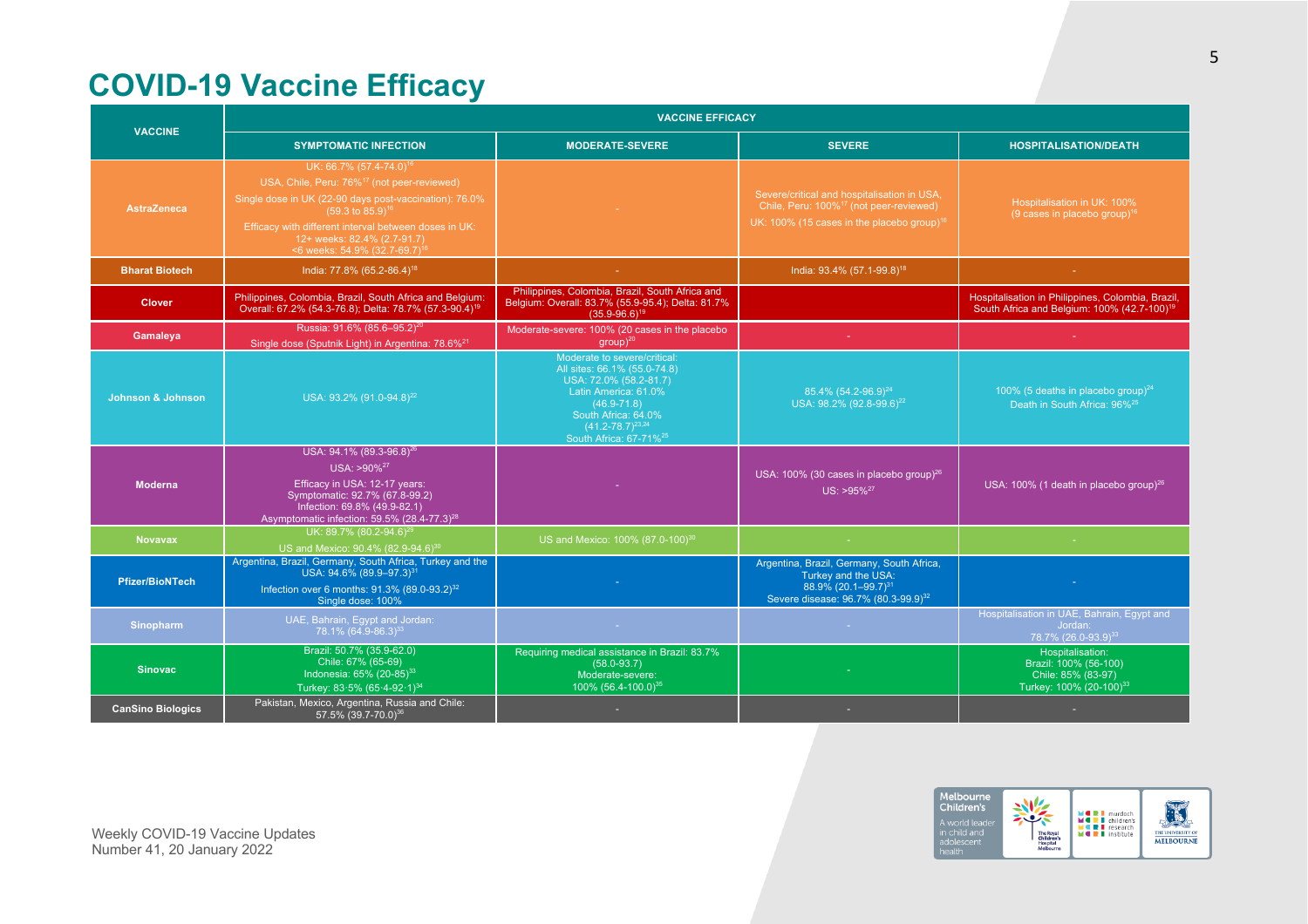# **COVID-19 Vaccine Efficacy**

| <b>VACCINE</b>               | <b>VACCINE EFFICACY</b>                                                                                                                                                                                                                                                                                                         |                                                                                                                                                                                                                           |                                                                                                                                                              |                                                                                                              |  |  |  |
|------------------------------|---------------------------------------------------------------------------------------------------------------------------------------------------------------------------------------------------------------------------------------------------------------------------------------------------------------------------------|---------------------------------------------------------------------------------------------------------------------------------------------------------------------------------------------------------------------------|--------------------------------------------------------------------------------------------------------------------------------------------------------------|--------------------------------------------------------------------------------------------------------------|--|--|--|
|                              | <b>SYMPTOMATIC INFECTION</b>                                                                                                                                                                                                                                                                                                    | <b>MODERATE-SEVERE</b>                                                                                                                                                                                                    | <b>SEVERE</b>                                                                                                                                                | <b>HOSPITALISATION/DEATH</b>                                                                                 |  |  |  |
| <b>AstraZeneca</b>           | UK: 66.7% (57.4-74.0) <sup>16</sup><br>USA, Chile, Peru: 76% <sup>17</sup> (not peer-reviewed)<br>Single dose in UK (22-90 days post-vaccination): 76.0%<br>$(59.3 \text{ to } 85.9)^{16}$<br>Efficacy with different interval between doses in UK:<br>12+ weeks: 82.4% (2.7-91.7)<br><6 weeks: 54.9% (32.7-69.7) <sup>16</sup> |                                                                                                                                                                                                                           | Severe/critical and hospitalisation in USA,<br>Chile, Peru: 100% <sup>17</sup> (not peer-reviewed)<br>UK: 100% (15 cases in the placebo group) <sup>16</sup> | Hospitalisation in UK: 100%<br>(9 cases in placebo group) $16$                                               |  |  |  |
| <b>Bharat Biotech</b>        | India: 77.8% (65.2-86.4) <sup>18</sup>                                                                                                                                                                                                                                                                                          |                                                                                                                                                                                                                           | India: 93.4% (57.1-99.8) <sup>18</sup>                                                                                                                       |                                                                                                              |  |  |  |
| <b>Clover</b>                | Philippines, Colombia, Brazil, South Africa and Belgium:<br>Overall: 67.2% (54.3-76.8): Delta: 78.7% (57.3-90.4) <sup>19</sup>                                                                                                                                                                                                  | Philippines, Colombia, Brazil, South Africa and<br>Belgium: Overall: 83.7% (55.9-95.4); Delta: 81.7%<br>$(35.9 - 96.6)^{19}$                                                                                              |                                                                                                                                                              | Hospitalisation in Philippines, Colombia, Brazil,<br>South Africa and Belgium: 100% (42.7-100) <sup>19</sup> |  |  |  |
| Gamaleya                     | Russia: 91.6% (85.6-95.2) <sup>20</sup><br>Single dose (Sputnik Light) in Argentina: 78.6% <sup>21</sup>                                                                                                                                                                                                                        | Moderate-severe: 100% (20 cases in the placebo<br>$qroup$ <sup>20</sup>                                                                                                                                                   |                                                                                                                                                              |                                                                                                              |  |  |  |
| <b>Johnson &amp; Johnson</b> | USA: 93.2% (91.0-94.8) <sup>22</sup>                                                                                                                                                                                                                                                                                            | Moderate to severe/critical:<br>All sites: 66.1% (55.0-74.8)<br>USA: 72.0% (58.2-81.7)<br>Latin America: 61.0%<br>$(46.9 - 71.8)$<br>South Africa: 64.0%<br>$(41.2 - 78.7)^{23.24}$<br>South Africa: 67-71% <sup>25</sup> | 85.4% (54.2-96.9) <sup>24</sup><br>USA: 98.2% (92.8-99.6) <sup>22</sup>                                                                                      | 100% (5 deaths in placebo group) $^{24}$<br>Death in South Africa: 96% <sup>25</sup>                         |  |  |  |
| <b>Moderna</b>               | USA: 94.1% (89.3-96.8) <sup>26</sup><br>USA: >90% <sup>27</sup><br>Efficacy in USA: 12-17 years:<br>Symptomatic: 92.7% (67.8-99.2)<br>Infection: 69.8% (49.9-82.1)<br>Asymptomatic infection: 59.5% (28.4-77.3) <sup>28</sup>                                                                                                   |                                                                                                                                                                                                                           | USA: 100% (30 cases in placebo group) <sup>26</sup><br>$US: > 95\%^{27}$                                                                                     | USA: 100% (1 death in placebo group) <sup>26</sup>                                                           |  |  |  |
| <b>Novavax</b>               | UK: 89.7% (80.2-94.6) <sup>26</sup><br>US and Mexico: 90.4% (82.9-94.6) <sup>30</sup>                                                                                                                                                                                                                                           | US and Mexico: 100% (87.0-100) <sup>30</sup>                                                                                                                                                                              | У.                                                                                                                                                           | na.                                                                                                          |  |  |  |
| <b>Pfizer/BioNTech</b>       | Argentina, Brazil, Germany, South Africa, Turkey and the<br>USA: 94.6% (89.9-97.3) <sup>31</sup><br>Infection over 6 months: $91.3\%$ (89.0-93.2) <sup>32</sup><br>Single dose: 100%                                                                                                                                            |                                                                                                                                                                                                                           | Argentina, Brazil, Germany, South Africa,<br>Turkey and the USA:<br>88.9% (20.1-99.7) <sup>31</sup><br>Severe disease: 96.7% (80.3-99.9) <sup>32</sup>       |                                                                                                              |  |  |  |
| Sinopharm                    | UAE, Bahrain, Eqypt and Jordan:<br>78.1% (64.9-86.3) <sup>33</sup>                                                                                                                                                                                                                                                              | <b>College</b>                                                                                                                                                                                                            | <b>Carl</b>                                                                                                                                                  | Hospitalisation in UAE, Bahrain, Egypt and<br>Jordan:<br>78.7% (26.0-93.9) <sup>33</sup>                     |  |  |  |
| <b>Sinovac</b>               | Brazil: 50.7% (35.9-62.0)<br>Chile: 67% (65-69)<br>Indonesia: 65% (20-85) <sup>33</sup><br>Turkey: 83.5% (65.4-92.1) <sup>34</sup>                                                                                                                                                                                              | Requiring medical assistance in Brazil: 83.7%<br>$(58.0 - 93.7)$<br>Moderate-severe:<br>100% (56.4-100.0) <sup>35</sup>                                                                                                   |                                                                                                                                                              | Hospitalisation:<br>Brazil: 100% (56-100)<br>Chile: 85% (83-97)<br>Turkey: 100% (20-100) <sup>33</sup>       |  |  |  |
| <b>CanSino Biologics</b>     | Pakistan, Mexico, Argentina, Russia and Chile:<br>57.5% (39.7-70.0) <sup>36</sup>                                                                                                                                                                                                                                               |                                                                                                                                                                                                                           |                                                                                                                                                              |                                                                                                              |  |  |  |

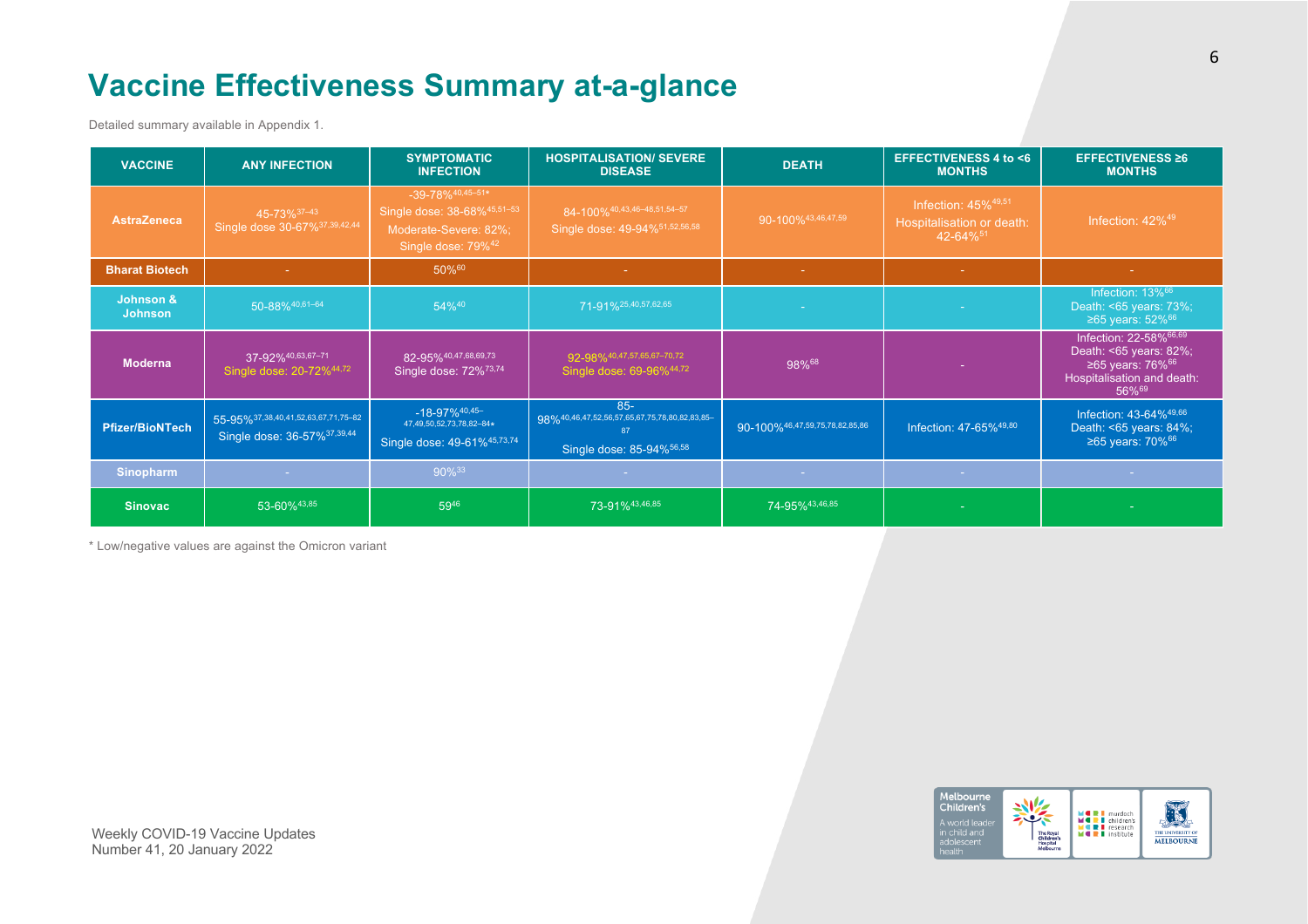# **Vaccine Effectiveness Summary at-a-glance**

Detailed summary available in Appendix 1.

| <b>VACCINE</b>              | <b>ANY INFECTION</b>                                                | <b>SYMPTOMATIC</b><br><b>INFECTION</b>                                                                                     | <b>HOSPITALISATION/ SEVERE</b><br><b>DISEASE</b>                                           | <b>DEATH</b>                   | <b>EFFECTIVENESS 4 to &lt;6</b><br><b>MONTHS</b>                                        | <b>EFFECTIVENESS ≥6</b><br><b>MONTHS</b>                                                                                   |
|-----------------------------|---------------------------------------------------------------------|----------------------------------------------------------------------------------------------------------------------------|--------------------------------------------------------------------------------------------|--------------------------------|-----------------------------------------------------------------------------------------|----------------------------------------------------------------------------------------------------------------------------|
| <b>AstraZeneca</b>          | 45-73% 37-43<br>Single dose 30-67% <sup>37,39,42,44</sup>           | $-39 - 78%$ <sup>40,45-51*</sup><br>Single dose: 38-68%45,51-53<br>Moderate-Severe: 82%;<br>Single dose: 79% <sup>42</sup> | 84-100% 40, 43, 46-48, 51, 54-57<br>Single dose: 49-94%51,52,56,58                         | 90-100%43,46,47,59             | Infection: $45\%$ <sup>49,51</sup><br>Hospitalisation or death:<br>42-64% <sup>51</sup> | Infection: 42% <sup>49</sup>                                                                                               |
| <b>Bharat Biotech</b>       | $\sim$                                                              | 50%60                                                                                                                      | $\sim$ $ \sim$                                                                             | $\sim$                         | $\sim$                                                                                  | <b>Section</b>                                                                                                             |
| Johnson &<br><b>Johnson</b> | 50-88%40,61-64                                                      | 54%40                                                                                                                      | 71-91%25,40,57,62,65                                                                       | na.                            |                                                                                         | Infection: 13% <sup>66</sup><br>Death: <65 years: 73%;<br>≥65 years: $52\%$ <sup>66</sup>                                  |
| <b>Moderna</b>              | 37-92% 40,63,67-71<br>Single dose: 20-72%44,72                      | 82-95%40,47,68,69,73<br>Single dose: 72% <sup>73,74</sup>                                                                  | 92-98%40,47,57,65,67-70,72<br>Single dose: 69-96%44,72                                     | 98%68                          |                                                                                         | Infection: 22-58%66,69<br>Death: <65 years: 82%;<br>≥65 years: $76\%$ <sup>66</sup><br>Hospitalisation and death:<br>56%69 |
| Pfizer/BioNTech             | 55-95%37,38,40,41,52,63,67,71,75-82<br>Single dose: 36-57% 37,39,44 | $-18-97\%$ <sup>40,45-</sup><br>47,49,50,52,73,78,82-84*<br>Single dose: 49-61%45,73,74                                    | $85 -$<br>98%40,46,47,52,56,57,65,67,75,78,80,82,83,85-<br>87<br>Single dose: 85-94% 56,58 | 90-100%46,47,59,75,78,82,85,86 | Infection: 47-65%49,80                                                                  | Infection: 43-64%49,66<br>Death: <65 years: 84%;<br>≥65 years: 70% <sup>66</sup>                                           |
| Sinopharm                   | <b>Contract</b>                                                     | 90%33                                                                                                                      | <b>Contract</b>                                                                            | <b>Contract</b>                | <b>Contract</b>                                                                         | <b>Contract</b>                                                                                                            |
| <b>Sinovac</b>              | 53-60%43,85                                                         | 5946                                                                                                                       | 73-91%43,46,85                                                                             | 74-95%43,46,85                 |                                                                                         |                                                                                                                            |

\* Low/negative values are against the Omicron variant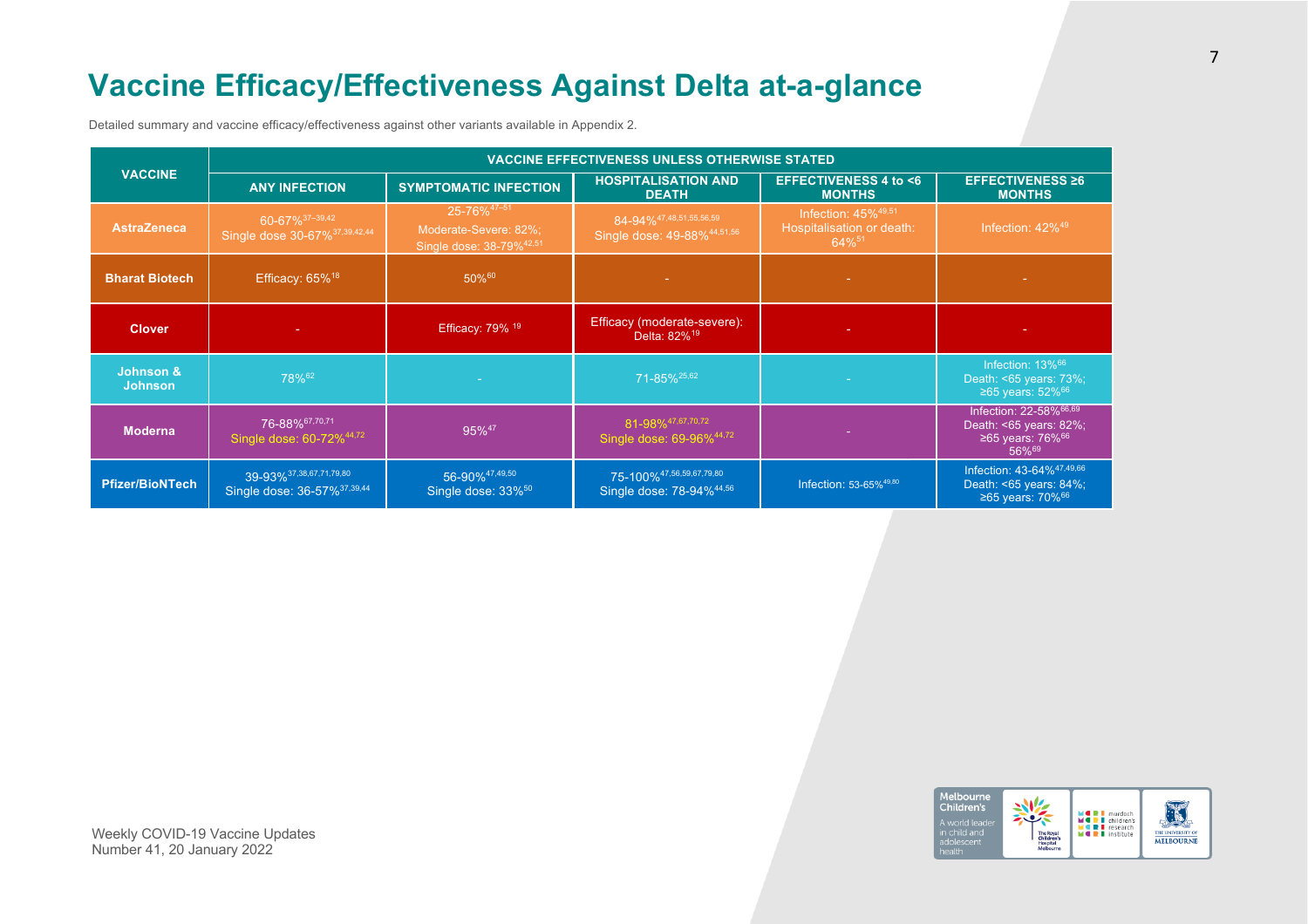# **Vaccine Efficacy/Effectiveness Against Delta at-a-glance**

Detailed summary and vaccine efficacy/effectiveness against other variants available in Appendix 2.

|                                        | <b>VACCINE EFFECTIVENESS UNLESS OTHERWISE STATED</b>                     |                                                                                          |                                                                              |                                                                                      |                                                                                              |  |  |
|----------------------------------------|--------------------------------------------------------------------------|------------------------------------------------------------------------------------------|------------------------------------------------------------------------------|--------------------------------------------------------------------------------------|----------------------------------------------------------------------------------------------|--|--|
| <b>VACCINE</b>                         | <b>ANY INFECTION</b>                                                     | <b>SYMPTOMATIC INFECTION</b>                                                             | <b>HOSPITALISATION AND</b><br><b>DEATH</b>                                   | <b>EFFECTIVENESS 4 to &lt;6</b><br><b>MONTHS</b>                                     | <b>EFFECTIVENESS ≥6</b><br><b>MONTHS</b>                                                     |  |  |
| <b>AstraZeneca</b>                     | 60-67% 37-39,42<br>Single dose 30-67% 37,39,42,44                        | 25-76% <sup>47-51</sup><br>Moderate-Severe: 82%;<br>Single dose: 38-79% <sup>42,51</sup> | $84 - 94\%$ <sup>47,48,51,55,56,59</sup><br>Single dose: 49-88% 44,51,56     | Infection: $45\%$ <sup>49,51</sup><br>Hospitalisation or death:<br>64% <sup>51</sup> | Infection: $42\%^{49}$                                                                       |  |  |
| <b>Bharat Biotech</b>                  | Efficacy: 65% <sup>18</sup>                                              | 50%60                                                                                    |                                                                              |                                                                                      |                                                                                              |  |  |
| <b>Clover</b>                          |                                                                          | Efficacy: 79% 19                                                                         | Efficacy (moderate-severe):<br>Delta: 82% <sup>19</sup>                      | ۰.                                                                                   |                                                                                              |  |  |
| <b>Johnson &amp;</b><br><b>Johnson</b> | 78% <sup>62</sup>                                                        |                                                                                          | 71-85% <sup>25,62</sup>                                                      |                                                                                      | Infection: $13\%$ <sup>66</sup><br>Death: <65 years: 73%;<br>≥65 years: $52\%$ <sup>66</sup> |  |  |
| <b>Moderna</b>                         | 76-88%67,70,71<br>Single dose: 60-72% <sup>44,72</sup>                   | 95% <sup>47</sup>                                                                        | 81-98% <sup>47,67,70,72</sup><br>Single dose: 69-96%44,72                    |                                                                                      | Infection: 22-58%66,69<br>Death: <65 years: 82%;<br>≥65 years: $76\%$ <sup>66</sup><br>56%69 |  |  |
| <b>Pfizer/BioNTech</b>                 | 39-93% 37, 38, 67, 71, 79, 80<br>Single dose: 36-57% <sup>37,39,44</sup> | 56-90% <sup>47,49,50</sup><br>Single dose: 33% <sup>50</sup>                             | 75-100% <sup>47,56,59,67,79,80</sup><br>Single dose: 78-94% <sup>44,56</sup> | Infection: 53-65% <sup>49,80</sup>                                                   | Infection: 43-64%47,49,66<br>Death: <65 years: 84%;<br>≥65 years: $70\%$ <sup>66</sup>       |  |  |

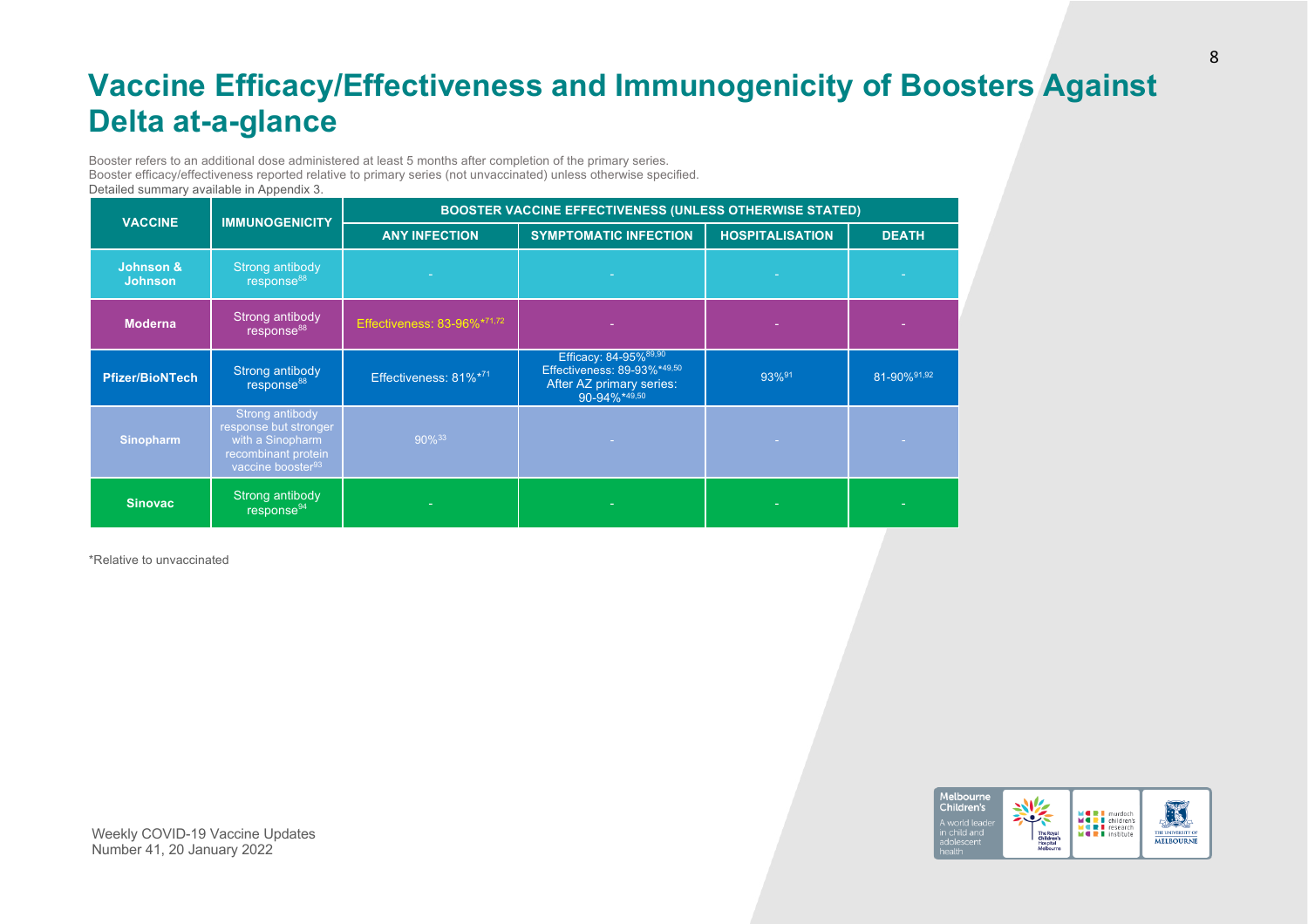# **Vaccine Efficacy/Effectiveness and Immunogenicity of Boosters Against Delta at-a-glance**

Booster refers to an additional dose administered at least 5 months after completion of the primary series. Booster efficacy/effectiveness reported relative to primary series (not unvaccinated) unless otherwise specified. Detailed summary available in Appendix 3.

| <b>VACCINE</b>              | <b>IMMUNOGENICITY</b>                                                                                                | <b>BOOSTER VACCINE EFFECTIVENESS (UNLESS OTHERWISE STATED)</b> |                                                                                                  |                        |              |  |  |
|-----------------------------|----------------------------------------------------------------------------------------------------------------------|----------------------------------------------------------------|--------------------------------------------------------------------------------------------------|------------------------|--------------|--|--|
|                             |                                                                                                                      | <b>ANY INFECTION</b>                                           | <b>SYMPTOMATIC INFECTION</b>                                                                     | <b>HOSPITALISATION</b> | <b>DEATH</b> |  |  |
| Johnson &<br><b>Johnson</b> | Strong antibody<br>response <sup>88</sup>                                                                            |                                                                |                                                                                                  |                        |              |  |  |
| <b>Moderna</b>              | Strong antibody<br>response <sup>88</sup>                                                                            | Effectiveness: 83-96%*71,72                                    |                                                                                                  |                        |              |  |  |
| <b>Pfizer/BioNTech</b>      | Strong antibody<br>response <sup>88</sup>                                                                            | Effectiveness: 81%*71                                          | Efficacy: 84-95%89,90<br>Effectiveness: 89-93%*49,50<br>After AZ primary series:<br>90-94%*49,50 | 93%91                  | 81-90% 91,92 |  |  |
| <b>Sinopharm</b>            | Strong antibody<br>response but stronger<br>with a Sinopharm<br>recombinant protein<br>vaccine booster <sup>93</sup> | $90\%^{33}$                                                    |                                                                                                  |                        |              |  |  |
| <b>Sinovac</b>              | Strong antibody<br>response <sup>94</sup>                                                                            |                                                                | ٠                                                                                                |                        |              |  |  |

\*Relative to unvaccinated

#### Melbourne 鹨 Children's **MORL** murdoch<br> **MORL** children's<br> **MORL** institute The Royal<br>Children's<br>Hospital

THE UNIVERSITY OF **MELBOURNE**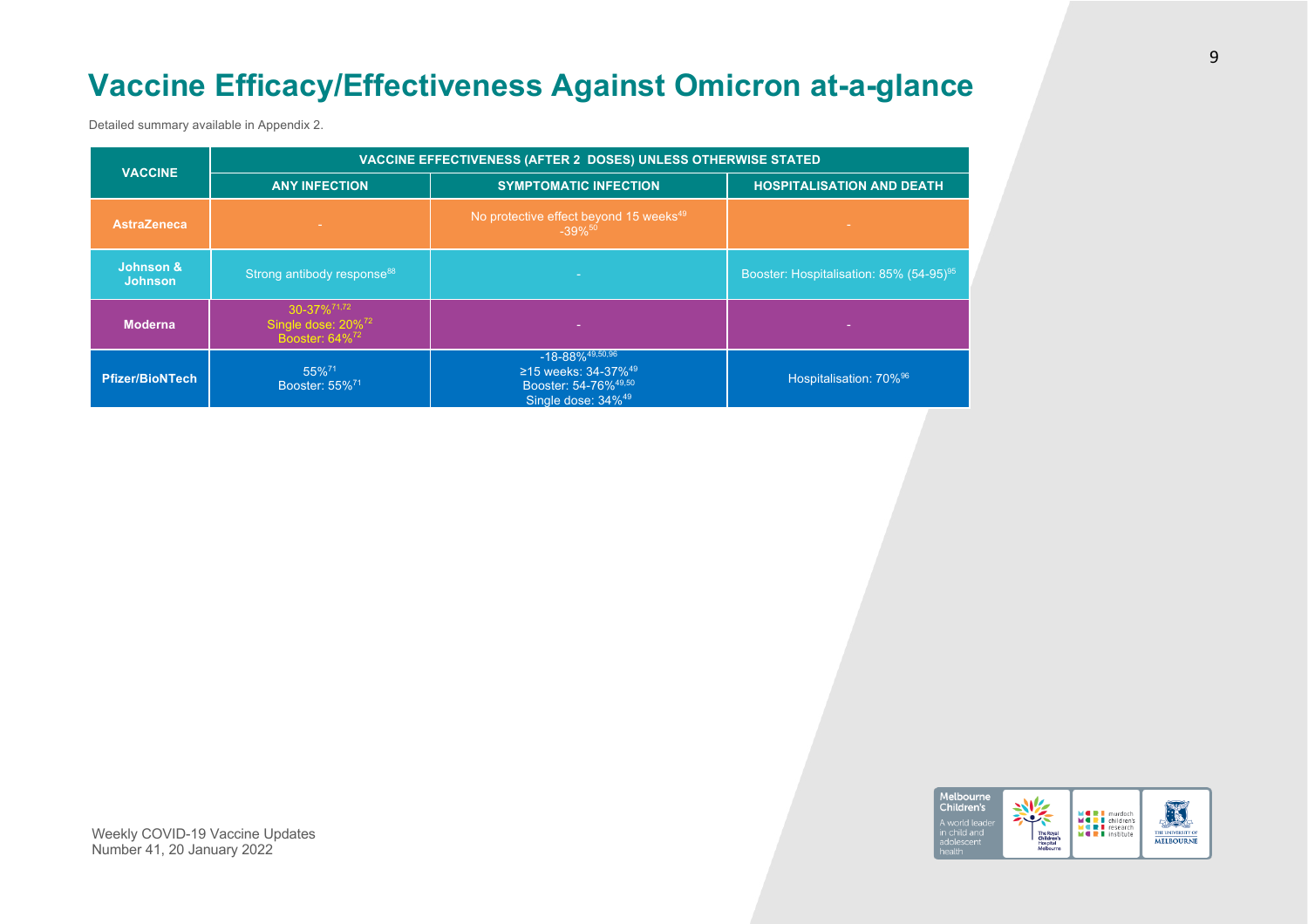# **Vaccine Efficacy/Effectiveness Against Omicron at-a-glance**

Detailed summary available in Appendix 2.

| <b>VACCINE</b>              | VACCINE EFFECTIVENESS (AFTER 2 DOSES) UNLESS OTHERWISE STATED                           |                                                                                                                                           |                                                     |  |  |
|-----------------------------|-----------------------------------------------------------------------------------------|-------------------------------------------------------------------------------------------------------------------------------------------|-----------------------------------------------------|--|--|
|                             | <b>ANY INFECTION</b>                                                                    | <b>SYMPTOMATIC INFECTION</b>                                                                                                              | <b>HOSPITALISATION AND DEATH</b>                    |  |  |
| <b>AstraZeneca</b>          |                                                                                         | No protective effect beyond 15 weeks <sup>49</sup><br>$-39\%$ <sup>50</sup>                                                               |                                                     |  |  |
| Johnson &<br><b>Johnson</b> | Strong antibody response <sup>88</sup>                                                  |                                                                                                                                           | Booster: Hospitalisation: 85% (54-95) <sup>95</sup> |  |  |
| <b>Moderna</b>              | 30-37% <sup>71,72</sup><br>Single dose: 20% <sup>72</sup><br>Booster: 64% <sup>72</sup> |                                                                                                                                           |                                                     |  |  |
| <b>Pfizer/BioNTech</b>      | 55% <sup>71</sup><br>Booster: 55% <sup>71</sup>                                         | $-18 - 88\%$ <sup>49,50,96</sup><br>≥15 weeks: 34-37% <sup>49</sup><br>Booster: 54-76% <sup>49,50</sup><br>Single dose: 34% <sup>49</sup> | Hospitalisation: 70% <sup>96</sup>                  |  |  |

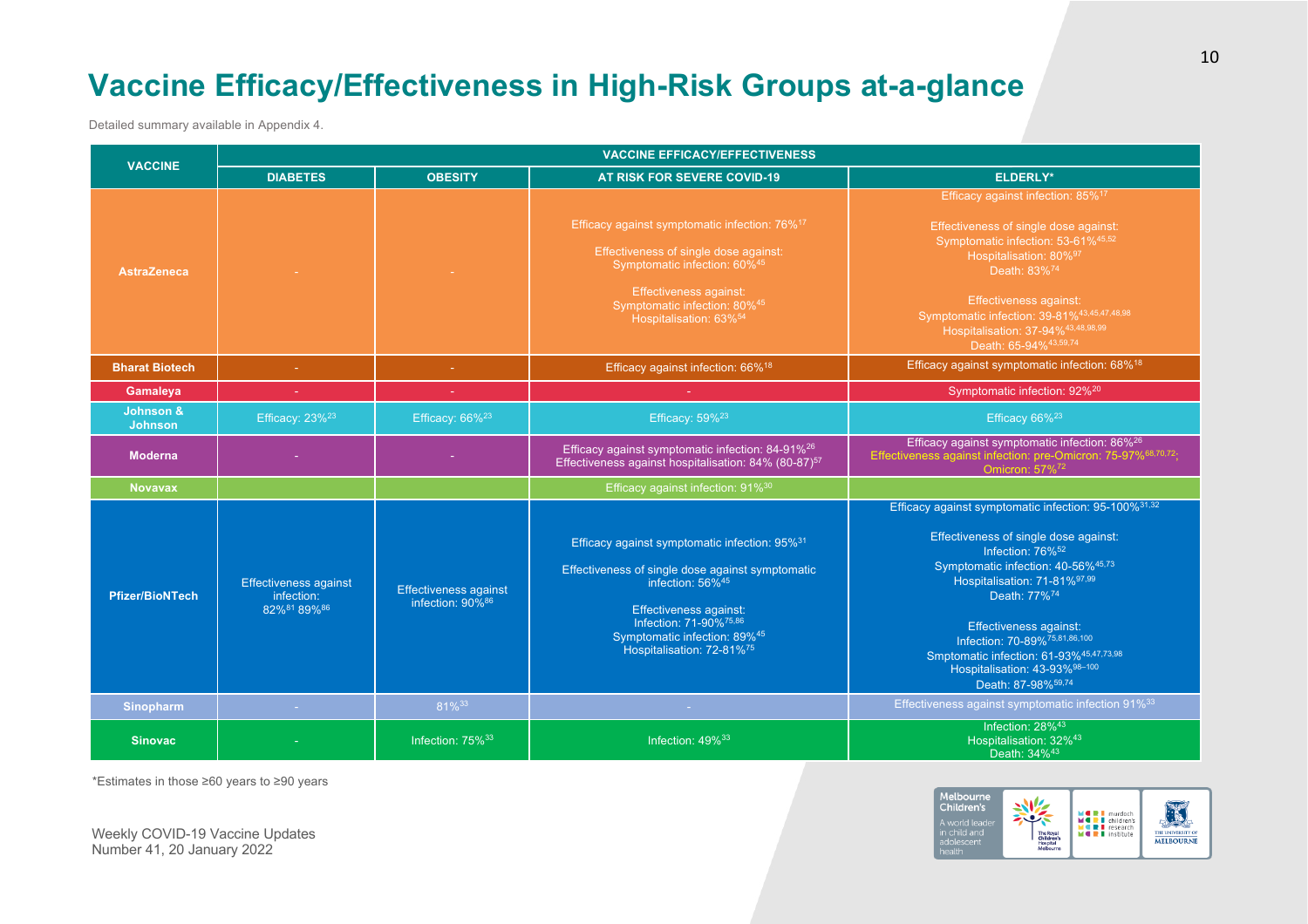# **Vaccine Efficacy/Effectiveness in High-Risk Groups at-a-glance**

Detailed summary available in Appendix 4.

| <b>VACCINE</b>              | <b>VACCINE EFFICACY/EFFECTIVENESS</b>                     |                                                                 |                                                                                                                                                                                                                                                                                                              |                                                                                                                                                                                                                                                                                                                                                                                                                             |  |  |
|-----------------------------|-----------------------------------------------------------|-----------------------------------------------------------------|--------------------------------------------------------------------------------------------------------------------------------------------------------------------------------------------------------------------------------------------------------------------------------------------------------------|-----------------------------------------------------------------------------------------------------------------------------------------------------------------------------------------------------------------------------------------------------------------------------------------------------------------------------------------------------------------------------------------------------------------------------|--|--|
|                             | <b>DIABETES</b>                                           | <b>OBESITY</b>                                                  | AT RISK FOR SEVERE COVID-19                                                                                                                                                                                                                                                                                  | <b>ELDERLY*</b>                                                                                                                                                                                                                                                                                                                                                                                                             |  |  |
| <b>AstraZeneca</b>          |                                                           |                                                                 | Efficacy against symptomatic infection: 76% <sup>17</sup><br>Effectiveness of single dose against:<br>Symptomatic infection: 60%45<br><b>Effectiveness against:</b><br>Symptomatic infection: 80%45<br>Hospitalisation: 63% <sup>54</sup>                                                                    | Efficacy against infection: 85% <sup>17</sup><br>Effectiveness of single dose against:<br>Symptomatic infection: 53-61%45,52<br>Hospitalisation: 80%97<br>Death: 83% <sup>74</sup><br><b>Effectiveness against:</b><br>Symptomatic infection: 39-81%43,45,47,48,98<br>Hospitalisation: 37-94%43,48,98,99<br>Death: 65-94% 43,59,74                                                                                          |  |  |
| <b>Bharat Biotech</b>       |                                                           | ÷                                                               | Efficacy against infection: 66% <sup>18</sup>                                                                                                                                                                                                                                                                | Efficacy against symptomatic infection: 68% <sup>18</sup>                                                                                                                                                                                                                                                                                                                                                                   |  |  |
| Gamaleya                    |                                                           |                                                                 |                                                                                                                                                                                                                                                                                                              | Symptomatic infection: 92% <sup>20</sup>                                                                                                                                                                                                                                                                                                                                                                                    |  |  |
| Johnson &<br><b>Johnson</b> | Efficacy: $23\%^{23}$                                     | Efficacy: $66\%^{23}$                                           | Efficacy: 59% <sup>23</sup>                                                                                                                                                                                                                                                                                  | Efficacy 66% <sup>23</sup>                                                                                                                                                                                                                                                                                                                                                                                                  |  |  |
| <b>Moderna</b>              |                                                           |                                                                 | Efficacy against symptomatic infection: 84-91% <sup>26</sup><br>Effectiveness against hospitalisation: 84% (80-87) <sup>57</sup>                                                                                                                                                                             | Efficacy against symptomatic infection: 86% <sup>26</sup><br>Effectiveness against infection: pre-Omicron: 75-97% <sup>68,70,72</sup> ;<br>Omicron: 57% <sup>72</sup>                                                                                                                                                                                                                                                       |  |  |
| <b>Novavax</b>              |                                                           |                                                                 | Efficacy against infection: 91% <sup>30</sup>                                                                                                                                                                                                                                                                |                                                                                                                                                                                                                                                                                                                                                                                                                             |  |  |
| <b>Pfizer/BioNTech</b>      | <b>Effectiveness against</b><br>infection:<br>82%81 89%86 | <b>Effectiveness against</b><br>infection: $90\%$ <sup>86</sup> | Efficacy against symptomatic infection: 95% <sup>31</sup><br>Effectiveness of single dose against symptomatic<br>infection: $56\%$ <sup>45</sup><br><b>Effectiveness against:</b><br>Infection: 71-90% <sup>75,86</sup><br>Symptomatic infection: 89% <sup>45</sup><br>Hospitalisation: 72-81% <sup>75</sup> | Efficacy against symptomatic infection: 95-100% <sup>31,32</sup><br>Effectiveness of single dose against:<br>Infection: 76% <sup>52</sup><br>Symptomatic infection: 40-56%45,73<br>Hospitalisation: 71-81%97,99<br>Death: 77% <sup>74</sup><br><b>Effectiveness against:</b><br>Infection: 70-89%75,81,86,100<br>Smptomatic infection: 61-93%45,47,73,98<br>Hospitalisation: 43-93%98-100<br>Death: 87-98% <sup>59,74</sup> |  |  |
| <b>Sinopharm</b>            | $\sim$                                                    | 81%33                                                           |                                                                                                                                                                                                                                                                                                              | Effectiveness against symptomatic infection 91% <sup>33</sup>                                                                                                                                                                                                                                                                                                                                                               |  |  |
| <b>Sinovac</b>              |                                                           | Infection: 75% <sup>33</sup>                                    | Infection: 49% <sup>33</sup>                                                                                                                                                                                                                                                                                 | Infection: 28% <sup>43</sup><br>Hospitalisation: 32% <sup>43</sup><br>Death: 34% <sup>43</sup>                                                                                                                                                                                                                                                                                                                              |  |  |

\*Estimates in those ≥60 years to ≥90 years

Melbourne<br>Children's **MORT** murdoch<br> **MORT** research<br> **MORT** institute THE UNIVERSITY OF in child and<br>adolescent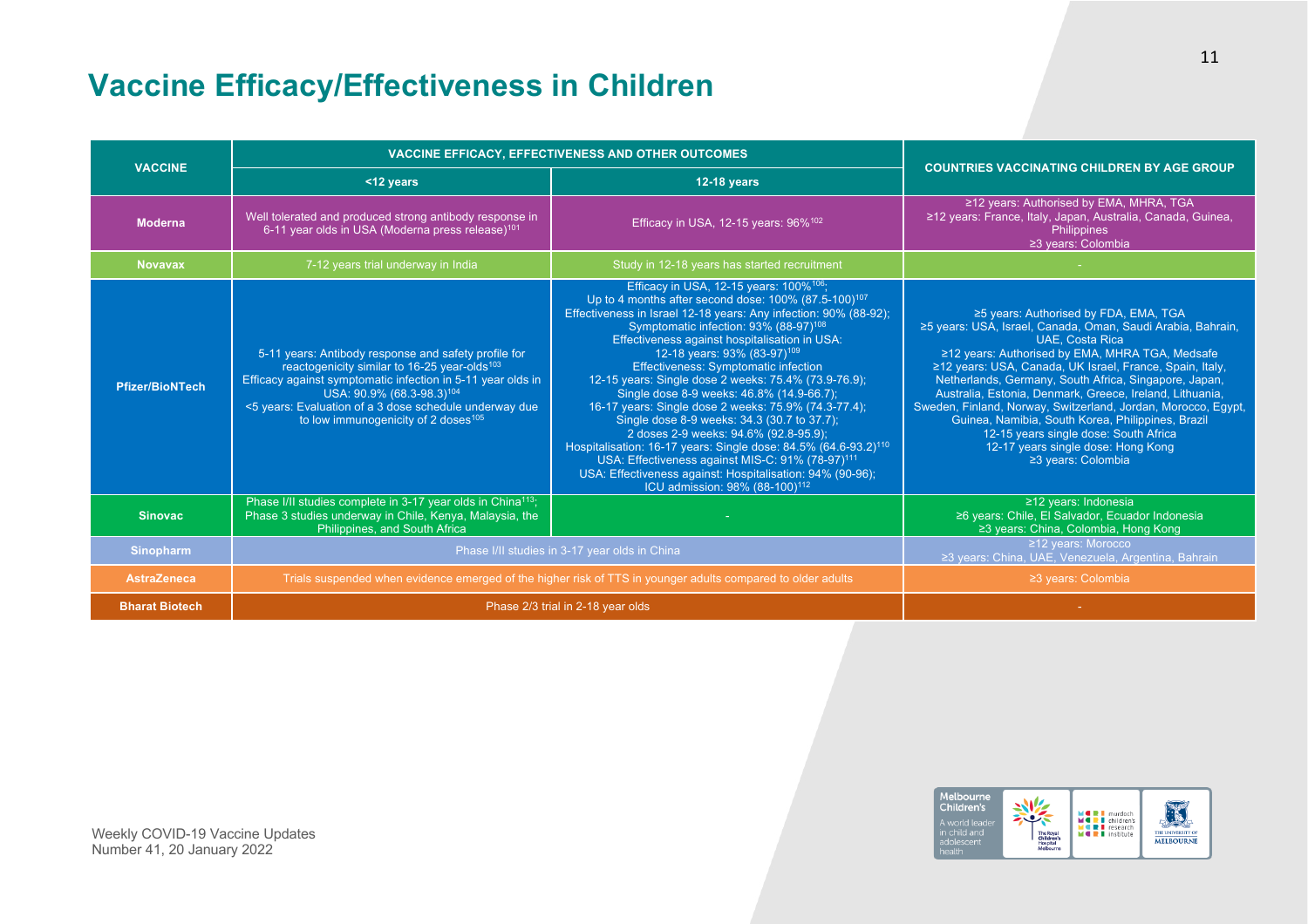# **Vaccine Efficacy/Effectiveness in Children**

| <b>VACCINE</b>         | <b>VACCINE EFFICACY, EFFECTIVENESS AND OTHER OUTCOMES</b>                                                                                                                                                                                                                                                                             | <b>COUNTRIES VACCINATING CHILDREN BY AGE GROUP</b>                                                                                                                                                                                                                                                                                                                                                                                                                                                                                                                                                                                                                                                                                                                                                                                                                                                         |                                                                                                                                                                                                                                                                                                                                                                                                                                                                                                                                                                                               |
|------------------------|---------------------------------------------------------------------------------------------------------------------------------------------------------------------------------------------------------------------------------------------------------------------------------------------------------------------------------------|------------------------------------------------------------------------------------------------------------------------------------------------------------------------------------------------------------------------------------------------------------------------------------------------------------------------------------------------------------------------------------------------------------------------------------------------------------------------------------------------------------------------------------------------------------------------------------------------------------------------------------------------------------------------------------------------------------------------------------------------------------------------------------------------------------------------------------------------------------------------------------------------------------|-----------------------------------------------------------------------------------------------------------------------------------------------------------------------------------------------------------------------------------------------------------------------------------------------------------------------------------------------------------------------------------------------------------------------------------------------------------------------------------------------------------------------------------------------------------------------------------------------|
|                        | <12 years                                                                                                                                                                                                                                                                                                                             | <b>12-18 years</b>                                                                                                                                                                                                                                                                                                                                                                                                                                                                                                                                                                                                                                                                                                                                                                                                                                                                                         |                                                                                                                                                                                                                                                                                                                                                                                                                                                                                                                                                                                               |
| <b>Moderna</b>         | Well tolerated and produced strong antibody response in<br>6-11 year olds in USA (Moderna press release) <sup>101</sup>                                                                                                                                                                                                               | Efficacy in USA, 12-15 years: 96% <sup>102</sup>                                                                                                                                                                                                                                                                                                                                                                                                                                                                                                                                                                                                                                                                                                                                                                                                                                                           | ≥12 years: Authorised by EMA, MHRA, TGA<br>≥12 years: France, Italy, Japan, Australia, Canada, Guinea,<br>Philippines<br>≥3 years: Colombia                                                                                                                                                                                                                                                                                                                                                                                                                                                   |
| <b>Novavax</b>         | 7-12 years trial underway in India                                                                                                                                                                                                                                                                                                    | Study in 12-18 years has started recruitment                                                                                                                                                                                                                                                                                                                                                                                                                                                                                                                                                                                                                                                                                                                                                                                                                                                               |                                                                                                                                                                                                                                                                                                                                                                                                                                                                                                                                                                                               |
| <b>Pfizer/BioNTech</b> | 5-11 years: Antibody response and safety profile for<br>reactogenicity similar to 16-25 year-olds <sup>103</sup><br>Efficacy against symptomatic infection in 5-11 year olds in<br>USA: 90.9% (68.3-98.3) <sup>104</sup><br><5 years: Evaluation of a 3 dose schedule underway due<br>to low immunogenicity of 2 doses <sup>105</sup> | Efficacy in USA, 12-15 years: 100% <sup>106</sup> ;<br>Up to 4 months after second dose: 100% (87.5-100) <sup>107</sup><br>Effectiveness in Israel 12-18 years: Any infection: 90% (88-92);<br>Symptomatic infection: 93% (88-97) <sup>108</sup><br>Effectiveness against hospitalisation in USA:<br>12-18 years: 93% (83-97) <sup>109</sup><br><b>Effectiveness: Symptomatic infection</b><br>12-15 years: Single dose 2 weeks: 75.4% (73.9-76.9);<br>Single dose 8-9 weeks: 46.8% (14.9-66.7);<br>16-17 years: Single dose 2 weeks: 75.9% (74.3-77.4);<br>Single dose 8-9 weeks: 34.3 (30.7 to 37.7);<br>2 doses 2-9 weeks: 94.6% (92.8-95.9);<br>Hospitalisation: 16-17 years: Single dose: 84.5% (64.6-93.2) <sup>110</sup><br>USA: Effectiveness against MIS-C: 91% (78-97) <sup>111</sup><br>USA: Effectiveness against: Hospitalisation: 94% (90-96);<br>ICU admission: 98% (88-100) <sup>112</sup> | ≥5 years: Authorised by FDA, EMA, TGA<br>≥5 years: USA, Israel, Canada, Oman, Saudi Arabia, Bahrain,<br><b>UAE, Costa Rica</b><br>≥12 years: Authorised by EMA, MHRA TGA, Medsafe<br>≥12 years: USA, Canada, UK Israel, France, Spain, Italy,<br>Netherlands, Germany, South Africa, Singapore, Japan,<br>Australia, Estonia, Denmark, Greece, Ireland, Lithuania,<br>Sweden, Finland, Norway, Switzerland, Jordan, Morocco, Egypt,<br>Guinea, Namibia, South Korea, Philippines, Brazil<br>12-15 years single dose: South Africa<br>12-17 years single dose: Hong Kong<br>≥3 years: Colombia |
| <b>Sinovac</b>         | Phase I/II studies complete in 3-17 year olds in China <sup>113</sup> ;<br>Phase 3 studies underway in Chile, Kenya, Malaysia, the<br>Philippines, and South Africa                                                                                                                                                                   |                                                                                                                                                                                                                                                                                                                                                                                                                                                                                                                                                                                                                                                                                                                                                                                                                                                                                                            | ≥12 years: Indonesia<br>≥6 years: Chile, El Salvador, Ecuador Indonesia<br>≥3 years: China, Colombia, Hong Kong                                                                                                                                                                                                                                                                                                                                                                                                                                                                               |
| <b>Sinopharm</b>       | Phase I/II studies in 3-17 year olds in China                                                                                                                                                                                                                                                                                         | ≥12 years: Morocco<br>≥3 years: China, UAE, Venezuela, Argentina, Bahrain                                                                                                                                                                                                                                                                                                                                                                                                                                                                                                                                                                                                                                                                                                                                                                                                                                  |                                                                                                                                                                                                                                                                                                                                                                                                                                                                                                                                                                                               |
| <b>AstraZeneca</b>     | Trials suspended when evidence emerged of the higher risk of TTS in younger adults compared to older adults                                                                                                                                                                                                                           | ≥3 years: Colombia                                                                                                                                                                                                                                                                                                                                                                                                                                                                                                                                                                                                                                                                                                                                                                                                                                                                                         |                                                                                                                                                                                                                                                                                                                                                                                                                                                                                                                                                                                               |
| <b>Bharat Biotech</b>  | Phase 2/3 trial in 2-18 year olds                                                                                                                                                                                                                                                                                                     |                                                                                                                                                                                                                                                                                                                                                                                                                                                                                                                                                                                                                                                                                                                                                                                                                                                                                                            |                                                                                                                                                                                                                                                                                                                                                                                                                                                                                                                                                                                               |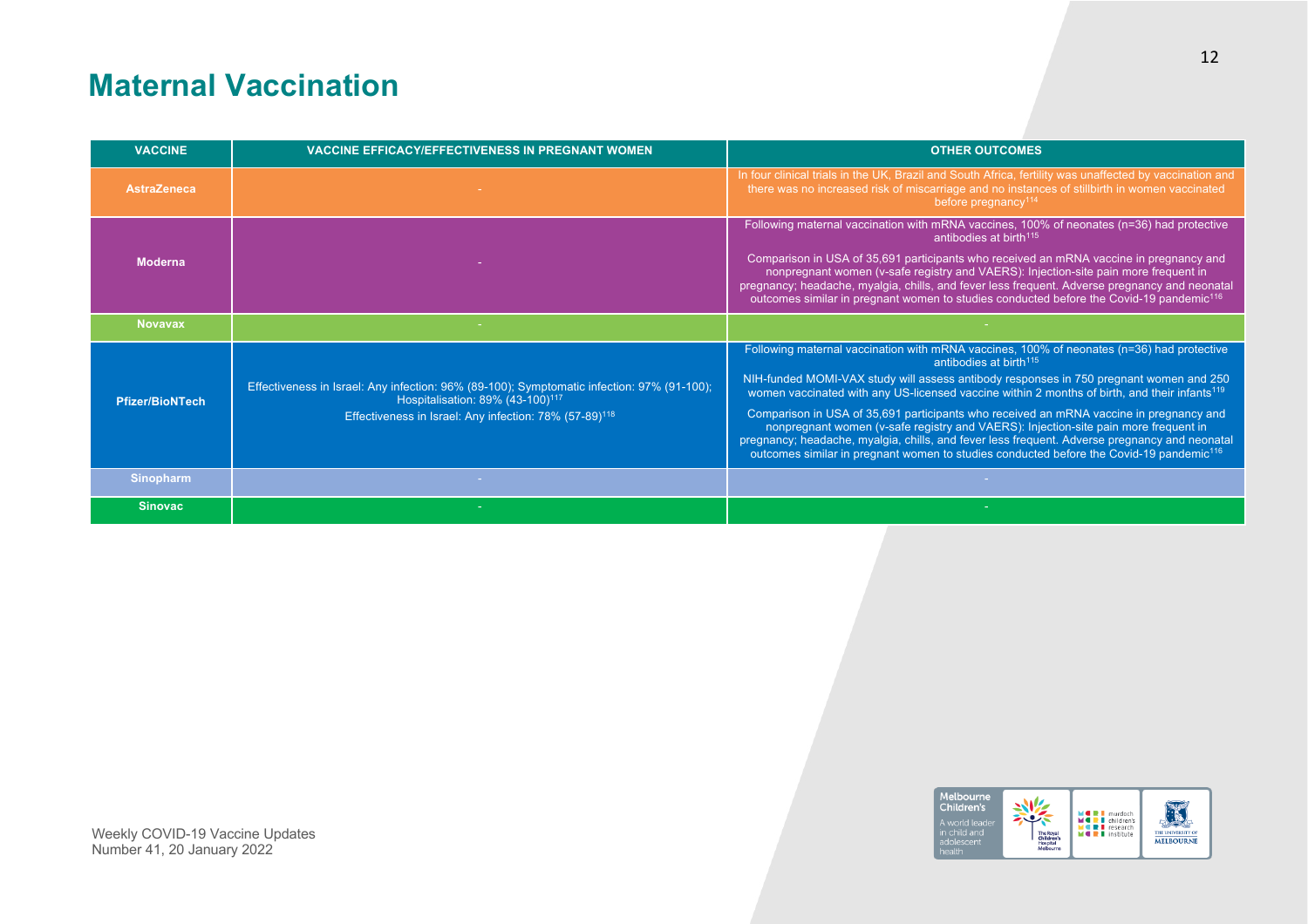# **Maternal Vaccination**

| <b>VACCINE</b>         | <b>VACCINE EFFICACY/EFFECTIVENESS IN PREGNANT WOMEN</b>                                                                                                                                                          | <b>OTHER OUTCOMES</b>                                                                                                                                                                                                                                                                                                                                                                                                                                                                                                                                                                                                                                                                                                          |
|------------------------|------------------------------------------------------------------------------------------------------------------------------------------------------------------------------------------------------------------|--------------------------------------------------------------------------------------------------------------------------------------------------------------------------------------------------------------------------------------------------------------------------------------------------------------------------------------------------------------------------------------------------------------------------------------------------------------------------------------------------------------------------------------------------------------------------------------------------------------------------------------------------------------------------------------------------------------------------------|
| <b>AstraZeneca</b>     |                                                                                                                                                                                                                  | In four clinical trials in the UK, Brazil and South Africa, fertility was unaffected by vaccination and<br>there was no increased risk of miscarriage and no instances of stillbirth in women vaccinated<br>before pregnancy <sup>114</sup>                                                                                                                                                                                                                                                                                                                                                                                                                                                                                    |
| <b>Moderna</b>         |                                                                                                                                                                                                                  | Following maternal vaccination with mRNA vaccines, 100% of neonates (n=36) had protective<br>antibodies at birth <sup>115</sup><br>Comparison in USA of 35,691 participants who received an mRNA vaccine in pregnancy and<br>nonpregnant women (v-safe registry and VAERS): Injection-site pain more frequent in<br>pregnancy; headache, myalgia, chills, and fever less frequent. Adverse pregnancy and neonatal<br>outcomes similar in pregnant women to studies conducted before the Covid-19 pandemic <sup>116</sup>                                                                                                                                                                                                       |
| <b>Novavax</b>         |                                                                                                                                                                                                                  |                                                                                                                                                                                                                                                                                                                                                                                                                                                                                                                                                                                                                                                                                                                                |
| <b>Pfizer/BioNTech</b> | Effectiveness in Israel: Any infection: 96% (89-100); Symptomatic infection: 97% (91-100);<br>Hospitalisation: 89% (43-100) <sup>117</sup><br>Effectiveness in Israel: Any infection: 78% (57-89) <sup>118</sup> | Following maternal vaccination with mRNA vaccines, 100% of neonates (n=36) had protective<br>antibodies at birth <sup>115</sup><br>NIH-funded MOMI-VAX study will assess antibody responses in 750 pregnant women and 250<br>women vaccinated with any US-licensed vaccine within 2 months of birth, and their infants <sup>119</sup><br>Comparison in USA of 35,691 participants who received an mRNA vaccine in pregnancy and<br>nonpregnant women (v-safe registry and VAERS): Injection-site pain more frequent in<br>pregnancy; headache, myalgia, chills, and fever less frequent. Adverse pregnancy and neonatal<br>outcomes similar in pregnant women to studies conducted before the Covid-19 pandemic <sup>116</sup> |
| <b>Sinopharm</b>       |                                                                                                                                                                                                                  |                                                                                                                                                                                                                                                                                                                                                                                                                                                                                                                                                                                                                                                                                                                                |
| <b>Sinovac</b>         |                                                                                                                                                                                                                  |                                                                                                                                                                                                                                                                                                                                                                                                                                                                                                                                                                                                                                                                                                                                |

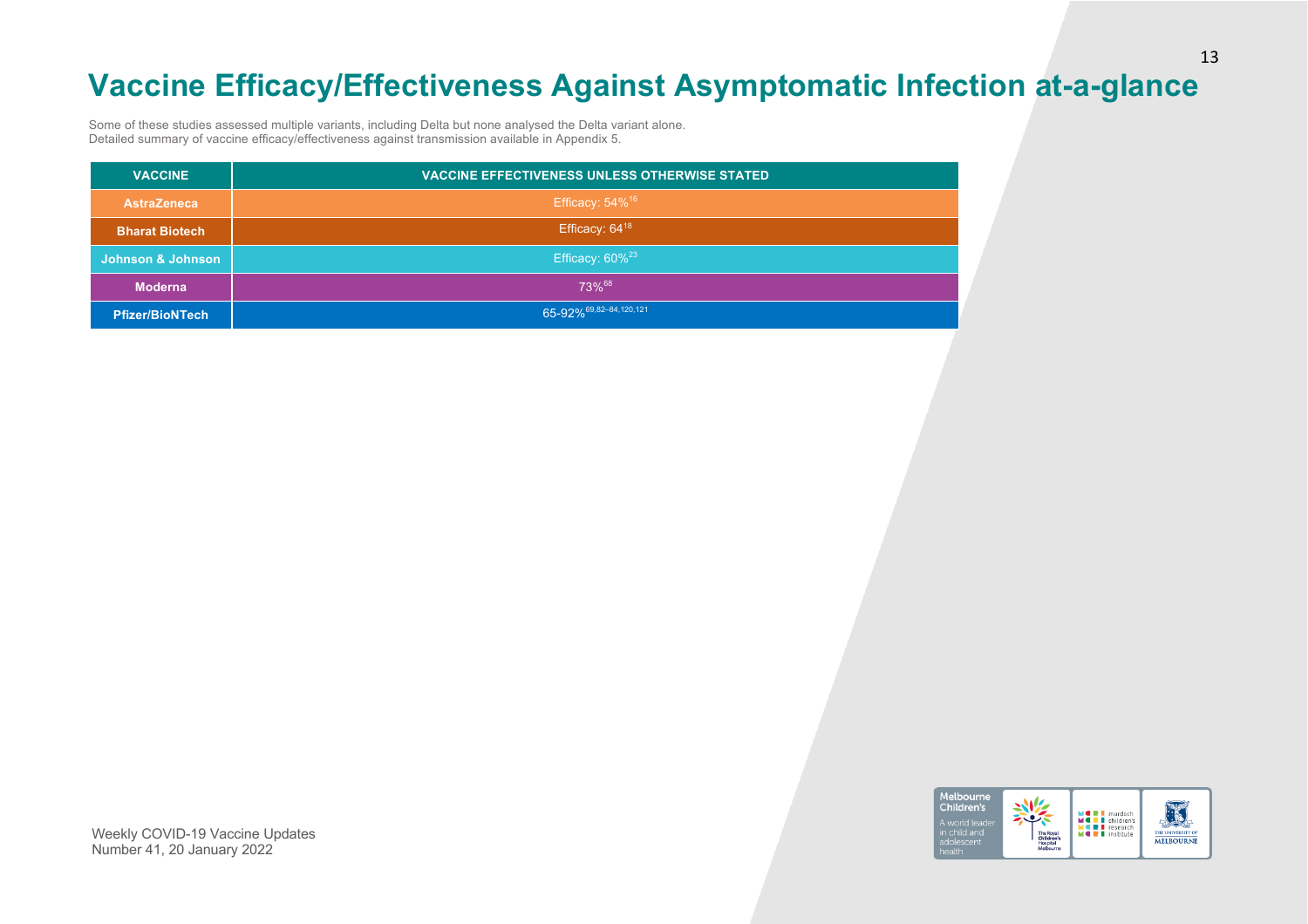# **Vaccine Efficacy/Effectiveness Against Asymptomatic Infection at-a-glance**

Some of these studies assessed multiple variants, including Delta but none analysed the Delta variant alone. Detailed summary of vaccine efficacy/effectiveness against transmission available in Appendix 5.

| <b>VACCINE</b>         | <b>VACCINE EFFECTIVENESS UNLESS OTHERWISE STATED</b> |
|------------------------|------------------------------------------------------|
| <b>AstraZeneca</b>     | Efficacy: $54\%$ <sup>16</sup>                       |
| <b>Bharat Biotech</b>  | Efficacy: 64 <sup>18</sup>                           |
| Johnson & Johnson      | Efficacy: $60\%^{23}$                                |
| <b>Moderna</b>         | 73%68                                                |
| <b>Pfizer/BioNTech</b> | 65-92% 69,82-84,120,121                              |

Melbourne Children's **MORT** murdoch<br> **MORT** research<br> **MORT** institute a world lea in child and<br>adolescent THE UNIVERSITY OF **MELBOURNE**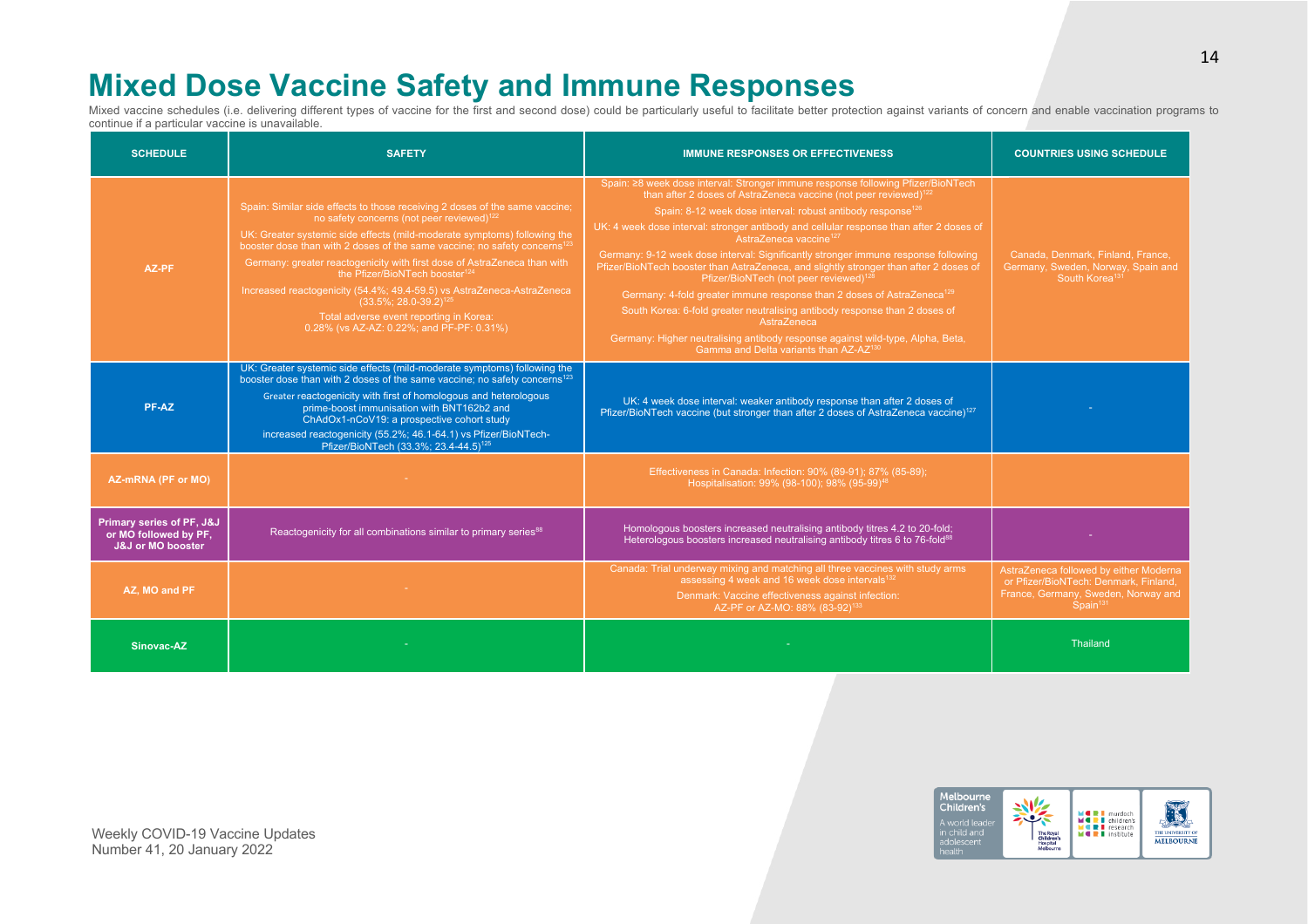# **Mixed Dose Vaccine Safety and Immune Responses**

Mixed vaccine schedules (i.e. delivering different types of vaccine for the first and second dose) could be particularly useful to facilitate better protection against variants of concern and enable vaccination programs to continue if a particular vaccine is unavailable.

| <b>SCHEDULE</b>                                                                    | <b>SAFETY</b>                                                                                                                                                                                                                                                                                                                                                                                                                                                                                                                                                                                                                        | <b>IMMUNE RESPONSES OR EFFECTIVENESS</b>                                                                                                                                                                                                                                                                                                                                                                                                                                                                                                                                                                                                                                                                                                                                                                                                                                                                                                     | <b>COUNTRIES USING SCHEDULE</b>                                                                                                        |
|------------------------------------------------------------------------------------|--------------------------------------------------------------------------------------------------------------------------------------------------------------------------------------------------------------------------------------------------------------------------------------------------------------------------------------------------------------------------------------------------------------------------------------------------------------------------------------------------------------------------------------------------------------------------------------------------------------------------------------|----------------------------------------------------------------------------------------------------------------------------------------------------------------------------------------------------------------------------------------------------------------------------------------------------------------------------------------------------------------------------------------------------------------------------------------------------------------------------------------------------------------------------------------------------------------------------------------------------------------------------------------------------------------------------------------------------------------------------------------------------------------------------------------------------------------------------------------------------------------------------------------------------------------------------------------------|----------------------------------------------------------------------------------------------------------------------------------------|
| AZ-PF                                                                              | Spain: Similar side effects to those receiving 2 doses of the same vaccine;<br>no safety concerns (not peer reviewed) <sup>122</sup><br>UK: Greater systemic side effects (mild-moderate symptoms) following the<br>booster dose than with 2 doses of the same vaccine; no safety concerns <sup>123</sup><br>Germany: greater reactogenicity with first dose of AstraZeneca than with<br>the Pfizer/BioNTech booster <sup>124</sup><br>Increased reactogenicity (54.4%; 49.4-59.5) vs AstraZeneca-AstraZeneca<br>$(33.5\%; 28.0-39.2)^{125}$<br>Total adverse event reporting in Korea:<br>0.28% (vs AZ-AZ: 0.22%; and PF-PF: 0.31%) | Spain: ≥8 week dose interval: Stronger immune response following Pfizer/BioNTech<br>than after 2 doses of AstraZeneca vaccine (not peer reviewed) <sup>122</sup><br>Spain: 8-12 week dose interval: robust antibody response <sup>126</sup><br>UK: 4 week dose interval: stronger antibody and cellular response than after 2 doses of<br>AstraZeneca vaccine <sup>127</sup><br>Germany: 9-12 week dose interval: Significantly stronger immune response following<br>Pfizer/BioNTech booster than AstraZeneca, and slightly stronger than after 2 doses of<br>Pfizer/BioNTech (not peer reviewed) <sup>128</sup><br>Germany: 4-fold greater immune response than 2 doses of AstraZeneca <sup>129</sup><br>South Korea: 6-fold greater neutralising antibody response than 2 doses of<br>AstraZeneca<br>Germany: Higher neutralising antibody response against wild-type, Alpha, Beta,<br>Gamma and Delta variants than AZ-AZ <sup>130</sup> | Canada, Denmark, Finland, France,<br>Germany, Sweden, Norway, Spain and<br>South Korea <sup>131</sup>                                  |
| PF-AZ                                                                              | UK: Greater systemic side effects (mild-moderate symptoms) following the<br>booster dose than with 2 doses of the same vaccine; no safety concerns <sup>123</sup><br>Greater reactogenicity with first of homologous and heterologous<br>prime-boost immunisation with BNT162b2 and<br>ChAdOx1-nCoV19: a prospective cohort study<br>increased reactogenicity (55.2%; 46.1-64.1) vs Pfizer/BioNTech-<br>Pfizer/BioNTech (33.3%; 23.4-44.5) <sup>125</sup>                                                                                                                                                                            | UK: 4 week dose interval: weaker antibody response than after 2 doses of<br>Pfizer/BioNTech vaccine (but stronger than after 2 doses of AstraZeneca vaccine) <sup>127</sup>                                                                                                                                                                                                                                                                                                                                                                                                                                                                                                                                                                                                                                                                                                                                                                  |                                                                                                                                        |
| AZ-mRNA (PF or MO)                                                                 |                                                                                                                                                                                                                                                                                                                                                                                                                                                                                                                                                                                                                                      | Effectiveness in Canada: Infection: 90% (89-91); 87% (85-89);<br>Hospitalisation: 99% (98-100); 98% (95-99) <sup>48</sup>                                                                                                                                                                                                                                                                                                                                                                                                                                                                                                                                                                                                                                                                                                                                                                                                                    |                                                                                                                                        |
| <b>Primary series of PF, J&amp;J</b><br>or MO followed by PF.<br>J&J or MO booster | Reactogenicity for all combinations similar to primary series <sup>88</sup>                                                                                                                                                                                                                                                                                                                                                                                                                                                                                                                                                          | Homologous boosters increased neutralising antibody titres 4.2 to 20-fold;<br>Heterologous boosters increased neutralising antibody titres 6 to 76-fold <sup>88</sup>                                                                                                                                                                                                                                                                                                                                                                                                                                                                                                                                                                                                                                                                                                                                                                        |                                                                                                                                        |
| AZ. MO and PF                                                                      | $\sim$ $-$                                                                                                                                                                                                                                                                                                                                                                                                                                                                                                                                                                                                                           | Canada: Trial underway mixing and matching all three vaccines with study arms<br>assessing 4 week and 16 week dose intervals <sup>132</sup><br>Denmark: Vaccine effectiveness against infection:<br>AZ-PF or AZ-MO: 88% (83-92) <sup>133</sup>                                                                                                                                                                                                                                                                                                                                                                                                                                                                                                                                                                                                                                                                                               | AstraZeneca followed by either Moderna<br>or Pfizer/BioNTech: Denmark, Finland,<br>France, Germany, Sweden, Norway and<br>$Span1^{31}$ |
| Sinovac-AZ                                                                         |                                                                                                                                                                                                                                                                                                                                                                                                                                                                                                                                                                                                                                      |                                                                                                                                                                                                                                                                                                                                                                                                                                                                                                                                                                                                                                                                                                                                                                                                                                                                                                                                              | <b>Thailand</b>                                                                                                                        |

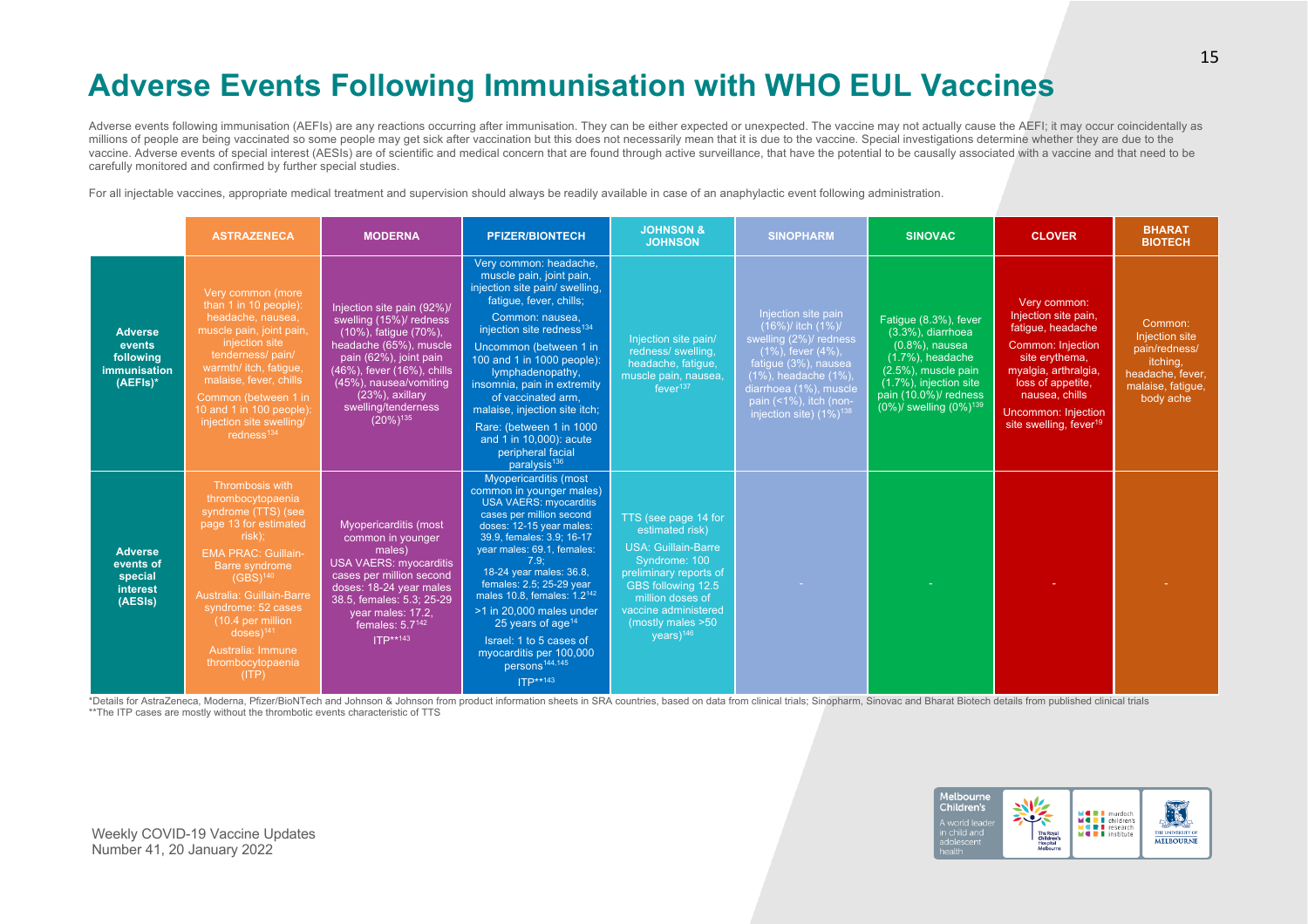# **Adverse Events Following Immunisation with WHO EUL Vaccines**

Adverse events following immunisation (AEFIs) are any reactions occurring after immunisation. They can be either expected or unexpected. The vaccine may not actually cause the AEFI; it may occur coincidentally as millions of people are being vaccinated so some people may get sick after vaccination but this does not necessarily mean that it is due to the vaccine. Special investigations determine whether they are due to the vaccine. Adverse events of special interest (AESIs) are of scientific and medical concern that are found through active surveillance, that have the potential to be causally associated with a vaccine and that need to be carefully monitored and confirmed by further special studies.

For all injectable vaccines, appropriate medical treatment and supervision should always be readily available in case of an anaphylactic event following administration.

|                                                                             | <b>ASTRAZENECA</b>                                                                                                                                                                                                                                                                                                           | <b>MODERNA</b>                                                                                                                                                                                                                                            | <b>PFIZER/BIONTECH</b>                                                                                                                                                                                                                                                                                                                                                                                                                                                     | <b>JOHNSON &amp;</b><br><b>JOHNSON</b>                                                                                                                                                                                             | <b>SINOPHARM</b>                                                                                                                                                                                                                     | <b>SINOVAC</b>                                                                                                                                                                                           | <b>CLOVER</b>                                                                                                                                                                                                                              | <b>BHARAT</b><br><b>BIOTECH</b>                                                                              |
|-----------------------------------------------------------------------------|------------------------------------------------------------------------------------------------------------------------------------------------------------------------------------------------------------------------------------------------------------------------------------------------------------------------------|-----------------------------------------------------------------------------------------------------------------------------------------------------------------------------------------------------------------------------------------------------------|----------------------------------------------------------------------------------------------------------------------------------------------------------------------------------------------------------------------------------------------------------------------------------------------------------------------------------------------------------------------------------------------------------------------------------------------------------------------------|------------------------------------------------------------------------------------------------------------------------------------------------------------------------------------------------------------------------------------|--------------------------------------------------------------------------------------------------------------------------------------------------------------------------------------------------------------------------------------|----------------------------------------------------------------------------------------------------------------------------------------------------------------------------------------------------------|--------------------------------------------------------------------------------------------------------------------------------------------------------------------------------------------------------------------------------------------|--------------------------------------------------------------------------------------------------------------|
| <b>Adverse</b><br>events<br>following<br><b>immunisation</b><br>$(AEFIs)^*$ | Very common (more<br>than 1 in 10 people):<br>headache, nausea,<br>muscle pain, joint pain,<br>injection site<br>tenderness/pain/<br>warmth/ itch, fatigue,<br>malaise, fever, chills<br>Common (between 1 in<br>10 and 1 in 100 people):<br>injection site swelling/<br>redness $134$                                       | Injection site pain (92%)/<br>swelling (15%)/ redness<br>(10%), fatigue (70%),<br>headache (65%), muscle<br>pain (62%), joint pain<br>(46%), fever (16%), chills<br>(45%), nausea/vomiting<br>$(23%)$ , axillary<br>swelling/tenderness<br>$(20\%)^{135}$ | Very common: headache,<br>muscle pain, joint pain,<br>injection site pain/ swelling,<br>fatique, fever, chills;<br>Common: nausea.<br>injection site redness <sup>134</sup><br>Uncommon (between 1 in<br>100 and 1 in 1000 people):<br>lymphadenopathy,<br>insomnia, pain in extremity<br>of vaccinated arm,<br>malaise, injection site itch;<br>Rare: (between 1 in 1000<br>and 1 in 10,000): acute<br>peripheral facial<br>paralysis <sup>136</sup>                      | Injection site pain/<br>redness/ swelling,<br>headache, fatigue,<br>muscle pain, nausea,<br>fever <sup>137</sup>                                                                                                                   | Injection site pain<br>(16%)/ itch (1%)/<br>swelling (2%)/ redness<br>$(1\%)$ , fever $(4\%)$ ,<br>fatigue (3%), nausea<br>(1%), headache (1%),<br>diarrhoea (1%), muscle<br>pain (<1%), itch (non-<br>injection site) $(1\%)^{138}$ | Fatigue (8.3%), fever<br>$(3.3\%)$ , diarrhoea<br>$(0.8\%)$ , nausea<br>$(1.7\%)$ , headache<br>(2.5%), muscle pain<br>(1.7%), injection site<br>pain (10.0%)/ redness<br>$(0\%)$ swelling $(0\%)^{139}$ | Very common:<br>Injection site pain,<br>fatigue, headache<br><b>Common: Injection</b><br>site erythema,<br>myalgia, arthralgia,<br>loss of appetite,<br>nausea, chills<br><b>Uncommon: Injection</b><br>site swelling, fever <sup>19</sup> | Common:<br>Injection site<br>pain/redness/<br>itching,<br>headache, fever,<br>malaise, fatigue,<br>body ache |
| <b>Adverse</b><br>events of<br>special<br>interest<br>(AESIs)               | Thrombosis with<br>thrombocytopaenia<br>syndrome (TTS) (see<br>page 13 for estimated<br>risk);<br><b>EMA PRAC: Guillain-</b><br>Barre syndrome<br>$(GBS)^{140}$<br><b>Australia: Guillain-Barre</b><br>syndrome: 52 cases<br>(10.4 per million<br>$doses)$ <sup>141</sup><br>Australia: Immune<br>thrombocytopaenia<br>(ITP) | Myopericarditis (most<br>common in younger<br>males)<br><b>USA VAERS: myocarditis</b><br>cases per million second<br>doses: 18-24 year males<br>38.5, females: 5.3; 25-29<br>year males: 17.2,<br>females: $5.7^{142}$<br>ITP**143                        | Myopericarditis (most<br>common in younger males)<br><b>USA VAERS: myocarditis</b><br>cases per million second<br>doses: 12-15 year males:<br>39.9, females: 3.9; 16-17<br>year males: 69.1, females:<br>7.9:<br>18-24 year males: 36.8,<br>females: 2.5; 25-29 year<br>males 10.8, females: 1.2 <sup>142</sup><br>>1 in 20.000 males under<br>25 years of age $14$<br>Israel: 1 to 5 cases of<br>myocarditis per 100,000<br>persons <sup>144,145</sup><br><b>ITP**143</b> | TTS (see page 14 for<br>estimated risk)<br><b>USA: Guillain-Barre</b><br>Syndrome: 100<br>preliminary reports of<br>GBS following 12.5<br>million doses of<br>vaccine administered<br>(mostly males >50<br>$vears)$ <sup>146</sup> |                                                                                                                                                                                                                                      |                                                                                                                                                                                                          |                                                                                                                                                                                                                                            |                                                                                                              |

\*Details for AstraZeneca, Moderna, Pfizer/BioNTech and Johnson & Johnson from product information sheets in SRA countries, based on data from clinical trials; Sinopharm, Sinovac and Bharat Biotech details from published cl \*\*The ITP cases are mostly without the thrombotic events characteristic of TTS

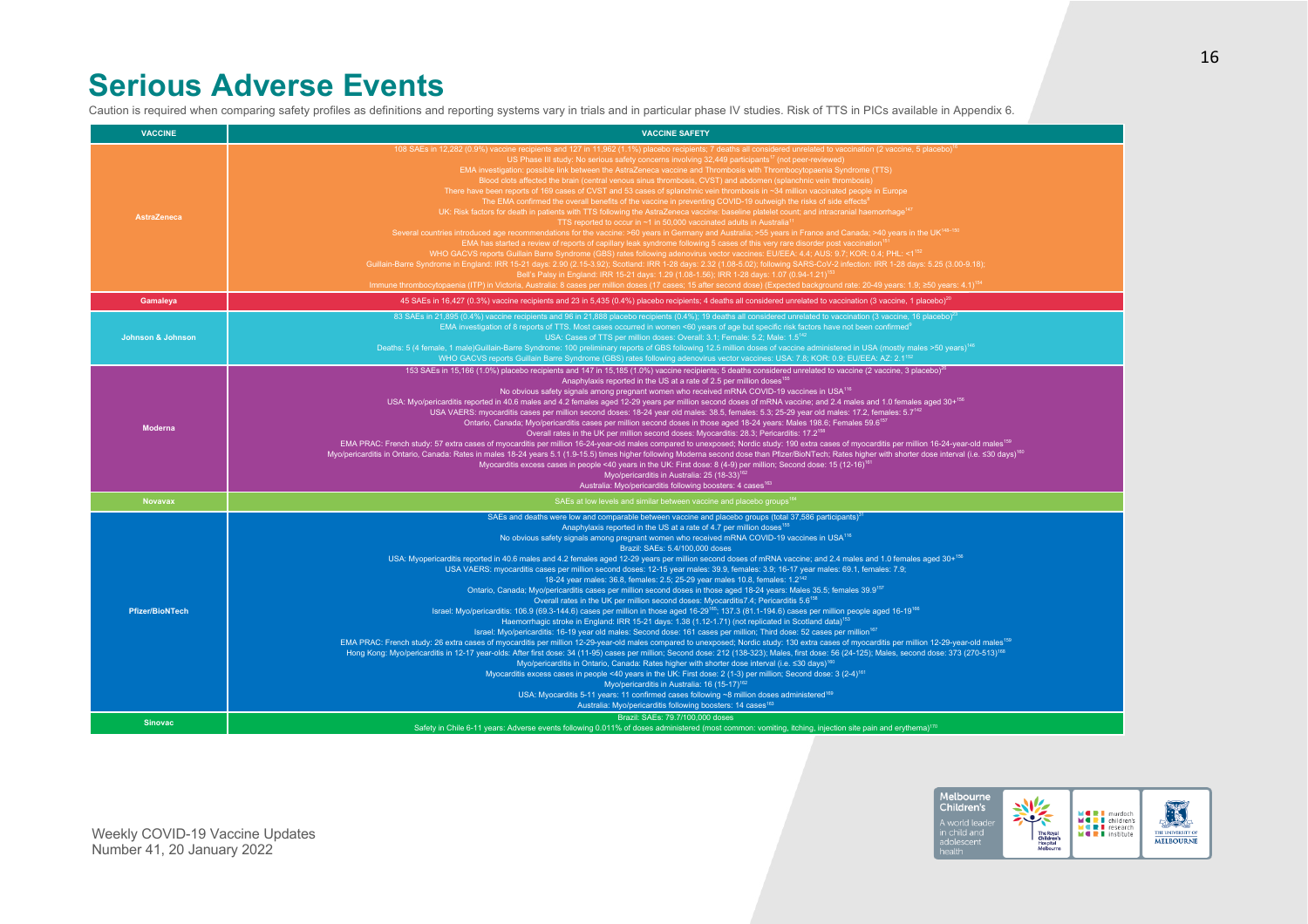### **Serious Adverse Events**

Caution is required when comparing safety profiles as definitions and reporting systems vary in trials and in particular phase IV studies. Risk of TTS in PICs available in Appendix 6.

| <b>VACCINE</b>               | <b>VACCINE SAFETY</b>                                                                                                                                                                                                                                                                                                                                                                                                                                                                                                                                                                                                                                                                                                                                                                                                                                                                                                                                                                                                                                                                                                                                                                                                                                                                                                                                                                                                                                                                                                                                                                                                                                                                                                                                                                                                                                                                                                                                                                                                                                                                                                                                                                                                                                                                                                                                                            |
|------------------------------|----------------------------------------------------------------------------------------------------------------------------------------------------------------------------------------------------------------------------------------------------------------------------------------------------------------------------------------------------------------------------------------------------------------------------------------------------------------------------------------------------------------------------------------------------------------------------------------------------------------------------------------------------------------------------------------------------------------------------------------------------------------------------------------------------------------------------------------------------------------------------------------------------------------------------------------------------------------------------------------------------------------------------------------------------------------------------------------------------------------------------------------------------------------------------------------------------------------------------------------------------------------------------------------------------------------------------------------------------------------------------------------------------------------------------------------------------------------------------------------------------------------------------------------------------------------------------------------------------------------------------------------------------------------------------------------------------------------------------------------------------------------------------------------------------------------------------------------------------------------------------------------------------------------------------------------------------------------------------------------------------------------------------------------------------------------------------------------------------------------------------------------------------------------------------------------------------------------------------------------------------------------------------------------------------------------------------------------------------------------------------------|
| <b>AstraZeneca</b>           | 108 SAEs in 12,282 (0.9%) vaccine recipients and 127 in 11,962 (1.1%) placebo recipients; 7 deaths all considered unrelated to vaccination (2 vaccine, 5 placebo) <sup>16</sup><br>US Phase III study: No serious safety concerns involving 32,449 participants <sup>17</sup> (not peer-reviewed)<br>EMA investigation: possible link between the AstraZeneca vaccine and Thrombosis with Thrombocytopaenia Syndrome (TTS)<br>Blood clots affected the brain (central venous sinus thrombosis, CVST) and abdomen (splanchnic vein thrombosis)<br>There have been reports of 169 cases of CVST and 53 cases of splanchnic vein thrombosis in ~34 million vaccinated people in Europe<br>The EMA confirmed the overall benefits of the vaccine in preventing COVID-19 outweigh the risks of side effects <sup>8</sup><br>UK: Risk factors for death in patients with TTS following the AstraZeneca vaccine: baseline platelet count; and intracranial haemorrhage <sup>147</sup><br>TTS reported to occur in $~1$ in 50,000 vaccinated adults in Australia <sup>11</sup><br>Several countries introduced age recommendations for the vaccine: >60 years in Germany and Australia; >55 years in France and Canada; >40 years in the UK <sup>148-150</sup><br>EMA has started a review of reports of capillary leak syndrome following 5 cases of this very rare disorder post vaccination <sup>15</sup><br>WHO GACVS reports Guillain Barre Syndrome (GBS) rates following adenovirus vector vaccines: EU/EEA: 4.4; AUS: 9.7; KOR: 0.4; PHL: <1 <sup>152</sup><br>Guillain-Barre Syndrome in England: IRR 15-21 days: 2.90 (2.15-3.92); Scotland: IRR 1-28 days: 2.32 (1.08-5.02); following SARS-CoV-2 infection: IRR 1-28 days: 5.25 (3.00-9.18);<br>Bell's Palsy in England: IRR 15-21 days: 1.29 (1.08-1.56); IRR 1-28 days: 1.07 (0.94-1.21) <sup>153</sup><br>Immune thrombocytopaenia (ITP) in Victoria, Australia: 8 cases per million doses (17 cases; 15 after second dose) (Expected background rate: 20-49 years: 1.9; ≥50 years: 4.1) <sup>154</sup>                                                                                                                                                                                                                                                                                                                   |
| Gamaleya                     | 45 SAEs in 16,427 (0.3%) vaccine recipients and 23 in 5,435 (0.4%) placebo recipients; 4 deaths all considered unrelated to vaccination (3 vaccine, 1 placebo) <sup>20</sup>                                                                                                                                                                                                                                                                                                                                                                                                                                                                                                                                                                                                                                                                                                                                                                                                                                                                                                                                                                                                                                                                                                                                                                                                                                                                                                                                                                                                                                                                                                                                                                                                                                                                                                                                                                                                                                                                                                                                                                                                                                                                                                                                                                                                     |
| <b>Johnson &amp; Johnson</b> | 83 SAEs in 21,895 (0.4%) vaccine recipients and 96 in 21,888 placebo recipients (0.4%); 19 deaths all considered unrelated to vaccination (3 vaccine, 16 placebo) <sup>23</sup><br>EMA investigation of 8 reports of TTS. Most cases occurred in women <60 years of age but specific risk factors have not been confirmed <sup>9</sup><br>USA: Cases of TTS per million doses: Overall: 3.1; Female: 5.2; Male: 1.5 <sup>142</sup><br>Deaths: 5 (4 female, 1 male)Guillain-Barre Syndrome: 100 preliminary reports of GBS following 12.5 million doses of vaccine administered in USA (mostly males >50 years) <sup>146</sup><br>WHO GACVS reports Guillain Barre Syndrome (GBS) rates following adenovirus vector vaccines: USA: 7.8; KOR: 0.9; EU/EEA: AZ: 2.1 <sup>152</sup>                                                                                                                                                                                                                                                                                                                                                                                                                                                                                                                                                                                                                                                                                                                                                                                                                                                                                                                                                                                                                                                                                                                                                                                                                                                                                                                                                                                                                                                                                                                                                                                                  |
| <b>Moderna</b>               | 153 SAEs in 15,166 (1.0%) placebo recipients and 147 in 15,185 (1.0%) vaccine recipients; 5 deaths considered unrelated to vaccine (2 vaccine, 3 placebo) <sup>26</sup><br>Anaphylaxis reported in the US at a rate of 2.5 per million doses <sup>155</sup><br>No obvious safety signals among pregnant women who received mRNA COVID-19 vaccines in USA <sup>116</sup><br>USA: Myo/pericarditis reported in 40.6 males and 4.2 females aged 12-29 years per million second doses of mRNA vaccine; and 2.4 males and 1.0 females aged 30+156<br>USA VAERS: myocarditis cases per million second doses: 18-24 year old males: 38.5, females: 5.3; 25-29 year old males: 17.2, females: 5.7 <sup>142</sup><br>Ontario, Canada; Myo/pericarditis cases per million second doses in those aged 18-24 years: Males 198.6; Females 59.6 <sup>157</sup><br>Overall rates in the UK per million second doses: Myocarditis: 28.3; Pericarditis: 17.2 <sup>158</sup><br>EMA PRAC: French study: 57 extra cases of myocarditis per million 16-24-year-old males compared to unexposed; Nordic study: 190 extra cases of myocarditis per million 16-24-year-old males <sup>159</sup><br>Myo/pericarditis in Ontario, Canada: Rates in males 18-24 years 5.1 (1.9-15.5) times higher following Moderna second dose than Pfizer/BioNTech; Rates higher with shorter dose interval (i.e. ≤30 days) <sup>160</sup><br>Myocarditis excess cases in people <40 years in the UK: First dose: 8 (4-9) per million; Second dose: 15 (12-16) <sup>161</sup><br>Mvo/pericarditis in Australia: 25 (18-33) <sup>162</sup><br>Australia: Myo/pericarditis following boosters: 4 cases <sup>163</sup>                                                                                                                                                                                                                                                                                                                                                                                                                                                                                                                                                                                                                                                                                                      |
| <b>Novavax</b>               | SAEs at low levels and similar between vaccine and placebo groups <sup>164</sup>                                                                                                                                                                                                                                                                                                                                                                                                                                                                                                                                                                                                                                                                                                                                                                                                                                                                                                                                                                                                                                                                                                                                                                                                                                                                                                                                                                                                                                                                                                                                                                                                                                                                                                                                                                                                                                                                                                                                                                                                                                                                                                                                                                                                                                                                                                 |
| <b>Pfizer/BioNTech</b>       | SAEs and deaths were low and comparable between vaccine and placebo groups (total 37,586 participants) <sup>31</sup><br>Anaphylaxis reported in the US at a rate of 4.7 per million doses <sup>155</sup><br>No obvious safety signals among pregnant women who received mRNA COVID-19 vaccines in USA <sup>116</sup><br>Brazil: SAEs: 5.4/100,000 doses<br>USA: Myopericarditis reported in 40.6 males and 4.2 females aged 12-29 years per million second doses of mRNA vaccine; and 2.4 males and 1.0 females aged 30+ <sup>156</sup><br>USA VAERS: myocarditis cases per million second doses: 12-15 year males: 39.9, females: 3.9; 16-17 year males: 69.1, females: 7.9;<br>18-24 year males: 36.8, females: 2.5; 25-29 year males 10.8, females: 1.2 <sup>142</sup><br>Ontario, Canada; Myo/pericarditis cases per million second doses in those aged 18-24 years: Males 35.5; females 39.9157<br>Overall rates in the UK per million second doses: Myocarditis7.4; Pericarditis 5.6 <sup>158</sup><br>Israel: Myo/pericarditis: 106.9 (69.3-144.6) cases per million in those aged 16-29 <sup>165</sup> ; 137.3 (81.1-194.6) cases per million people aged 16-19 <sup>166</sup><br>Haemorrhagic stroke in England: IRR 15-21 days: 1.38 (1.12-1.71) (not replicated in Scotland data) <sup>153</sup><br>Israel: Myo/pericarditis: 16-19 year old males: Second dose: 161 cases per million; Third dose: 52 cases per million <sup>167</sup><br>EMA PRAC: French study: 26 extra cases of myocarditis per million 12-29-year-old males compared to unexposed; Nordic study: 130 extra cases of myocarditis per million 12-29-year-old males <sup>159</sup><br>Hong Kong: Myo/pericarditis in 12-17 year-olds: After first dose: 34 (11-95) cases per million; Second dose: 212 (138-323); Males, first dose: 56 (24-125); Males, second dose: 373 (270-513) <sup>168</sup><br>Myo/pericarditis in Ontario, Canada: Rates higher with shorter dose interval (i.e. ≤30 days) <sup>160</sup><br>Myocarditis excess cases in people <40 years in the UK: First dose: 2 (1-3) per million; Second dose: 3 (2-4) <sup>161</sup><br>Myo/pericarditis in Australia: 16 (15-17) <sup>162</sup><br>USA: Myocarditis 5-11 years: 11 confirmed cases following ~8 million doses administered <sup>169</sup><br>Australia: Myo/pericarditis following boosters: 14 cases <sup>163</sup> |
| <b>Sinovac</b>               | Brazil: SAEs: 79.7/100,000 doses<br>Safety in Chile 6-11 years: Adverse events following 0.011% of doses administered (most common: vomiting, itching, injection site pain and erythema) <sup>170</sup>                                                                                                                                                                                                                                                                                                                                                                                                                                                                                                                                                                                                                                                                                                                                                                                                                                                                                                                                                                                                                                                                                                                                                                                                                                                                                                                                                                                                                                                                                                                                                                                                                                                                                                                                                                                                                                                                                                                                                                                                                                                                                                                                                                          |

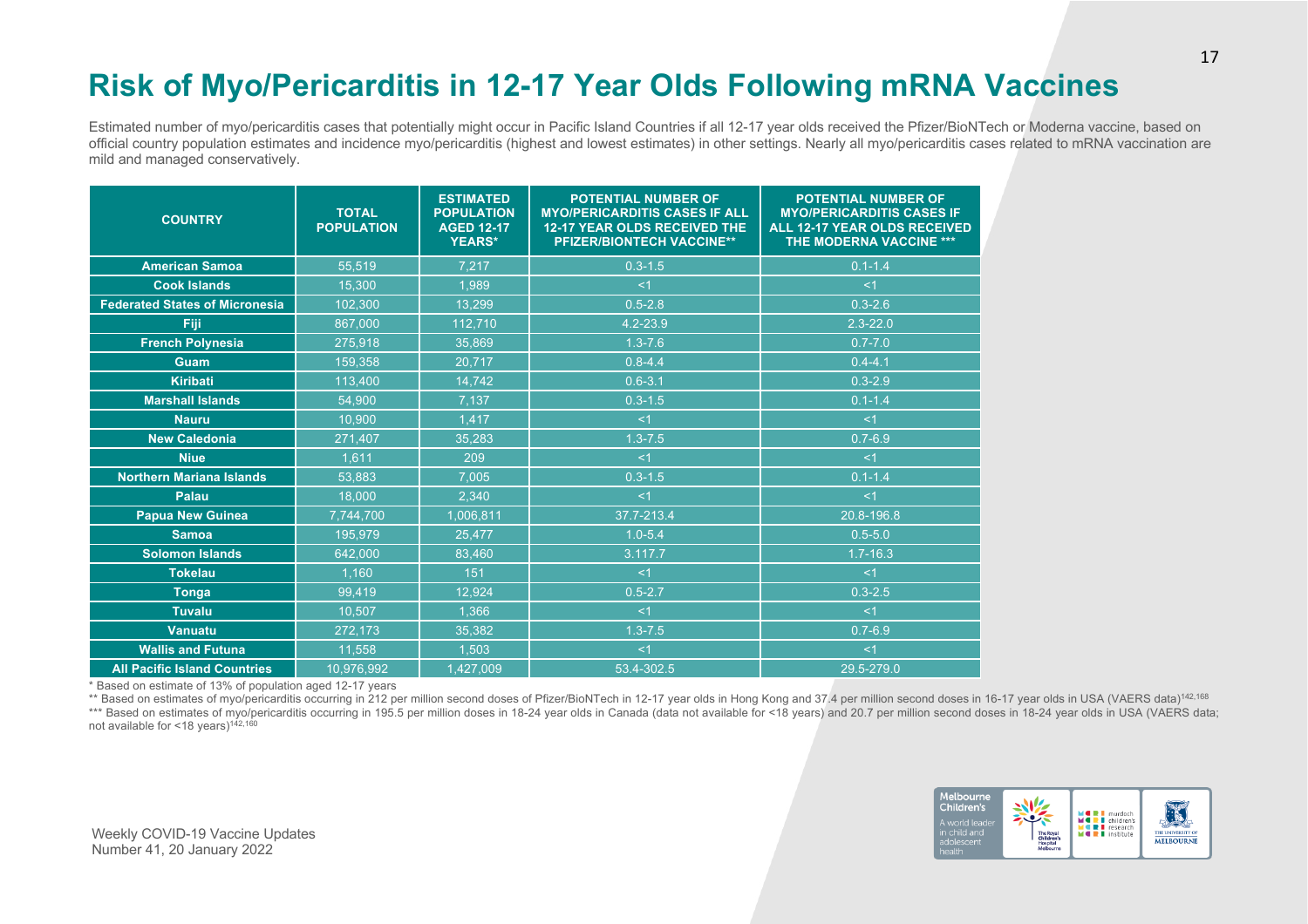# **Risk of Myo/Pericarditis in 12-17 Year Olds Following mRNA Vaccines**

Estimated number of myo/pericarditis cases that potentially might occur in Pacific Island Countries if all 12-17 year olds received the Pfizer/BioNTech or Moderna vaccine, based on official country population estimates and incidence myo/pericarditis (highest and lowest estimates) in other settings. Nearly all myo/pericarditis cases related to mRNA vaccination are mild and managed conservatively.

| <b>COUNTRY</b>                        | <b>TOTAL</b><br><b>POPULATION</b> | <b>ESTIMATED</b><br><b>POPULATION</b><br><b>AGED 12-17</b><br><b>YEARS*</b> | <b>POTENTIAL NUMBER OF</b><br><b>MYO/PERICARDITIS CASES IF ALL</b><br><b>12-17 YEAR OLDS RECEIVED THE</b><br><b>PFIZER/BIONTECH VACCINE**</b> | <b>POTENTIAL NUMBER OF</b><br><b>MYO/PERICARDITIS CASES IF</b><br><b>ALL 12-17 YEAR OLDS RECEIVED</b><br><b>THE MODERNA VACCINE ***</b> |
|---------------------------------------|-----------------------------------|-----------------------------------------------------------------------------|-----------------------------------------------------------------------------------------------------------------------------------------------|-----------------------------------------------------------------------------------------------------------------------------------------|
| <b>American Samoa</b>                 | 55,519                            | 7,217                                                                       | $0.3 - 1.5$                                                                                                                                   | $0.1 - 1.4$                                                                                                                             |
| <b>Cook Islands</b>                   | 15,300                            | 1,989                                                                       | < 1                                                                                                                                           | $<$ 1                                                                                                                                   |
| <b>Federated States of Micronesia</b> | 102,300                           | 13,299                                                                      | $0.5 - 2.8$                                                                                                                                   | $0.3 - 2.6$                                                                                                                             |
| Fiji                                  | 867,000                           | 112,710                                                                     | 4.2-23.9                                                                                                                                      | $2.3 - 22.0$                                                                                                                            |
| <b>French Polynesia</b>               | 275.918                           | 35.869                                                                      | $1.3 - 7.6$                                                                                                                                   | $0.7 - 7.0$                                                                                                                             |
| Guam                                  | 159.358                           | 20,717                                                                      | $0.8 - 4.4$                                                                                                                                   | $0.4 - 4.1$                                                                                                                             |
| <b>Kiribati</b>                       | 113,400                           | 14,742                                                                      | $0.6 - 3.1$                                                                                                                                   | $0.3 - 2.9$                                                                                                                             |
| <b>Marshall Islands</b>               | 54,900                            | 7.137                                                                       | $0.3 - 1.5$                                                                                                                                   | $0.1 - 1.4$                                                                                                                             |
| <b>Nauru</b>                          | 10.900                            | 1,417                                                                       | <1                                                                                                                                            | $<$ 1                                                                                                                                   |
| <b>New Caledonia</b>                  | 271,407                           | 35.283                                                                      | $1.3 - 7.5$                                                                                                                                   | $0.7 - 6.9$                                                                                                                             |
| <b>Niue</b>                           | 1,611                             | 209                                                                         | <1                                                                                                                                            | $<$ 1                                                                                                                                   |
| <b>Northern Mariana Islands</b>       | 53.883                            | 7.005                                                                       | $0.3 - 1.5$                                                                                                                                   | $0.1 - 1.4$                                                                                                                             |
| Palau                                 | 18,000                            | 2,340                                                                       | <1                                                                                                                                            | <1                                                                                                                                      |
| <b>Papua New Guinea</b>               | 7,744,700                         | 1,006,811                                                                   | 37.7-213.4                                                                                                                                    | 20.8-196.8                                                                                                                              |
| <b>Samoa</b>                          | 195.979                           | 25.477                                                                      | $1.0 - 5.4$                                                                                                                                   | $0.5 - 5.0$                                                                                                                             |
| <b>Solomon Islands</b>                | 642,000                           | 83,460                                                                      | 3.117.7                                                                                                                                       | $1.7 - 16.3$                                                                                                                            |
| <b>Tokelau</b>                        | 1,160                             | 151                                                                         | < 1                                                                                                                                           | < 1                                                                                                                                     |
| <b>Tonga</b>                          | 99,419                            | 12,924                                                                      | $0.5 - 2.7$                                                                                                                                   | $0.3 - 2.5$                                                                                                                             |
| <b>Tuvalu</b>                         | 10,507                            | 1,366                                                                       | <1                                                                                                                                            | $<$ 1                                                                                                                                   |
| <b>Vanuatu</b>                        | 272,173                           | 35.382                                                                      | $1.3 - 7.5$                                                                                                                                   | $0.7 - 6.9$                                                                                                                             |
| <b>Wallis and Futuna</b>              | 11.558                            | 1,503                                                                       | <1                                                                                                                                            | $<$ 1                                                                                                                                   |
| <b>All Pacific Island Countries</b>   | 10,976,992                        | 1,427,009                                                                   | 53.4-302.5                                                                                                                                    | 29.5-279.0                                                                                                                              |

\* Based on estimate of 13% of population aged 12-17 years

\*\* Based on estimates of myo/pericarditis occurring in 212 per million second doses of Pfizer/BioNTech in 12-17 year olds in Hong Kong and 37.4 per million second doses in 16-17 year olds in USA (VAERS data)<sup>142,168</sup> \*\*\* Based on estimates of myo/pericarditis occurring in 195.5 per million doses in 18-24 year olds in Canada (data not available for <18 years) and 20.7 per million second doses in 18-24 year olds in USA (VAERS data; not available for <18 years)<sup>142,160</sup>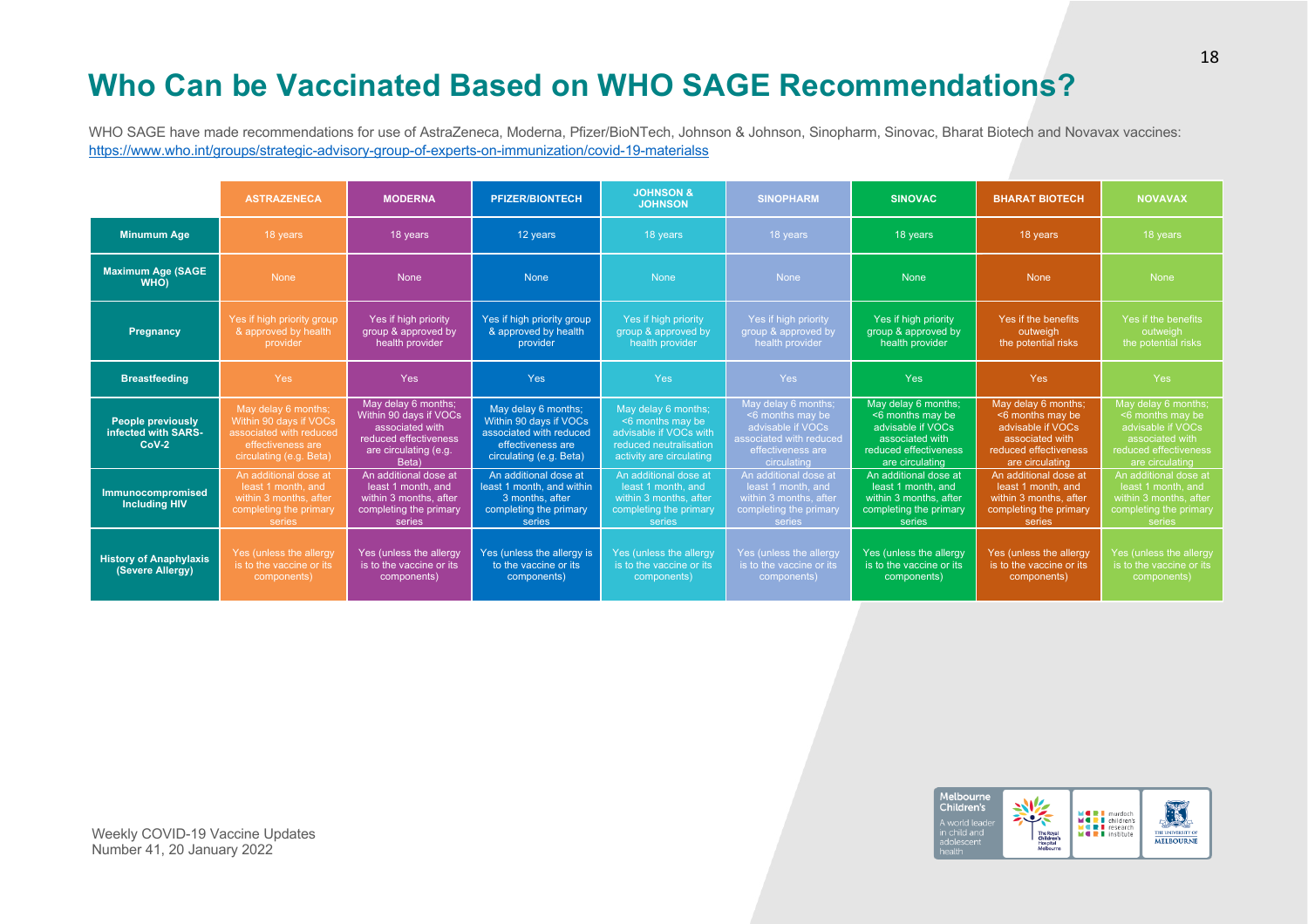# **Who Can be Vaccinated Based on WHO SAGE Recommendations?**

WHO SAGE have made recommendations for use of AstraZeneca, Moderna, Pfizer/BioNTech, Johnson & Johnson, Sinopharm, Sinovac, Bharat Biotech and Novavax vaccines: https://www.who.int/groups/strategic-advisory-group-of-experts-on-immunization/covid-19-materialss

|                                                            | <b>ASTRAZENECA</b>                                                                                                       | <b>MODERNA</b>                                                                                                              | <b>PFIZER/BIONTECH</b>                                                                                                   | <b>JOHNSON &amp;</b><br><b>JOHNSON</b>                                                                                  | <b>SINOPHARM</b>                                                                                                            | <b>SINOVAC</b>                                                                                                              | <b>BHARAT BIOTECH</b>                                                                                                       | <b>NOVAVAX</b>                                                                                                                 |
|------------------------------------------------------------|--------------------------------------------------------------------------------------------------------------------------|-----------------------------------------------------------------------------------------------------------------------------|--------------------------------------------------------------------------------------------------------------------------|-------------------------------------------------------------------------------------------------------------------------|-----------------------------------------------------------------------------------------------------------------------------|-----------------------------------------------------------------------------------------------------------------------------|-----------------------------------------------------------------------------------------------------------------------------|--------------------------------------------------------------------------------------------------------------------------------|
| <b>Minumum Age</b>                                         | 18 years                                                                                                                 | 18 years                                                                                                                    | 12 years                                                                                                                 | 18 years                                                                                                                | 18 years                                                                                                                    | 18 years                                                                                                                    | 18 years                                                                                                                    | 18 years                                                                                                                       |
| <b>Maximum Age (SAGE)</b><br><b>WHO</b>                    | <b>None</b>                                                                                                              | <b>None</b>                                                                                                                 | <b>None</b>                                                                                                              | <b>None</b>                                                                                                             | <b>None</b>                                                                                                                 | <b>None</b>                                                                                                                 | <b>None</b>                                                                                                                 | <b>None</b>                                                                                                                    |
| Pregnancy                                                  | Yes if high priority group<br>& approved by health<br>provider                                                           | Yes if high priority<br>group & approved by<br>health provider                                                              | Yes if high priority group<br>& approved by health<br>provider                                                           | Yes if high priority<br>group & approved by<br>health provider                                                          | Yes if high priority<br>group & approved by<br>health provider                                                              | Yes if high priority<br>group & approved by<br>health provider                                                              | Yes if the benefits<br>outweigh<br>the potential risks                                                                      | Yes if the benefits<br>outweigh<br>the potential risks                                                                         |
| <b>Breastfeeding</b>                                       | Yes                                                                                                                      | <b>Yes</b>                                                                                                                  | <b>Yes</b>                                                                                                               | <b>Yes</b>                                                                                                              | Yes:                                                                                                                        | Yes                                                                                                                         | <b>Yes</b>                                                                                                                  | Yes:                                                                                                                           |
| <b>People previously</b><br>infected with SARS-<br>$CoV-2$ | May delay 6 months;<br>Within 90 days if VOCs<br>associated with reduced<br>effectiveness are<br>circulating (e.g. Beta) | May delay 6 months;<br>Within 90 days if VOCs<br>associated with<br>reduced effectiveness<br>are circulating (e.g.<br>Beta) | May delay 6 months;<br>Within 90 days if VOCs<br>associated with reduced<br>effectiveness are<br>circulating (e.g. Beta) | May delay 6 months;<br><6 months may be<br>advisable if VOCs with<br>reduced neutralisation<br>activity are circulating | May delay 6 months;<br><6 months may be<br>advisable if VOCs<br>associated with reduced<br>effectiveness are<br>circulating | May delay 6 months;<br><6 months may be<br>advisable if VOCs<br>associated with<br>reduced effectiveness<br>are circulating | May delay 6 months;<br><6 months may be<br>advisable if VOCs<br>associated with<br>reduced effectiveness<br>are circulating | May delay 6 months;<br>$<$ 6 months may be<br>advisable if VOCs<br>associated with<br>reduced effectiveness<br>are circulating |
| Immunocompromised<br><b>Including HIV</b>                  | An additional dose at<br>least 1 month, and<br>within 3 months, after<br>completing the primary<br>series                | An additional dose at<br>least 1 month, and<br>within 3 months, after<br>completing the primary<br>series                   | An additional dose at<br>least 1 month, and within<br>3 months, after<br>completing the primary<br>series                | An additional dose at<br>least 1 month, and<br>within 3 months, after<br>completing the primary<br>series               | An additional dose at<br>least 1 month, and<br>within 3 months, after<br>completing the primary<br>series                   | An additional dose at<br>least 1 month, and<br>within 3 months, after<br>completing the primary<br>series                   | An additional dose at<br>least 1 month, and<br>within 3 months, after<br>completing the primary<br>series                   | An additional dose at<br>least 1 month, and<br>within 3 months, after<br>completing the primary<br>series                      |
| <b>History of Anaphylaxis</b><br>(Severe Allergy)          | Yes (unless the allergy<br>is to the vaccine or its<br>components)                                                       | Yes (unless the allergy<br>is to the vaccine or its<br>components)                                                          | Yes (unless the allergy is<br>to the vaccine or its<br>components)                                                       | Yes (unless the allergy<br>is to the vaccine or its<br>components)                                                      | Yes (unless the allergy<br>is to the vaccine or its<br>components)                                                          | Yes (unless the allergy<br>is to the vaccine or its<br>components)                                                          | Yes (unless the allergy<br>is to the vaccine or its<br>components)                                                          | Yes (unless the allergy<br>is to the vaccine or its<br>components)                                                             |

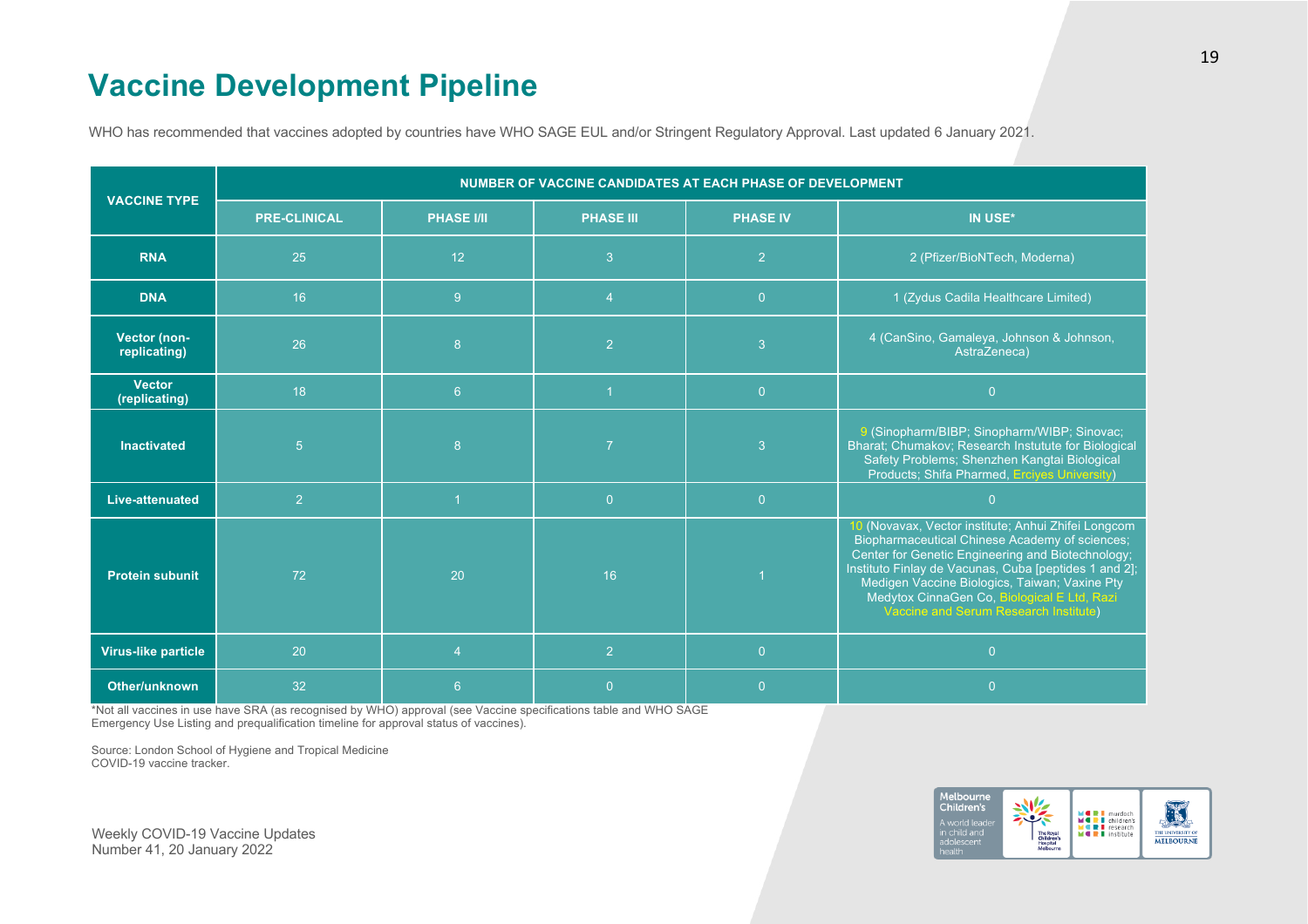# **Vaccine Development Pipeline**

WHO has recommended that vaccines adopted by countries have WHO SAGE EUL and/or Stringent Regulatory Approval. Last updated 6 January 2021.

| <b>VACCINE TYPE</b>            | NUMBER OF VACCINE CANDIDATES AT EACH PHASE OF DEVELOPMENT |                         |                  |                 |                                                                                                                                                                                                                                                                                                                                                                     |  |  |
|--------------------------------|-----------------------------------------------------------|-------------------------|------------------|-----------------|---------------------------------------------------------------------------------------------------------------------------------------------------------------------------------------------------------------------------------------------------------------------------------------------------------------------------------------------------------------------|--|--|
|                                | <b>PRE-CLINICAL</b>                                       | <b>PHASE I/II</b>       | <b>PHASE III</b> | <b>PHASE IV</b> | IN USE*                                                                                                                                                                                                                                                                                                                                                             |  |  |
| <b>RNA</b>                     | 25                                                        | 12                      | 3                | 2               | 2 (Pfizer/BioNTech, Moderna)                                                                                                                                                                                                                                                                                                                                        |  |  |
| <b>DNA</b>                     | 16                                                        | 9                       | $\overline{4}$   | $\overline{0}$  | 1 (Zydus Cadila Healthcare Limited)                                                                                                                                                                                                                                                                                                                                 |  |  |
| Vector (non-<br>replicating)   | 26                                                        | $\boldsymbol{8}$        | $\overline{2}$   | 3               | 4 (CanSino, Gamaleya, Johnson & Johnson,<br>AstraZeneca)                                                                                                                                                                                                                                                                                                            |  |  |
| <b>Vector</b><br>(replicating) | 18                                                        | 6 <sup>°</sup>          |                  | $\overline{0}$  | $\overline{0}$                                                                                                                                                                                                                                                                                                                                                      |  |  |
| <b>Inactivated</b>             | 5 <sup>5</sup>                                            | $\boldsymbol{8}$        | $\overline{7}$   | $\overline{3}$  | 9 (Sinopharm/BIBP; Sinopharm/WIBP; Sinovac;<br>Bharat; Chumakov; Research Instutute for Biological<br>Safety Problems; Shenzhen Kangtai Biological<br>Products; Shifa Pharmed, Ercives University)                                                                                                                                                                  |  |  |
| <b>Live-attenuated</b>         | 2 <sup>1</sup>                                            | $\mathbf{1}$            | $\overline{0}$   | $\overline{0}$  | $\overline{0}$                                                                                                                                                                                                                                                                                                                                                      |  |  |
| <b>Protein subunit</b>         | 72                                                        | 20                      | 16               |                 | 10 (Novavax, Vector institute; Anhui Zhifei Longcom<br>Biopharmaceutical Chinese Academy of sciences;<br>Center for Genetic Engineering and Biotechnology;<br>Instituto Finlay de Vacunas, Cuba [peptides 1 and 2];<br>Medigen Vaccine Biologics, Taiwan; Vaxine Pty<br>Medytox CinnaGen Co, Biological E Ltd, Razi<br><b>Vaccine and Serum Research Institute)</b> |  |  |
| <b>Virus-like particle</b>     | 20                                                        | $\overline{\mathbf{4}}$ | $\overline{2}$   | $\overline{0}$  | $\overline{0}$                                                                                                                                                                                                                                                                                                                                                      |  |  |
| Other/unknown                  | 32                                                        | $6\phantom{1}6$         | $\overline{0}$   | $\Omega$        | $\overline{0}$                                                                                                                                                                                                                                                                                                                                                      |  |  |

\*Not all vaccines in use have SRA (as recognised by WHO) approval (see Vaccine specifications table and WHO SAGE Emergency Use Listing and prequalification timeline for approval status of vaccines).

Source: London School of Hygiene and Tropical Medicine COVID-19 vaccine tracker.

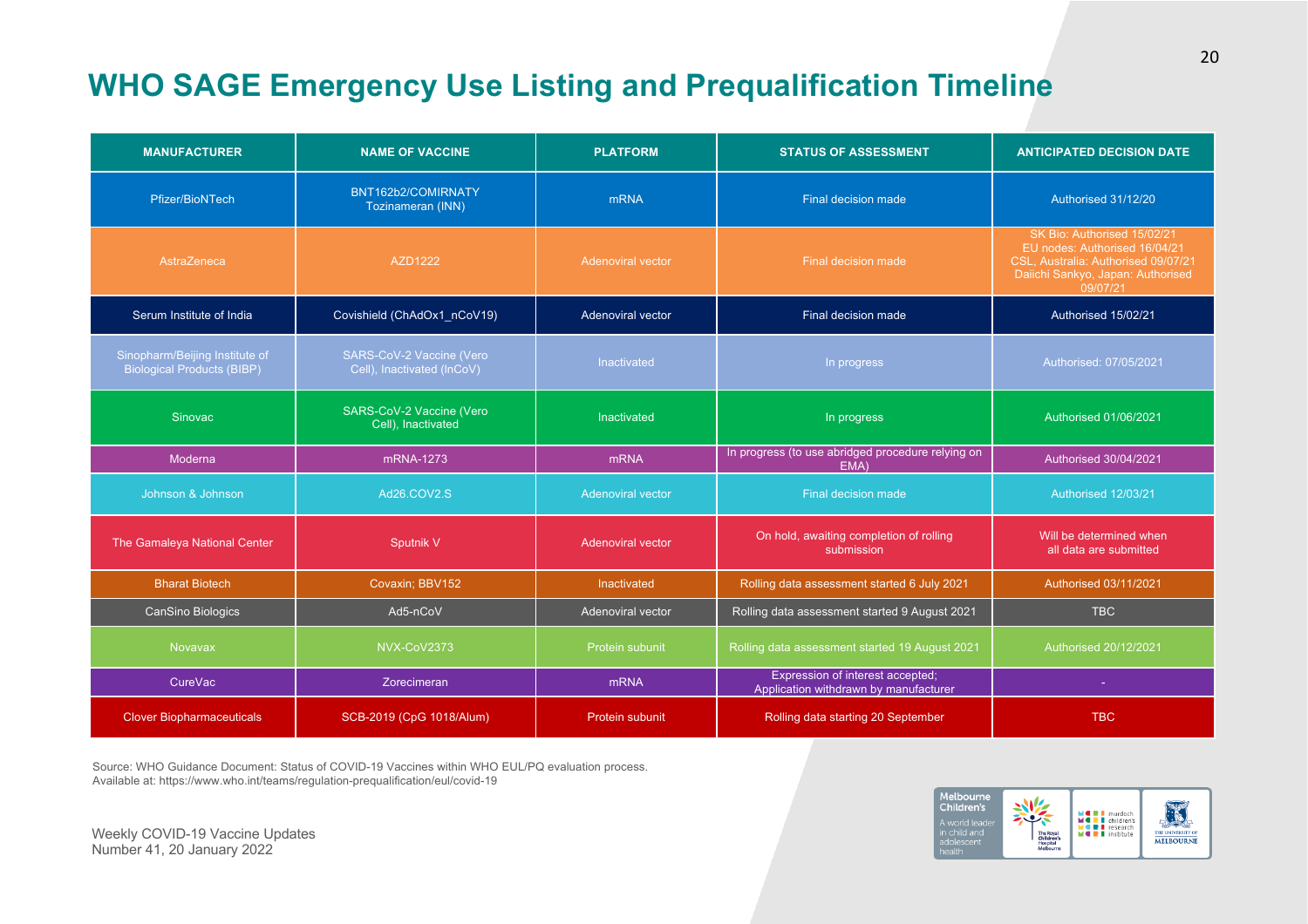# **WHO SAGE Emergency Use Listing and Prequalification Timeline**

| <b>MANUFACTURER</b>                                                 | <b>NAME OF VACCINE</b>                                 | <b>PLATFORM</b>                                 | <b>STATUS OF ASSESSMENT</b>                                               | <b>ANTICIPATED DECISION DATE</b>                                                                                                                     |
|---------------------------------------------------------------------|--------------------------------------------------------|-------------------------------------------------|---------------------------------------------------------------------------|------------------------------------------------------------------------------------------------------------------------------------------------------|
| Pfizer/BioNTech                                                     | BNT162b2/COMIRNATY<br>Tozinameran (INN)                | <b>mRNA</b>                                     | Final decision made                                                       | Authorised 31/12/20                                                                                                                                  |
| AstraZeneca                                                         | AZD1222                                                | <b>Adenoviral vector</b><br>Final decision made |                                                                           | SK Bio: Authorised 15/02/21<br>EU nodes: Authorised 16/04/21<br>CSL, Australia: Authorised 09/07/21<br>Daiichi Sankyo, Japan: Authorised<br>09/07/21 |
| Serum Institute of India                                            | Covishield (ChAdOx1_nCoV19)                            | Final decision made<br>Adenoviral vector        |                                                                           | Authorised 15/02/21                                                                                                                                  |
| Sinopharm/Beijing Institute of<br><b>Biological Products (BIBP)</b> | SARS-CoV-2 Vaccine (Vero<br>Cell), Inactivated (InCoV) | <b>Inactivated</b><br>In progress               |                                                                           | Authorised: 07/05/2021                                                                                                                               |
| Sinovac                                                             | SARS-CoV-2 Vaccine (Vero<br>Cell), Inactivated         | Inactivated                                     | In progress                                                               | Authorised 01/06/2021                                                                                                                                |
| Moderna                                                             | mRNA-1273                                              | mRNA                                            | In progress (to use abridged procedure relying on<br>EMA)                 | Authorised 30/04/2021                                                                                                                                |
| Johnson & Johnson                                                   | Ad26.COV2.S                                            | <b>Adenoviral vector</b>                        | Final decision made                                                       | Authorised 12/03/21                                                                                                                                  |
| The Gamaleya National Center                                        | Sputnik V                                              | <b>Adenoviral vector</b>                        | On hold, awaiting completion of rolling<br>submission                     | Will be determined when<br>all data are submitted                                                                                                    |
| <b>Bharat Biotech</b>                                               | Covaxin; BBV152                                        | Inactivated                                     | Rolling data assessment started 6 July 2021                               | Authorised 03/11/2021                                                                                                                                |
| CanSino Biologics                                                   | Ad5-nCoV                                               | Adenoviral vector                               | Rolling data assessment started 9 August 2021                             | <b>TBC</b>                                                                                                                                           |
| <b>Novavax</b>                                                      | NVX-CoV2373                                            | Protein subunit                                 | Rolling data assessment started 19 August 2021                            | Authorised 20/12/2021                                                                                                                                |
| CureVac                                                             | Zorecimeran                                            | <b>mRNA</b>                                     | Expression of interest accepted;<br>Application withdrawn by manufacturer | ×                                                                                                                                                    |
| <b>Clover Biopharmaceuticals</b>                                    | SCB-2019 (CpG 1018/Alum)                               | Protein subunit                                 | Rolling data starting 20 September                                        | <b>TBC</b>                                                                                                                                           |

Source: WHO Guidance Document: Status of COVID-19 Vaccines within WHO EUL/PQ evaluation process. Available at: https://www.who.int/teams/regulation-prequalification/eul/covid-19

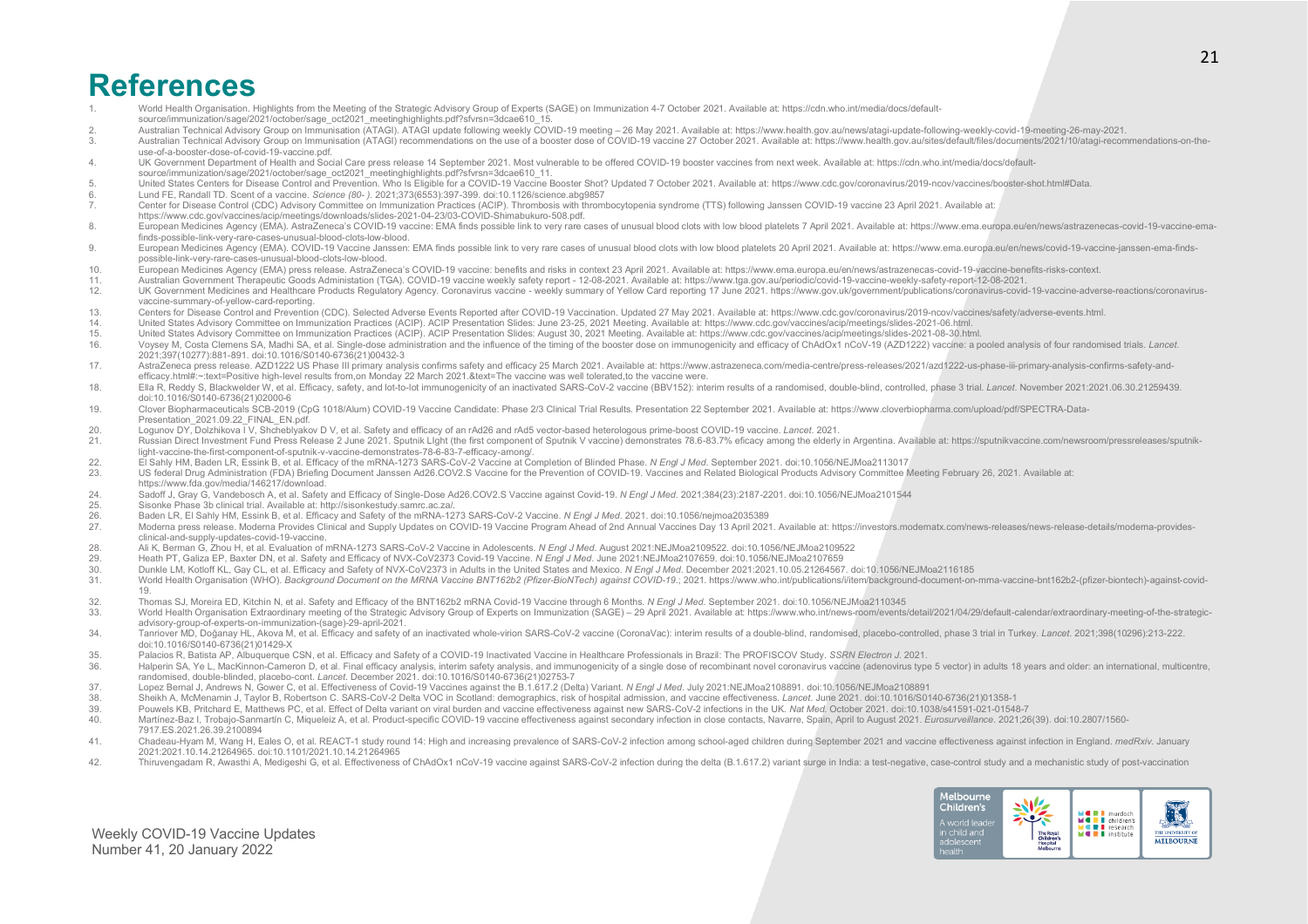### **References**

- 1. World Health Organisation. Highlights from the Meeting of the Strategic Advisory Group of Experts (SAGE) on Immunization 4-7 October 2021. Available at: https://cdn.who.int/media/docs/defaultsource/immunization/sage/2021/october/sage\_oct2021\_meetinghighlights.pdf?sfvrsn=3dcae610\_15.
- 2. Australian Technical Advisory Group on Immunisation (ATAGI). ATAGI update following weekly COVID-19 meeting -26 May 2021. Available at: https://www.health.gov.au/news/atagi-update-following-weekly-covid-19-meeting-26-ma
- Australian Technical Advisory Group on Immunisation (ATAGI) recommendations on the use of a booster dose of COVID-19 vaccine 27 October 2021. Available at: https://www.health.gov.au/sites/default/files/documents/2021/10/at use-of-a-booster-dose-of-covid-19-vaccine.pdf
- 4. UK Government Department of Health and Social Care press release 14 September 2021. Most vulnerable to be offered COVID-19 booster vaccines from next week. Available at: https://cdn.who.int/media/docs/defaultsource/immunization/sage/2021/october/sage\_oct2021\_meetinghighlights.pdf?sfvrsn=3dcae610\_11.
- 5. United States Centers for Disease Control and Prevention. Who Is Eligible for a COVID-19 Vaccine Booster Shot? Updated 7 October 2021. Available at: https://www.cdc.gov/coronavirus/2019-ncov/vaccines/booster-shot.html#D
- 6. Lund FE, Randall TD. Scent of a vaccine. *Science (80- )*. 2021;373(6553):397-399. doi:10.1126/science.abg9857
- 7. Center for Disease Control (CDC) Advisory Committee on Immunization Practices (ACIP). Thrombosis with thrombocytopenia syndrome (TTS) following Janssen COVID-19 vaccine 23 April 2021. Available at: https://www.cdc.gov/vaccines/acip/meetings/downloads/slides-2021-04-23/03-COVID-Shimabukuro-508.pdf.
- 8. European Medicines Agency (EMA). AstraZeneca's COVID-19 vaccine: EMA finds possible link to very rare cases of unusual blood clots with low blood platelets 7 April 2021. Available at: https://www.ema.europa.eu/en/news/a finds-possible-link-very-rare-cases-unusual-blood-clots-low-blood.
- 9. European Medicines Agency (EMA). COVID-19 Vaccine Janssen: EMA finds possible link to very rare cases of unusual blood clots with low blood platelets 20 April 2021. Available at: https://www.ema.europa.eu/en/news/covidpossible-link-very-rare-cases-unusual-blood-clots-low-blood.
- 10. European Medicines Agency (EMA) press release. AstraZeneca's COVID-19 vaccine: benefits and risks in context 23 April 2021. Available at: https://www.ema.europa.eu/en/news/astrazenecas-covid-19-vaccine-benefits-risks-c
- 11. Australian Government Therapeutic Goods Administation (TGA). COVID-19 vaccine weekly safety report 12-08-2021. Available at: https://www.tga.gov.au/periodic/covid-19-vaccine-weekly-safety-report-12-08-2021.<br>12. I. IK
- UK Government Medicines and Healthcare Products Regulatory Agency. Coronavirus vaccine weekly summary of Yellow Card reporting 17 June 2021. https://www.gov.uk/government/publications/coronavirus-covid-19-vaccine-adverse vaccine-summary-of-yellow-card-reporting.
- 13. Centers for Disease Control and Prevention (CDC). Selected Adverse Events Reported after COVID-19 Vaccination. Updated 27 May 2021. Available at: https://www.cdc.gov/coronavirus/2019-ncov/vaccines/safety/adverse-events
- 14. United States Advisory Committee on Immunization Practices (ACIP). ACIP Presentation Slides: June 23-25, 2021 Meeting. Available at: https://www.cdc.gov/vaccines/acip/meetings/slides-2021-06.html.<br>15. United States Adv
- 15. United States Advisory Committee on Immunization Practices (ACIP). ACIP Presentation Slides: August 30, 2021 Meeting. Available at: https://www.cdc.gov/vaccines/acip/meetings/slides-2021-08-30.html.<br>16. Voysey M. Costa
- Voysey M, Costa Clemens SA, Madhi SA, et al. Single-dose administration and the influence of the timing of the booster dose on immunogenicity and efficacy of ChAdOx1 nCoV-19 (AZD1222) vaccine: a pooled analysis of four ran 2021;397(10277):881-891. doi:10.1016/S0140-6736(21)00432-3
- 17. AstraZeneca press release, AZD1222 US Phase III primary analysis confirms safety and efficacy 25 March 2021. Available at: https://www.astrazeneca.com/media-centre/press-releases/2021/azd1222-us-phase-ili-primary-analy efficacy.html#:~:text=Positive high-level results from,on Monday 22 March 2021.&text=The vaccine was well tolerated,to the vaccine were.
- 18. Ella R, Reddy S, Blackwelder W, et al. Efficacy, safety, and lot-to-lot immunogenicity of an inactivated SARS-CoV-2 vaccine (BBV152): interim results of a randomised, double-blind, controlled, phase 3 trial. Lancet. No doi:10.1016/S0140-6736(21)02000-6
- 19. Clover Biopharmaceuticals SCB-2019 (CpG 1018/Alum) COVID-19 Vaccine Candidate: Phase 2/3 Clinical Trial Results. Presentation 22 September 2021. Available at: https://www.cloverbiopharma.com/upload/pdf/SPECTRA-Data-Presentation\_2021.09.22\_FINAL\_EN.pdf.
- 20. Logunov DY, Dolzhikova I V, Shcheblyakov D V, et al. Safety and efficacy of an rAd26 and rAd5 vector-based heterologous prime-boost COVID-19 vaccine. *Lancet*. 2021.
- Russian Direct Investment Fund Press Release 2 June 2021. Sputnik Light (the first component of Sputnik V vaccine) demonstrates 78.6-83.7% eficacy among the elderly in Argentina. Available at: https://sputnikvaccine.com/ne light-vaccine-the-first-component-of-sputnik-v-vaccine-demonstrates-78-6-83-7-efficacy-among/.
- 22. El Sahly HM, Baden LR, Essink B, et al. Efficacy of the mRNA-1273 SARS-CoV-2 Vaccine at Completion of Blinded Phase. *N Engl J Med*. September 2021. doi:10.1056/NEJMoa2113017
- 23. US federal Drug Administration (FDA) Briefing Document Janssen Ad26.COV2.S Vaccine for the Prevention of COVID-19. Vaccines and Related Biological Products Advisory Committee Meeting February 26, 2021. Available at:
- https://www.fda.gov/media/146217/download.
- 24. Sadoff J, Gray G, Vandebosch A, et al. Safety and Efficacy of Single-Dose Ad26.COV2.S Vaccine against Covid-19. N Engl J Med. 2021;384(23):2187-2201. doi:10.1056/NEJMoa2101544<br>25. Sisonke Phase 3b clinical trial. Avail
- 25. Sisonke Phase 3b clinical trial. Available at: http://sisonkestudy.samrc.ac.za/.<br>26 Baden LR, El Sably HM, Essink B, et al. Efficacy and Safety of the mRNA-12
- 26. Baden LR, El Sahly HM, Essink B, et al. Efficacy and Safety of the mRNA-1273 SARS-CoV-2 Vaccine. *N Engl J Med*. 2021. doi:10.1056/nejmoa2035389
- 27. Moderna press release. Moderna Provides Clinical and Supply Updates on COVID-19 Vaccine Program Ahead of 2nd Annual Vaccines Day 13 April 2021. Available at: https://investors.modernatx.com/news-releases/news-release-d clinical-and-supply-updates-covid-19-vaccine.
- 28. Ali K, Berman G, Zhou H, et al. Evaluation of mRNA-1273 SARS-CoV-2 Vaccine in Adolescents. *N Engl J Med*. August 2021:NEJMoa2109522. doi:10.1056/NEJMoa2109522
- 29. Heath PT, Galiza EP, Baxter DN, et al. Safety and Efficacy of NVX-CoV2373 Covid-19 Vaccine. *N Engl J Med*. June 2021:NEJMoa2107659. doi:10.1056/NEJMoa2107659
- 30. Dunkle LM, Kotloff KL, Gay CL, et al. Efficacy and Safety of NVX-CoV2373 in Adults in the United States and Mexico. *N Engl J Med.* December 2021:2021.10.05.21264567. doi:10.1056/NEJMoa2116185<br>31. World Health Organisa
- World Health Organisation (WHO). Background Document on the MRNA Vaccine BNT162b2 (Pfizer-BioNTech) against COVID-19.; 2021. https://www.who.int/publications/litem/background-document-on-mrna-vaccine-bnt162b2-(pfizer-biont 19.
- 32. Thomas SJ, Moreira ED, Kitchin N, et al. Safety and Efficacy of the BNT162b2 mRNA Covid-19 Vaccine through 6 Months. *N Engl J Med.* September 2021. doi:10.1056/NEJMoa2110345<br>33. World Health Organisation Extraordinary
- World Health Organisation Extraordinary meeting of the Strategic Advisory Group of Experts on Immunization (SAGE) 29 April 2021. Available at: https://www.who.int/news-room/events/detail/2021/04/29/default-calendar/extra
- advisory-group-of-experts-on-immunization-(sage)-29-april-2021.<br>34. Tanriover MD, Doğanay HL, Akova M, et al. Efficacy and safety of an inactivated whole-virion SARS-CoV-2 vaccine (CoronaVac): interim results of a double-b doi:10.1016/S0140-6736(21)01429-X
- 35. Palacios R, Batista AP, Albuquerque CSN, et al. Efficacy and Safety of a COVID-19 Inactivated Vaccine in Healthcare Professionals in Brazil: The PROFISCOV Study. *SSRN Electron J*. 2021.
- Halperin SA, Ye L, MacKinnon-Cameron D, et al. Final efficacy analysis, interim safety analysis, and immunogenicity of a single dose of recombinant novel coronavirus vaccine (adenovirus type 5 vector) in adults 18 years an randomised, double-blinded, placebo-cont. *Lancet*. December 2021. doi:10.1016/S0140-6736(21)02753-7
- 37. Lopez Bernal J, Andrews N, Gower C, et al. Effectiveness of Covid-19 Vaccines against the B.1.617.2 (Delta) Variant. *N Engl J Med*. July 2021:NEJMoa2108891. doi:10.1056/NEJMoa2108891
- 38. Sheikh A, McMenamin J, Taylor B, Robertson C. SARS-CoV-2 Delta VOC in Scotland: demographics, risk of hospital admission, and vaccine effectiveness. *Lancet*. June 2021. doi:10.1016/S0140-6736(21)01358-1
- 39. Pouwels KB, Pritchard E, Matthews PC, et al. Effect of Delta variant on viral burden and vaccine effectiveness against new SARS-CoV-2 infections in the UK. *Nat Med*. October 2021. doi:10.1038/s41591-021-01548-7
- Martínez-Baz I, Trobajo-Sanmartín C, Miqueleiz A, et al. Product-specific COVID-19 vaccine effectiveness against secondary infection in close contacts, Navarre, Spain, April to August 2021. Eurosurveillance. 2021;26(39). d 7917.ES.2021.26.39.2100894
- 41. Chadeau-Hyam M, Wang H, Eales O, et al. REACT-1 study round 14: High and increasing prevalence of SARS-CoV-2 infection among school-aged children during September 2021 and vaccine effectiveness against infection in Eng 2021:2021.10.14.21264965. doi:10.1101/2021.10.14.21264965
- 42. Thiruvengadam R, Awasthi A, Medigeshi G, et al. Effectiveness of ChAdOx1 nCoV-19 vaccine against SARS-CoV-2 infection during the delta (B.1.617.2) variant surge in India: a test-negative, case-control study and a mecha

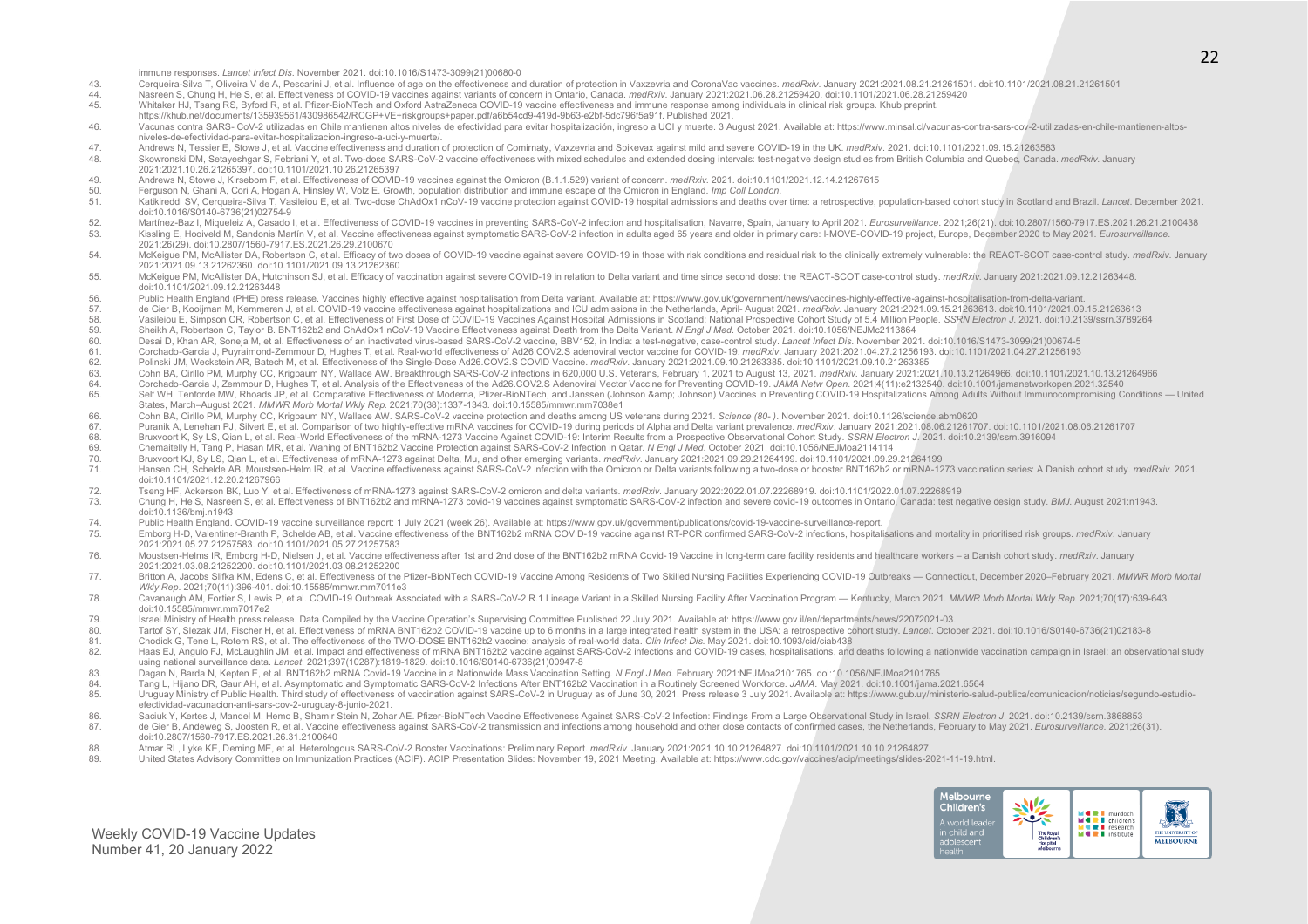immune responses. *Lancet Infect Dis*. November 2021. doi:10.1016/S1473-3099(21)00680-0

- 43. Cerqueira-Silva T. Oliveira V de A. Pescarini J. et al. Influence of age on the effectiveness and duration of protection in Vaxzevria and CoronaVac vaccines. medRxiv. January 2021:2021.08.21.21261501. doi:10.1101/2021.
- Nasreen S, Chung H, He S, et al. Effectiveness of COVID-19 vaccines against variants of concern in Ontario, Canada. *medRxiv*. January 2021:2021.06.28.21259420. doi:10.1101/2021.06.28.21259420. doi:10.1101/2021.06.28.21259
- Whitaker HJ, Tsang RS, Byford R, et al. Pfizer-BioNTech and Oxford AstraZeneca COVID-19 vaccine effectiveness and immune response among individuals in clinical risk groups. Khub preprint.
- https://khub.net/documents/135939561/430986542/RCGP+VE+riskgroups+paper.pdf/a6b54cd9-419d-9b63-e2bf-5dc796f5a91f. Published 2021.
- Vacunas contra SARS- CoV-2 utilizadas en Chile mantienen altos niveles de efectividad para evitar hospitalización, ingreso a UCI y muerte, 3 August 2021, Available at: https://www.minsal.cl/vacunas-contra-sars-cov-2-utiliz niveles-de-efectividad-para-evitar-hospitalizacion-ingreso-a-uci-y-muerte/.
- Andrews N, Tessier E, Stowe J, et al. Vaccine effectiveness and duration of protection of Comirnaty, Vaxzevria and Spikevax against mild and severe COVID-19 in the UK. *medRxiv*. 2021. doi:10.1101/2021.09.15.21263583<br>AB. S
- Skowronski DM, Setayeshgar S, Febriani Y, et al. Two-dose SARS-CoV-2 vaccine effectiveness with mixed schedules and extended dosing intervals: test-negative design studies from British Columbia and Quebec, Canada. medRxiv. 2021:2021.10.26.21265397. doi:10.1101/2021.10.26.21265397
- 49. Andrews N, Stowe J, Kirsebom F, et al. Effectiveness of COVID-19 vaccines against the Omicron (B.1.1.529) variant of concern. *medRxiv*. 2021. doi:10.1101/2021.12.14.21267615<br>Ferguson N. Ghani A. Cori A. Honan A. Hinsl
- 50. Ferguson N, Ghani A, Cori A, Hogan A, Hinsley W, Volz E. Growth, population distribution and immune escape of the Omicron in England. *Imp Coll London*.
- Katikireddi SV, Cerqueira-Silva T, Vasileiou E, et al. Two-dose ChAdOx1 nCoV-19 vaccine protection against COVID-19 hospital admissions and deaths over time: a retrospective, population-based cohort study in Scotland and B doi:10.1016/S0140-6736(21)02754-9
- Martínez-Baz I, Miqueleiz A, Casado I, et al. Effectiveness of COVID-19 vaccines in preventing SARS-CoV-2 infection and hospitalisation, Navarre, Spain, January to April 2021. Eurosurveillance. 2021;26(21). doi:10.2807/156 Kissling E, Hooiveld M, Sandonis Martín V, et al. Vaccine effectiveness against symptomatic SARS-CoV-2 infection in adults aged 65 years and older in primary care: I-MOVE-COVID-19 project, Europe, December 2020 to May 2021 2021;26(29). doi:10.2807/1560-7917.ES.2021.26.29.2100670
- McKeigue PM McAllister DA Robertson C, et al. Efficacy of two doses of COVID-19 vaccine against severe COVID-19 in those with risk conditions and residual risk to the clinically extremely vulnerable; the REACT-SCOT case-co 2021:2021.09.13.21262360. doi:10.1101/2021.09.13.21262360
- 55. McKeigue PM, McAllister DA, Hutchinson SJ, et al. Efficacy of vaccination against severe COVID-19 in relation to Delta variant and time since second dose: the REACT-SCOT case-control study. medRxiv. January 2021:2021.0 doi:10.1101/2021.09.12.21263448
- Fublic Health England (PHE) press release. Vaccines highly effective against hospitalisation from Delta variant. Available at: https://www.gov.uk/government/news/vaccines-highly-effective-against-hospitalisation-from-delta
- de Gier B, Kooijman M, Kemmeren J, et al. COVID-19 vaccine effectiveness against hospitalizations and ICU admissions in the Netherlands, April- August 2021. medRxiv. January 2021:0021.09.15.21263613. doi:10.1101/2021.09.15
- Vasileiou E, Simpson CR, Robertson C, et al. Effectiveness of First Dose of COVID-19 Vaccines Against Hospital Admissions in Scotland: National Prospective Cohort Study of 5.4 Million People. SSRN Electron J. 2021. doi:10.
- 59. Sheikh A, Robertson C, Taylor B. BNT162b2 and ChAdOx1 nCoV-19 Vaccine Effectiveness against Death from the Delta Variant. *N Engl J Med.* October 2021. doi:10.1056/NEJMc2113864<br>60 Desai D. Khan AR. Soneja M. et al. Eff
- 60. Desai D, Khan AR, Soneja M, et al. Effectiveness of an inactivated virus-based SARS-CoV-2 vaccine, BBV152, in India: a test-negative, case-control study. Lancet Infect Dis. November 2021. doi:10.1016/S1473-3099(21)0067
- 61. Corchado-Garcia J, Puyraimond-Zemmour D, Hughes T, et al. Real-world effectiveness of Ad26.COV2.S adenoviral vector vaccine for COVID-19. *medRxiv*. January 2021:2021.04.27.21256193. doi:10.1101/2021.04.27.21256193.<br>Po
- 62. Polinski JM, Weckstein AR, Batech M, et al. Effectiveness of the Single-Dose Ad26.COV2.S COVID Vaccine. *medRxiv*. January 2021:2021.09.10.21263385. doi:10.1101/2021.09.10.21263385.<br>63. Cohn BA. Cirillo PM. Murphy CC.
- 63. Cohn BA, Cirillo PM, Murphy CC, Krigbaum NY, Wallace AW. Breakthrough SARS-CoV-2 infections in 620,000 U.S. Veterans, February 1, 2021 to August 13, 2021. medRxiv. January 2021:2021:10.13.21264966. doi:10.1101/2021.10.
- 64. Corchado-Garcia J, Zemmour D, Hughes T, et al. Analysis of the Effectiveness of the Ad26.COV2.S Adenoviral Vector Vaccine for Preventing COVID-19. JAMA Netw Open. 2021;4(11):e2132540. doi:10.1001/jamanetworkopen.2021.3 Self WH. Tenforde MW, Rhoads JP, et al. Comparative Effectiveness of Moderna, Pfizer-BioNTech, and Janssen (Johnson &amp: Johnson) Vaccines in Preventing COVID-19 Hospitalizations Among Adults Without Immunocompromising Co States, March–August 2021. *MMWR Morb Mortal Wkly Rep*. 2021;70(38):1337-1343. doi:10.15585/mmwr.mm7038e1
- 66. Cohn BA, Cirillo PM, Murphy CC, Krigbaum NY, Wallace AW. SARS-CoV-2 vaccine protection and deaths among US veterans during 2021. *Science (80- )*. November 2021. doi:10.1126/science.abm0620
- 67. Puranik A, Lenehan PJ, Silvert E, et al. Comparison of two highly-effective mRNA vaccines for COVID-19 during periods of Alpha and Delta variant prevalence. *medRxiv*. January 2021:2021.08.06.21261707. doi:10.1101/2021
- 68. Bruxvoort K, Sy LS, Qian L, et al. Real-World Effectiveness of the mRNA-1273 Vaccine Against COVID-19: Interim Results from a Prospective Observational Cohort Study. *SSRN Electron J.* 2021. doi:10.2139/ssrn.3916094<br>Ch
- 69. Chemaitelly H, Tang P, Hasan MR, et al. Waning of BNT162b2 Vaccine Protection against SARS-CoV-2 Infection in Qatar. *N Engl J Med*. October 2021. doi:10.1056/NEJMoa2114114
- 70. Bruxvoort KJ, Sy LS, Qian L, et al. Effectiveness of mRNA-1273 against Delta, Mu, and other emerging variants. *medRxiv*. January 2021:2021.09.29.21264199. doi:10.1101/2021.09.29.21264199
- 71. Hansen CH, Schelde AB, Moustsen-Helm IR, et al. Vaccine effectiveness against SARS-CoV-2 infection with the Omicron or Delta variants following a two-dose or booster BNT162b2 or mRNA-1273 vaccination series: A Danish c doi:10.1101/2021.12.20.21267966
- 72. Tseng HF, Ackerson BK, Luo Y, et al. Effectiveness of mRNA-1273 against SARS-CoV-2 omicron and delta variants. *medRxiv*. January 2022:2022.01.07.22268919. doi:10.1101/2022.01.07.22268919
- 73. Chung H, He S, Nasreen S, et al. Effectiveness of BNT162b2 and mRNA-1273 covid-19 vaccines against symptomatic SARS-CoV-2 infection and severe covid-19 outcomes in Ontario, Canada: test negative design study. BMJ. Augu doi:10.1136/bmj.n1943
- 74. Public Health England. COVID-19 vaccine surveillance report: 1 July 2021 (week 26). Available at: https://www.gov.uk/government/publications/covid-19-vaccine-surveillance-report.
- 75. Emborg H-D, Valentiner-Branth P, Schelde AB, et al. Vaccine effectiveness of the BNT162b2 mRNA COVID-19 vaccine against RT-PCR confirmed SARS-CoV-2 infections, hospitalisations and mortality in prioritised risk groups. 2021:2021.05.27.21257583. doi:10.1101/2021.05.27.21257583
- 76. Moustsen-Helms IR, Emborg H-D, Nielsen J, et al. Vaccine effectiveness after 1st and 2nd dose of the BNT162b2 mRNA Covid-19 Vaccine in long-term care facility residents and healthcare workers a Danish cohort study. m 2021:2021.03.08.21252200. doi:10.1101/2021.03.08.21252200
- T7. Britton A. Jacobs Slifka KM, Edens C, et al. Effectiveness of the Pfizer-BioNTech COVID-19 Vaccine Among Residents of Two Skilled Nursing Facilities Experiencing COVID-19 Outbreaks Connecticut, December 2020-February *Wkly Rep*. 2021;70(11):396-401. doi:10.15585/mmwr.mm7011e3
- 78. Cavanaugh AM, Fortier S, Lewis P, et al. COVID-19 Outbreak Associated with a SARS-CoV-2 R.1 Lineage Variant in a Skilled Nursing Facility After Vaccination Program Kentucky, March 2021. MMWR Morb Mortal Wkly Rep. 202 doi:10.15585/mmwr.mm7017e2
- 79. Israel Ministry of Health press release. Data Compiled by the Vaccine Operation's Supervising Committee Published 22 July 2021. Available at: https://www.gov.il/en/departments/news/22072021-03.
- 80. Tartof SY, Slezak JM, Fischer H, et al. Effectiveness of mRNA BNT162b2 COVID-19 vaccine up to 6 months in a large integrated health system in the USA: a retrospective cohort study. *Lancet*. October 2021. doi:10.1016/S
- 81. Chodick G, Tene L, Rotem RS, et al. The effectiveness of the TWO-DOSE BNT162b2 vaccine: analysis of real-world data. *Clin Infect Dis*. May 2021. doi:10.1093/cid/ciab438
- 82. Haas EJ, Angulo FJ, McLaughlin JM, et al. Impact and effectiveness of mRNA BNT162b2 vaccine against SARS-CoV-2 infections and COVID-19 cases, hospitalisations, and deaths following a nationwide vaccination campaign in using national surveillance data. *Lancet*. 2021;397(10287):1819-1829. doi:10.1016/S0140-6736(21)00947-8
- 83. Dagan N, Barda N, Kepten E, et al. BNT162b2 mRNA Covid-19 Vaccine in a Nationwide Mass Vaccination Setting. *N Engl J Med*. February 2021:NEJMoa2101765. doi:10.1056/NEJMoa2101765
- 84. Tang L, Hijano DR, Gaur AH, et al. Asymptomatic and Symptomatic SARS-CoV-2 Infections After BNT162b2 Vaccination in a Routinely Screened Workforce. *JAMA*. May 2021. doi:10.1001/jama.2021.6564<br>85. Uruguay Ministry of P
- Uruguay Ministry of Public Health. Third study of effectiveness of vaccination against SARS-CoV-2 in Uruguay as of June 30, 2021. Press release 3 July 2021. Available at: https://www.gub.uy/ministerio-salud-publica/comunic efectividad-vacunacion-anti-sars-cov-2-uruguay-8-junio-2021.
- 86. Saciuk Y, Kertes J, Mandel M, Hemo B, Shamir Stein N, Zohar AE. Pfizer-BioNTech Vaccine Effectiveness Against SARS-CoV-2 Infection: Findings From a Large Observational Study in Israel. SSRN Electron J. 2021. doi:10.213
- 87. de Gier B, Andeweg S, Joosten R, et al. Vaccine effectiveness against SARS-CoV-2 transmission and infections among household and other close contacts of confirmed cases, the Netherlands, February to May 2021. Eurosurve
- doi:10.2807/1560-7917.ES.2021.26.31.2100640
- 88. Atmar RL, Lyke KE, Deming ME, et al. Heterologous SARS-CoV-2 Booster Vaccinations: Preliminary Report. *medRxiv*. January 2021:2021.10.10.21264827. doi:10.1101/2021.10.10.21264827.<br>89. United States Advisory Committee
- United States Advisory Committee on Immunization Practices (ACIP). ACIP Presentation Slides: November 19, 2021 Meeting. Available at: https://www.cdc.gov/vaccines/acip/meetings/slides-2021-11-19.html.

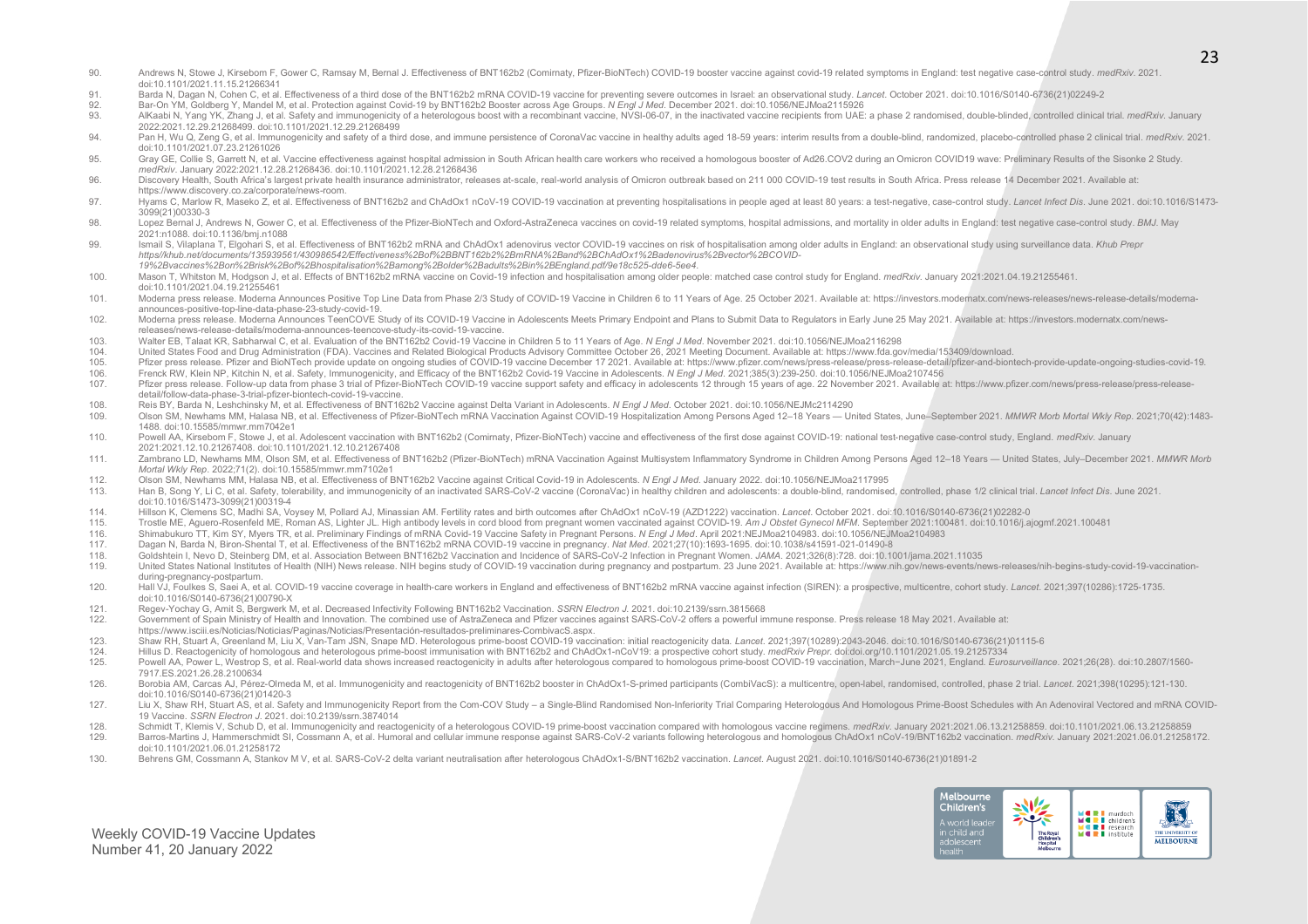- 90. Andrews N, Stowe J, Kirsebom F, Gower C, Ramsay M, Bernal J. Effectiveness of BNT162b2 (Comirnaty, Pfizer-BioNTech) COVID-19 booster vaccine against covid-19 related symptoms in England: test negative case-control stud doi:10.1101/2021.11.15.21266341
- 91. Barda N, Dagan N, Cohen C, et al. Effectiveness of a third dose of the BNT162b2 mRNA COVID-19 vaccine for preventing severe outcomes in Israel: an observational study. Lancef. October 2021. doi:10.1016/S0140-6736(21)02
- 92. Bar-On YM, Goldberg Y, Mandel M, et al. Protection against Covid-19 by BNT162b2 Booster across Age Groups. *N Engl J Med*. December 2021. doi:10.1056/NEJMoa2115926
- 93. AlKaabi N. Yang YK. Zhang J. et al. Safety and immunogenicity of a heterologous boost with a recombinant vaccine. NVSI-06-07. in the inactivated vaccine recipients from UAE: a phase 2 randomised, double-blinded, contro 2022:2021.12.29.21268499. doi:10.1101/2021.12.29.21268499
- 94. Pan H, Wu Q, Zeng G, et al. Immunogenicity and safety of a third dose, and immune persistence of CoronaVac vaccine in healthy adults aged 18-59 years: interim results from a double-blind, randomized, placebo-controlled doi:10.1101/2021.07.23.21261026
- 95. Grav GE, Collie S, Garrett N, et al, Vaccine effectiveness against hospital admission in South African health care workers who received a homologous booster of Ad26.COV2 during an Omicron COVID19 wave: Preliminary Resu *medRxiv*. January 2022:2021.12.28.21268436. doi:10.1101/2021.12.28.21268436
- 96. Discovery Health, South Africa's largest private health insurance administrator, releases at-scale, real-world analysis of Omicron outbreak based on 211 000 COVID-19 test results in South Africa. Press release 14 Decem https://www.discovery.co.za/corporate/news-room.
- 97. Hyams C, Marlow R, Maseko Z, et al. Effectiveness of BNT162b2 and ChAdOx1 nCoV-19 COVID-19 vaccination at preventing hospitalisations in people aged at least 80 years: a test-negative, case-control study. Lancet Infect 3099(21)00330-3
- 98. Lopez Bernal J, Andrews N, Gower C, et al. Effectiveness of the Pfizer-BioNTech and Oxford-AstraZeneca vaccines on covid-19 related symptoms, hospital admissions, and mortality in older adults in England: test negative 2021:n1088. doi:10.1136/bmj.n1088
- 99. Ismail S. Vilaplana T. Elgohari S. et al. Effectiveness of BNT162b2 mRNA and ChAdOx1 adenovirus vector COVID-19 vaccines on risk of hospitalisation among older adults in England: an observational study using surveillan *https//khub.net/documents/135939561/430986542/Effectiveness%2Bof%2BBNT162b2%2BmRNA%2Band%2BChAdOx1%2Badenovirus%2Bvector%2BCOVID-19%2Bvaccines%2Bon%2Brisk%2Bof%2Bhospitalisation%2Bamong%2Bolder%2Badults%2Bin%2BEngland.pdf/9e18c525-dde6-5ee4*.
- 100. Mason T, Whitston M, Hodgson J, et al. Effects of BNT162b2 mRNA vaccine on Covid-19 infection and hospitalisation among older people: matched case control study for England. medRxiv. January 2021:2021.04.19.21255461. doi:10.1101/2021.04.19.21255461
- 101. Moderna press release. Moderna Announces Positive Top Line Data from Phase 2/3 Study of COVID-19 Vaccine in Children 6 to 11 Years of Age. 25 October 2021. Available at: https://investors.modernatx.com/news-releases/n announces-positive-top-line-data-phase-23-study-covid-19.
- 102. Moderna press release. Moderna Announces TeenCOVE Study of its COVID-19 Vaccine in Adolescents Meets Primary Endpoint and Plans to Submit Data to Regulators in Early June 25 May 2021. Available at: https://investors.m releases/news-release-details/moderna-announces-teencove-study-its-covid-19-vaccine.
- Walter EB, Talaat KR, Sabharwal C, et al. Evaluation of the BNT162b2 Covid-19 Vaccine in Children 5 to 11 Years of Age. *N Engl J Med.* November 2021. doi:10.1056/NEJMoa2116298<br>104. United States Food and Drug Administrati
- 104. United States Food and Drug Administration (FDA). Vaccines and Related Biological Products Advisory Committee October 26, 2021 Meeting Document. Available at: https://www.fida.gov/media/153409/download.<br>105. Pfizer pr
- Pfizer press release. Pfizer and BioNTech provide update on ongoing studies of COVID-19 vaccine December 17 2021. Available at: https://www.pfizer.com/news/press-release/press-release-detail/pfizer-and-biontech-provide-upd
- 106. Frenck RW, Klein NP, Kitchin N, et al. Safety, Immunogenicity, and Efficacy of the BNT162b2 Covid-19 Vaccine in Adolescents. N Engl J Med. 2021;385(3):239-250. doi:10.1056/NEJMoa2107456<br>107. Pfizer press release. Foll
- Pfizer press release. Follow-up data from phase 3 trial of Pfizer-BioNTech COVID-19 vaccine support safety and efficacy in adolescents 12 through 15 years of age. 22 November 2021. Available at: https://www.pfizer.com/news detail/follow-data-phase-3-trial-pfizer-biontech-covid-19-vaccine.
- 108. Reis BY, Barda N, Leshchinsky M, et al. Effectiveness of BNT162b2 Vaccine against Delta Variant in Adolescents. *N Engl J Med*. October 2021. doi:10.1056/NEJMc2114290
- Olson SM, Newhams MM, Halasa NB, et al. Effectiveness of Pfizer-BioNTech mRNA Vaccination Against COVID-19 Hospitalization Among Persons Aged 12-18 Years United States, June-September 2021. MMWR Morb Mortal Wkly Rep. 202 1488. doi:10.15585/mmwr.mm7042e1
- 110. Powell AA, Kirsebom F, Stowe J, et al, Adolescent vaccination with BNT162b2 (Comirnaty, Pfizer-BioNTech) vaccine and effectiveness of the first dose against COVID-19; national test-negative case-control study. England 2021:2021.12.10.21267408. doi:10.1101/2021.12.10.21267408
- 111. Zambrano LD, Newhams MM, Olson SM, et al. Effectiveness of BNT162b2 (Pfizer-BioNTech) mRNA Vaccination Against Multisystem Inflammatory Syndrome in Children Among Persons Aged 12-18 Years United States, July-Decembe *Mortal Wkly Rep*. 2022;71(2). doi:10.15585/mmwr.mm7102e1
- 
- 112. Olson SM, Newhams MM, Halasa NB, et al. Effectiveness of BNT162b2 Vaccine against Critical Covid-19 in Adolescents. *N Engl J Med*. January 2022. doi:10.1056/NEJMoa2117995<br>113. Han B, Song Y, Li C, et al. Safety, tole Han B, Song Y, Li C, et al. Safety, tolerability, and immunogenicity of an inactivated SARS-CoV-2 vaccine (CoronaVac) in healthy children and adolescents: a double-blind, randomised, controlled, phase 1/2 clinical trial. L doi:10.1016/S1473-3099(21)00319-4
- 114. Hillson K, Clemens SC, Madhi SA, Voysey M, Pollard AJ, Minassian AM. Fertility rates and birth outcomes after ChAdOx1 nCoV-19 (AZD1222) vaccination. *Lancet*. October 2021. doi:10.1016/S0140-6736(21)02282-0
- Trostle ME, Aquero-Rosenfeld ME, Roman AS, Lighter JL. High antibody levels in cord blood from pregnant women vaccinated against COVID-19. Am J Obstet Gynecol MFM. September 2021:100481. doi:10.1016/j.ajogmf.2021.100481
- 
- 116. Shimabukuro TT, Kim SY, Myers TR, et al. Preliminary Findings of mRNA Covid-19 Vaccine Safety in Pregnant Persons. *N Engl J Med*. April 2021:NEJMoa2104983. doi:10.1056/NEJMoa2104983 117. Dagan N, Barda N, Biron-Shental T, et al. Effectiveness of the BNT162b2 mRNA COVID-19 vaccine in pregnancy. *Nat Med*. 2021;27(10):1693-1695. doi:10.1038/s41591-021-01490-8
- 
- 118. Goldshtein I, Nevo D, Steinberg DM, et al. Association Between BNT162b2 Vaccination and Incidence of SARS-CoV-2 Infection in Pregnant Women. *JAMA*. 2021;326(8):728. doi:10.1001/jama.2021.11035 United States National Institutes of Health (NIH) News release. NIH begins study of COVID-19 vaccination during pregnancy and postpartum. 23 June 2021. Available at: https://www.nih.gov/news-events/news-releases/nih-begins during-pregnancy-postpartum.
- 120. Hall VJ, Foulkes S, Saei A, et al. COVID-19 vaccine coverage in health-care workers in England and effectiveness of BNT162b2 mRNA vaccine against infection (SIREN): a prospective, multicentre, cohort study. Lancet. 20 doi:10.1016/S0140-6736(21)00790-X
- 121. Regev-Yochay G, Amit S, Bergwerk M, et al. Decreased Infectivity Following BNT162b2 Vaccination. *SSRN Electron J*. 2021. doi:10.2139/ssrn.3815668
- 122. Government of Spain Ministry of Health and Innovation. The combined use of AstraZeneca and Pfizer vaccines against SARS-CoV-2 offers a powerful immune response. Press release 18 May 2021. Available at: https://www.isciii.es/Noticias/Noticias/Paginas/Noticias/Presentación-resultados-preliminares-CombivacS.aspx.
- 123. Shaw RH, Stuart A, Greenland M, Liu X, Van-Tam JSN, Snape MD. Heterologous prime-boost COVID-19 vaccination: initial reactogenicity data. *Lancet*. 2021;397(10289):2043-2046. doi:10.1016/S0140-6736(21)01115-6<br>124 Hill
- 124. Hillus D. Reactogenicity of homologous and heterologous prime-boost immunisation with BNT162b2 and ChAdOx1-nCoV19: a prospective cohort study. *medRxiv Prepr.* doi:doi.org/10.1101/2021.05.19.21257334<br>125 Powell AA Pow
- Powell AA, Power L, Westrop S, et al. Real-world data shows increased reactogenicity in adults after heterologous compared to homologous prime-boost COVID-19 vaccination, March-June 2021, England. Eurosurveillance. 2021;26 7917.ES.2021.26.28.2100634
- 126. Borobia AM, Carcas AJ, Pérez-Olmeda M, et al. Immunogenicity and reactogenicity of BNT162b2 booster in ChAdOx1-S-primed participants (CombiVacS): a multicentre, open-label, randomised, controlled, phase 2 trial. Lance doi:10.1016/S0140-6736(21)01420-3
- 127. Liu X, Shaw RH, Stuart AS, et al. Safety and Immunogenicity Report from the Com-COV Study a Single-Blind Randomised Non-Inferiority Trial Comparing Heterologous And Homologous Prime-Boost Schedules with An Adenovira 19 Vaccine. *SSRN Electron J*. 2021. doi:10.2139/ssrn.3874014
- 128. Schmidt T, Klemis V, Schub D, et al. Immunogenicity and reactogenicity of a heterologous COVID-19 prime-boost vaccination compared with homologous vaccine regimens. *medRxiv. January 2021:00.13.21258859. doi:10.1101/2*
- Barros-Martins J, Hammerschmidt SI, Cossmann A, et al. Humoral and cellular immune response against SARS-CoV-2 variants following heterologous and homologous ChAdOx1 nCoV-19/BNT162b2 vaccination. medRxiv. January 2021:2021 doi:10.1101/2021.06.01.21258172
- 130. Behrens GM, Cossmann A, Stankov M V, et al. SARS-CoV-2 delta variant neutralisation after heterologous ChAdOx1-S/BNT162b2 vaccination. *Lancet*. August 2021. doi:10.1016/S0140-6736(21)01891-2

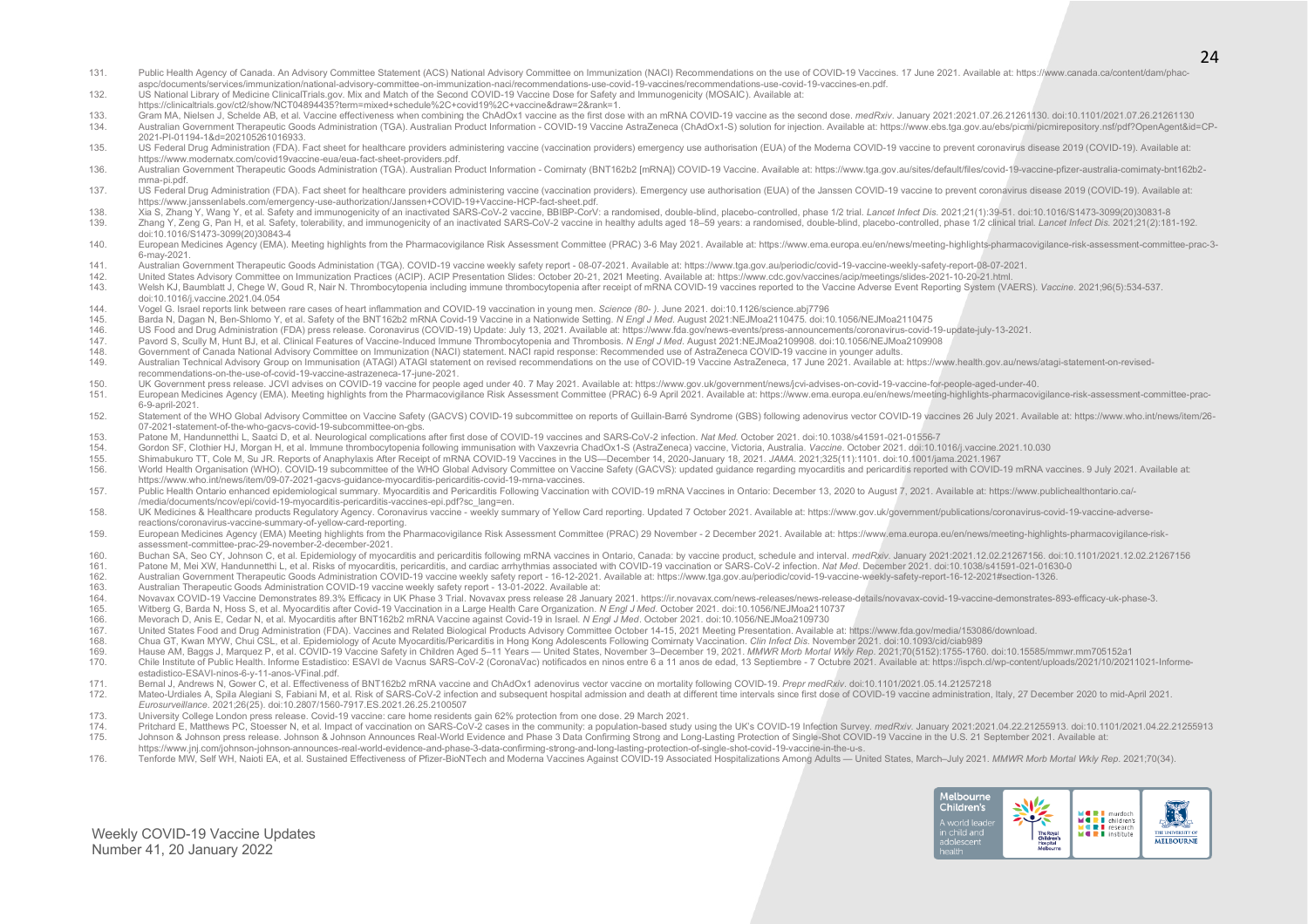- 131. Public Health Agency of Canada. An Advisory Committee Statement (ACS) National Advisory Committee on Immunization (NACI) Recommendations on the use of COVID-19 Vaccines. 17 June 2021. Available at: https://www.canada. aspc/documents/services/immunization/national-advisory-committee-on-immunization-naci/recommendations-use-covid-19-vaccines/recommendations-use-covid-19-vaccines-en.pdf.
- 132. US National Library of Medicine ClinicalTrials.gov. Mix and Match of the Second COVID-19 Vaccine Dose for Safety and Immunogenicity (MOSAIC). Available at:
- https://clinicaltrials.gov/ct2/show/NCT04894435?term=mixed+schedule%2C+covid19%2C+vaccine&draw=2&rank=1.
- Schelde AB, et al. Vaccine effectiveness when combining the ChAdOx1 vaccine as the first dose with an mRNA COVID-19 vaccine as the second dose. *medRxiv*. January 2021:2021.07.26.21261130. doi:10.1101/2021.07.26.21261130.<br> Australian Government Therapeutic Goods Administration (TGA). Australian Product Information - COVID-19 Vaccine AstraZeneca (ChAdOx1-S) solution for injection. Available at: https://www.ebs.tga.gov.au/ebs/picmi/picmireposi 2021-PI-01194-1&d=202105261016933.
- 135. US Federal Drug Administration (FDA). Fact sheet for healthcare providers administering vaccine (vaccination providers) emergency use authorisation (EUA) of the Moderna COVID-19 vaccine to prevent coronavirus disease https://www.modernatx.com/covid19vaccine-eua/eua-fact-sheet-providers.pdf.
- 136. Australian Government Therapeutic Goods Administration (TGA). Australian Product Information Comirnaty (BNT162b2 [mRNA]) COVID-19 Vaccine. Available at: https://www.tga.gov.au/sites/default/files/covid-19-vaccine-pf mrna-pi.pdf
- 137. US Federal Drug Administration (FDA). Fact sheet for healthcare providers administering vaccine (vaccination providers). Emergency use authorisation (EUA) of the Janssen COVID-19 vaccine to prevent coronavirus disease https://www.janssenlabels.com/emergency-use-authorization/Janssen+COVID-19+Vaccine-HCP-fact-sheet.pdf.
- 138. Xia S. Zhang Y. Wang Y. et al. Safety and immunogenicity of an inactivated SARS-CoV-2 vaccine. BBIBP-CorV: a randomised. double-blind. placebo-controlled, phase 1/2 trial. Lancet Infect Dis. 2021:21(1):39-51. doi:10.1
- 139. Zhang Y, Zeng G, Pan H, et al. Safety, tolerability, and immunogenicity of an inactivated SARS-CoV-2 vaccine in healthy adults aged 18-59 years: a randomised, double-blind, placebo-controlled, phase 1/2 clinical trial doi:10.1016/S1473-3099(20)30843-4
- 140. European Medicines Agency (EMA). Meeting highlights from the Pharmacovigilance Risk Assessment Committee (PRAC) 3-6 May 2021. Available at: https://www.ema.europa.eu/en/news/meeting-highlights-pharmacovigilance-risk-a 6-may-2021.
- 141. Australian Government Therapeutic Goods Administation (TGA). COVID-19 vaccine weekly safety report 08-07-2021. Available at: https://www.tga.gov.au/periodic/covid-19-vaccine-weekly-safety-report-08-07-2021.
- 142. United States Advisory Committee on Immunization Practices (ACIP). ACIP Presentation Slides: October 20-21, 2021 Meeting. Available at: https://www.cdc.gov/vaccines/acip/meetings/slides-2021-10-20-21.html.<br>143. Welsh
- Welsh KJ, Baumblatt J, Chege W, Goud R, Nair N. Thrombocytopenia including immune thrombocytopenia after receipt of mRNA COVID-19 vaccines reported to the Vaccine Adverse Event Reporting System (VAERS). Vaccine. 2021;96(5) doi:10.1016/j.vaccine.2021.04.054
- 144. Vogel G. Israel reports link between rare cases of heart inflammation and COVID-19 vaccination in young men. *Science (80- )*. June 2021. doi:10.1126/science.abj7796
- 145. Barda N, Dagan N, Ben-Shlomo Y, et al. Safety of the BNT162b2 mRNA Covid-19 Vaccine in a Nationwide Setting. N Engl J Med. August 2021:NEJMoa2110475. doi:10.1056/NEJMoa2110475.<br>146. US Food and Drug Administration (FD
- 146. US Food and Drug Administration (FDA) press release. Coronavirus (COVID-19) Update: July 13, 2021. Available at: https://www.fda.gov/news-events/press-announcements/coronavirus-covid-19-update-july-13-2021.<br>147 Pavord
- 147. Pavord S, Scully M, Hunt BJ, et al. Clinical Features of Vaccine-Induced Immune Thrombocytopenia and Thrombosis. *N Engl J Med.* August 2021:NEJMoa2109908. doi:10.1056/NEJMoa2109908.<br>148 Government of Canada National
- 148. Government of Canada National Advisory Committee on Immunization (NACI) statement. NACI rapid response: Recommended use of AstraZeneca COVID-19 vaccine in younger adults.
- Australian Technical Advisory Group on Immunisation (ATAGI) ATAGI statement on revised recommendations on the use of COVID-19 Vaccine AstraZeneca, 17 June 2021. Available at: https://www.health.gov.au/news/atagi-statementrecommendations-on-the-use-of-covid-19-vaccine-astrazeneca-17-june-2021.
- 150. UK Government press release. JCVI advises on COVID-19 vaccine for people aged under 40. 7 May 2021. Available at: https://www.gov.uk/government/news/jcvi-advises-on-covid-19-vaccine-for-people-aged-under-40.<br>151. Euro
- European Medicines Agency (EMA). Meeting highlights from the Pharmacovigilance Risk Assessment Committee (PRAC) 6-9 April 2021. Available at: https://www.ema.europa.eu/en/news/meeting-highlights-pharmacovigilance-risk-asse 6-9-april-2021.
- 152. Statement of the WHO Global Advisory Committee on Vaccine Safety (GACVS) COVID-19 subcommittee on reports of Guillain-Barré Syndrome (GBS) following adenovirus vector COVID-19 vaccines 26 July 2021. Available at: http 07-2021-statement-of-the-who-gacvs-covid-19-subcommittee-on-gbs.
- 153. Patone M, Handunnetthi L, Saatci D, et al. Neurological complications after first dose of COVID-19 vaccines and SARS-CoV-2 infection. *Nat Med*. October 2021. doi:10.1038/s41591-021-01556-7
- 
- 154. Gordon SF, Clothier HJ, Morgan H, et al. Immune thrombocytopenia following immunisation with Vaxzevria ChadOx1-S (AstraZeneca) vaccine, Victoria, Australia. Vaccine. October 2021. doi:10.1016/j.vaccine.2021.10.030<br>155 155. Shimabukuro TT, Cole M, Su JR. Reports of Anaphylaxis After Receipt of mRNA COVID-19 Vaccines in the US—December 14, 2020-January 18, 2021. *JAMA*. 2021;325(11):1101. doi:10.1001/jama.2021.1967
- 156. World Health Organisation (WHO). COVID-19 subcommittee of the WHO Global Advisory Committee on Vaccine Safety (GACVS): updated guidance regarding myocarditis and pericarditis reported with COVID-19 mRNA vaccines. 9 Ju https://www.who.int/news/item/09-07-2021-gacvs-guidance-myocarditis-pericarditis-covid-19-mrna-vaccines.
- 157. Public Health Ontario enhanced epidemiological summary. Myocarditis and Pericarditis Following Vaccination with COVID-19 mRNA Vaccines in Ontario: December 13, 2020 to August 7, 2021. Available at: https://www.publich /media/documents/ncov/epi/covid-19-myocarditis-pericarditis-vaccines-epi.pdf?sc\_lang=en.
- 158. UK Medicines & Healthcare products Regulatory Agency, Coronavirus vaccine weekly summary of Yellow Card reporting. Updated 7 October 2021, Available at: https://www.gov.uk/government/publications/coronavirus-covid-1 reactions/coronavirus-vaccine-summary-of-yellow-card-reporting.
- 159. European Medicines Agency (EMA) Meeting highlights from the Pharmacovigilance Risk Assessment Committee (PRAC) 29 November 2 December 2021. Available at: https://www.ema.europa.eu/en/news/meeting-highlights-pharmaco assessment-committee-prac-29-november-2-december-2021.
- 160. Buchan SA, Seo CY, Johnson C, et al. Epidemiology of myocarditis and pericarditis following mRNA vaccines in Ontario, Canada: by vaccine product, schedule and interval. medRxiv. January 2021:2021:2021:2021:56. doi:10.
- 161. Patone M, Mei XW, Handunnetthi L, et al. Risks of myocarditis, pericarditis, and cardiac arrhythmias associated with COVID-19 vaccination or SARS-CoV-2 infection. Nat Med. December 2021. doi:10.1038/s41591-021-01630-0
- 162. Australian Government Therapeutic Goods Administration COVID-19 vaccine weekly safety report 16-12-2021. Available at: https://www.tga.gov.au/periodic/covid-19-vaccine-weekly-safety-report-16-12-2021#section-1326.
- 163. Australian Therapeutic Goods Administration COVID-19 vaccine weekly safety report 13-01-2022. Available at:
- 164. Novavax COVID-19 Vaccine Demonstrates 89.3% Efficacy in UK Phase 3 Trial. Novavax press release 28 January 2021. https://ir.novavax.com/news-releases/news-release-details/novavax-covid-19-vaccine-demonstrates-893-effi
- 165. Witberg G, Barda N, Hoss S, et al. Myocarditis after Covid-19 Vaccination in a Large Health Care Organization. *N Engl J Med*. October 2021. doi:10.1056/NEJMoa2110737
- 166. Mevorach D, Anis E, Cedar N, et al. Myocarditis after BNT162b2 mRNA Vaccine against Covid-19 in Israel. *N Engl J Med*. October 2021. doi:10.1056/NEJMoa2109730
- 167. United States Food and Drug Administration (FDA). Vaccines and Related Biological Products Advisory Committee October 14-15, 2021 Meeting Presentation. Available at: https://www.fda.gov/media/153086/download.<br>168. Chu
- 168. Chua GT, Kwan MYW, Chui CSL, et al. Epidemiology of Acute Myocarditis/Pericarditis in Hong Kong Adolescents Following Comirnaty Vaccination. *Clin Infect Dis*. November 2021. doi:10.1093/cid/ciab989
- 169. Hause AM, Baggs J, Marquez P, et al. COVID-19 Vaccine Safety in Children Aged 5-11 Years United States, November 3-December 19, 2021. MMWR Morb Mortal Wkly Rep. 2021;70(5152):1755-1760. doi:10.15585/mmwr.mm705152a1<br>
- Chile Institute of Public Health. Informe Estadistico: ESAVI de Vacnus SARS-CoV-2 (CoronaVac) notificados en ninos entre 6 a 11 anos de edad, 13 Septiembre 7 Octubre 2021. Available at: https://ispch.cl/wp-content/upload estadistico-ESAVI-ninos-6-y-11-anos-VFinal.pdf.
- 171. Bernal J, Andrews N, Gower C, et al. Effectiveness of BNT162b2 mRNA vaccine and ChAdOx1 adenovirus vector vaccine on mortality following COVID-19. Prepr medRxiv. doi:10.1101/2021.05.14.21257218<br>172. Mateo-Urdiales A.
- Mateo-Urdiales A, Spila Alegiani S, Fabiani M, et al. Risk of SARS-CoV-2 infection and subsequent hospital admission and death at different time intervals since first dose of COVID-19 vaccine administration, Italy, 27 Dece *Eurosurveillance*. 2021;26(25). doi:10.2807/1560-7917.ES.2021.26.25.2100507
- 173. University College London press release. Covid-19 vaccine: care home residents gain 62% protection from one dose. 29 March 2021.
- 174. Pritchard E, Matthews PC, Stoesser N, et al. Impact of vaccination on SARS-CoV-2 cases in the community: a population-based study using the UK's COVID-19 Infection Survey. medRxiv. January 2021:2021.04.22.21255913. do Johnson & Johnson press release. Johnson & Johnson Announces Real-World Evidence and Phase 3 Data Confirming Strong and Long-Lasting Protection of Single-Shot COVID-19 Vaccine in the U.S. 21 September 2021. Available at:
- https://www.jnj.com/johnson-johnson-announces-real-world-evidence-and-phase-3-data-confirming-strong-and-long-lasting-protection-of-single-shot-covid-19-vaccine-in-the-u-s.
- 176. Tenforde MW, Self WH, Naioti EA, et al. Sustained Effectiveness of Pfizer-BioNTech and Moderna Vaccines Against COVID-19 Associated Hospitalizations Among Adults United States, March-July 2021. MMWR Morb Mortal Wkly

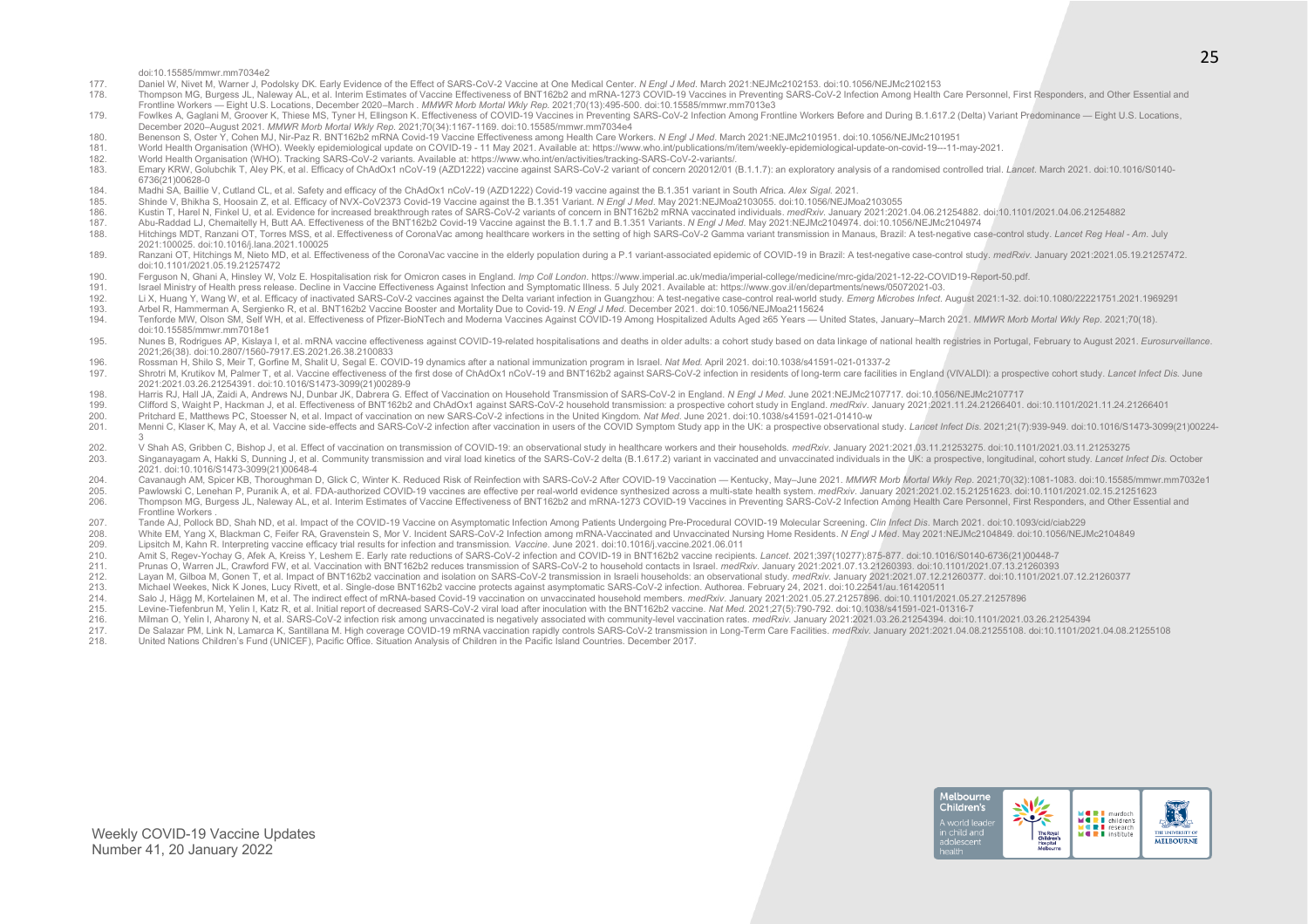#### doi:10.15585/mmwr.mm7034e2

- 177. Daniel W, Nivet M, Warner J, Podolsky DK. Early Evidence of the Effect of SARS-CoV-2 Vaccine at One Medical Center. *N Engl J Med*. March 2021:NEJMc2102153. doi:10.1056/NEJMc2102153
- 178. Thompson MG, Burgess JL, Naleway AL, et al. Interim Estimates of Vaccine Effectiveness of BNT162b2 and mRNA-1273 COVID-19 Vaccines in Preventing SARS-CoV-2 Infection Among Health Care Personnel, First Responders, and Frontline Workers — Eight U.S. Locations, December 2020–March . *MMWR Morb Mortal Wkly Rep*. 2021;70(13):495-500. doi:10.15585/mmwr.mm7013e3
- 179. Fowlkes A. Gaglani M. Groover K. Thiese MS. Tyner H. Ellingson K. Effectiveness of COVID-19 Vaccines in Preventing SARS-CoV-2 Infection Among Frontline Workers Before and During B.1.617.2 (Delta) Variant Predominance December 2020–August 2021. *MMWR Morb Mortal Wkly Rep*. 2021;70(34):1167-1169. doi:10.15585/mmwr.mm7034e4
- 180. Benenson S, Oster Y, Cohen MJ, Nir-Paz R. BNT162b2 mRNA Covid-19 Vaccine Effectiveness among Health Care Workers. *N Engl J Med*. March 2021:NEJMc2101951. doi:10.1056/NEJMc2101951
- 181. World Health Organisation (WHO). Weekly epidemiological update on COVID-19 11 May 2021. Available at: https://www.who.int/publications/m/item/weekly-epidemiological-update-on-covid-19---11-may-2021.<br>182 Morld Health
- 182. World Health Organisation (WHO). Tracking SARS-CoV-2 variants. Available at: https://www.who.int/en/activities/tracking-SARS-CoV-2-variants/.
- 183. Emary KRW, Golubchik T. Aley PK, et al. Efficacy of ChAdOx1 nCoV-19 (AZD1222) vaccine against SARS-CoV-2 variant of concern 202012/01 (B.1.1.7); an exploratory analysis of a randomised controlled trial, Lancet, March 6736(21)00628-0
- 184. Madhi SA, Baillie V, Cutland CL, et al. Safety and efficacy of the ChAdOx1 nCoV-19 (AZD1222) Covid-19 vaccine against the B.1.351 variant in South Africa. *Alex Sigal*. 2021.
- 185. Shinde V, Bhikha S, Hoosain Z, et al. Efficacy of NVX-CoV2373 Covid-19 Vaccine against the B.1.351 Variant. *N Engl J Med*. May 2021:NEJMoa2103055. doi:10.1056/NEJMoa2103055
- 186. Kustin T. Harel N. Finkel U. et al. Evidence for increased breakthrough rates of SARS-CoV-2 variants of concern in BNT162b2 mRNA vaccinated individuals. medRxiv. January 2021:2021.04.06.21254882. doi:10.1101/2021.04.0
- 187. Abu-Raddad LJ, Chemaitelly H, Butt AA. Effectiveness of the BNT162b2 Covid-19 Vaccine against the B.1.1.7 and B.1.351 Variants. N Engl J Med. May 2021:NEJMc2104974. doi:10.1056/NEJMc2104974. doi:10.1056/NEJMc2104974.
- Hitchings MDT, Ranzani OT, Torres MSS, et al. Effectiveness of CoronaVac among healthcare workers in the setting of high SARS-CoV-2 Gamma variant transmission in Manaus, Brazil: A test-negative case-control study. Lancet R 2021:100025. doi:10.1016/j.lana.2021.100025
- 189 Ranzani OT Hitchings M. Nieto MD et al Effectiveness of the CoronaVac vaccine in the elderly population during a P 1 variant-associated epidemic of COVID-19 in Brazil: A test-pegative case-control study medRxiv, Januar doi:10.1101/2021.05.19.21257472
- 190. Ferguson N, Ghani A, Hinsley W, Volz E. Hospitalisation risk for Omicron cases in England. *Imp Coll London.* https://www.imperial.ac.uk/media/imperial-college/medicine/mrc-gida/2021-12-22-COVID19-Report-50.pdf.<br>191.
- 
- 191. Israel Ministry of Health press release. Decline in Vaccine Effectiveness Against Infection and Symptomatic Illness. 5 July 2021. Available at: https://www.gov.il/en/departments/news/05072021-03.<br>192. Li X, Huang Y, W Li X, Huang Y, Wang W, et al. Efficacy of inactivated SARS-CoV-2 vaccines against the Delta variant infection in Guangzhou: A test-negative case-control real-world study. Emerg Microbes Infect. August 2021:1-32. doi:10.108
- 193. Arbel R, Hammerman A, Sergienko R, et al. BNT162b2 Vaccine Booster and Mortality Due to Covid-19. *N Engl J Med*. December 2021. doi:10.1056/NEJMoa2115624
- Tenforde MW, Olson SM, Self WH, et al. Effectiveness of Pfizer-BioNTech and Moderna Vaccines Against COVID-19 Among Hospitalized Adults Aged ≥65 Years United States, January-March 2021, MMWR Morb Mortal Wkly Rep. 2021;7 doi:10.15585/mmwr.mm7018e1
- 195. Nunes B, Rodriques AP, Kislaya I, et al. mRNA vaccine effectiveness against COVID-19-related hospitalisations and deaths in older adults: a cohort study based on data linkage of national health registries in Portugal, 2021;26(38). doi:10.2807/1560-7917.ES.2021.26.38.2100833
- 196. Rossman H, Shilo S, Meir T, Gorfine M, Shalit U, Segal E. COVID-19 dynamics after a national immunization program in Israel. *Nat Med*. April 2021. doi:10.1038/s41591-021-01337-2
- Shrotri M. Krutikov M. Palmer T. et al. Vaccine effectiveness of the first dose of ChAdOx1 nCoV-19 and BNT162b2 against SARS-CoV-2 infection in residents of long-term care facilities in England (VIVALDI); a prospective coh 2021:2021.03.26.21254391. doi:10.1016/S1473-3099(21)00289-9
- 198. Harris RJ, Hall JA, Zaidi A, Andrews NJ, Dunbar JK, Dabrera G. Effect of Vaccination on Household Transmission of SARS-CoV-2 in England. *N Engl J Med.* June 2021:NEJMc2107717. doi:10.1056/NEJMc2107717. doi:10.1056/NE
- 199. Clifford S, Waight P, Hackman J, et al. Effectiveness of BNT162b2 and ChAdOx1 against SARS-CoV-2 household transmission: a prospective cohort study in England. medRxiv. January 2021.10.2021.11.24.21266401. doi:10.1101
- 200. Pritchard E, Matthews PC, Stoesser N, et al. Impact of vaccination on new SARS-CoV-2 infections in the United Kingdom. *Nat Med*. June 2021. doi:10.1038/s41591-021-01410-w
- 201. Menni C, Klaser K, May A, et al. Vaccine side-effects and SARS-CoV-2 infection after vaccination in users of the COVID Symptom Study app in the UK: a prospective observational study. Lancet Infect Dis. 2021;21(7):939-3
- V Shah AS, Gribben C, Bishop J, et al. Effect of vaccination on transmission of COVID-19: an observational study in healthcare workers and their households. *medRxiv*. January 2021:2021.03.11.21253275. doi:10.1101/2021.03.
- Singanayagam A, Hakki S, Dunning J, et al. Community transmission and viral load kinetics of the SARS-CoV-2 delta (B.1.617.2) variant in vaccinated and unvaccinated individuals in the UK: a prospective, longitudinal, cohor 2021. doi:10.1016/S1473-3099(21)00648-4
- 204. Cavanaugh AM, Spicer KB, Thoroughman D, Glick C, Winter K. Reduced Risk of Reinfection with SARS-CoV-2 After COVID-19 Vaccination Kentucky, May–June 2021. MMWR Morb Mortal Wkly Rep. 2021;70(32):1081-1083. doi:10.155
- 205. Pawlowski C, Lenehan P, Puranik A, et al. FDA-authorized COVID-19 vaccines are effective per real-world evidence synthesized across a multi-state health system. medRxiv. January 2021:2021.02.15.21251623. doi:10.1101/2
- Thompson MG, Burgess JL, Naleway AL, et al. Interim Estimates of Vaccine Effectiveness of BNT162b2 and mRNA-1273 COVID-19 Vaccines in Preventing SARS-CoV-2 Infection Among Health Care Personnel, First Responders, and Other Frontline Workers .
- 207. Tande AJ, Pollock BD, Shah ND, et al. Impact of the COVID-19 Vaccine on Asymptomatic Infection Among Patients Undergoing Pre-Procedural COVID-19 Molecular Screening. Clin Infect Dis. March 2021. doi:10.1093/cid/ciab22
- 208. White EM, Yang X, Blackman C, Feifer RA, Gravenstein S, Mor V. Incident SARS-CoV-2 Infection among mRNA-Vaccinated and Unvaccinated Nursing Home Residents. N Engl J Med. May 2021:NEJMc2104849. doi:10.1056/NEJMc2104849
- 209. Lipsitch M, Kahn R. Interpreting vaccine efficacy trial results for infection and transmission. *Vaccine*. June 2021. doi:10.1016/j.vaccine.2021.06.011 210. Amit S, Regev-Yochay G, Afek A, Kreiss Y, Leshem E. Early rate reductions of SARS-CoV-2 infection and COVID-19 in BNT162b2 vaccine recipients. *Lancet*. 2021;397(10277):875-877. doi:10.1016/S0140-6736(21)00448-7
- 
- 211. Prunas O, Warren JL, Crawford FW, et al. Vaccination with BNT162b2 reduces transmission of SARS-CoV-2 to household contacts in Israel. *medRxiv. January 2021:2021.07.13.21260393. doi:10.1101/2021.07.13.21260393*<br>212. Layan M. Gilboa M. Gonen T. et al. Impact of BNT162b2 vaccination and isolation on SARS-CoV-2 transmission in Israeli households: an observational study. medRyiv, January 2021;2021.07.12.21260377, doi:10.1101/2021.07.12.21
- 
- 213. Michael Weekes, Nick K Jones, Lucy Rivett, et al. Single-dose BNT162b2 vaccine protects against asymptomatic SARS-CoV-2 infection. Authorea. February 24, 2021. doi:10.22541/au.161420511<br>214. Salo J. Hägg M. Kortelaine
- 214. Salo J, Hägg M, Kortelainen M, et al. The indirect effect of mRNA-based Covid-19 vaccination on unvaccinated household members. *medRxiv*. January 2021:2021.05.27.21257896. doi:10.1101/2021.05.27.21257896.<br>215. Levine
- 215. Levine-Tiefenbrun M, Yelin I, Katz R, et al. Initial report of decreased SARS-CoV-2 viral load after inoculation with the BNT162b2 vaccine. *Nat Med*. 2021;27(5):790-792. doi:10.1038/s41591-021-01316-7 Milman O, Yelin I, Aharony N, et al. SARS-CoV-2 infection risk among unvaccinated is negatively associated with community-level vaccination rates. medRxiv. January 2021:2021.03.26.21254394. doi:10.1101/2021.03.26.21254394.
- 
- 217. De Salazar PM, Link N, Lamarca K, Santillana M. High coverage COVID-19 mRNA vaccination rapidly controls SARS-CoV-2 transmission in Long-Term Care Facilities. medRxiv. January 2021:2021.04.08.21255108. doi:10.1101/202 218. United Nations Children's Fund (UNICEF), Pacific Office. Situation Analysis of Children in the Pacific Island Countries. December 2017.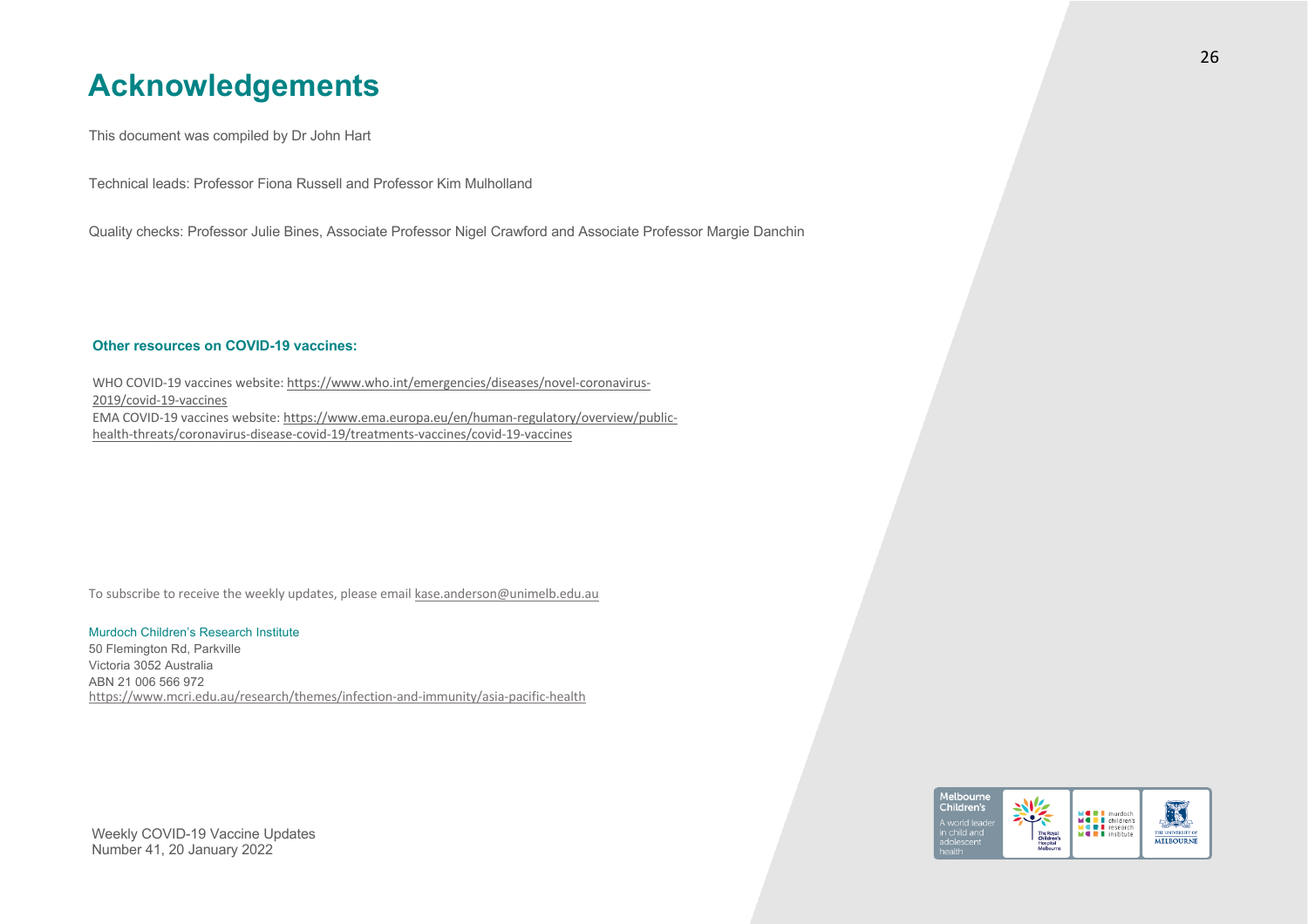### **Acknowledgements**

This document was compiled by Dr John Hart

Technical leads: Professor Fiona Russell and Professor Kim Mulholland

Quality checks: Professor Julie Bines, Associate Professor Nigel Crawford and Associate Professor Margie Danchin

### **Other resources on COVID-19 vaccines:**

WHO COVID-19 vaccines website: https://www.who.int/emergencies/diseases/novel-coronavirus-2019/covid-19-vaccines EMA COVID-19 vaccines website: https://www.ema.europa.eu/en/human-regulatory/overview/publichealth-threats/coronavirus-disease-covid-19/treatments-vaccines/covid-19-vaccines

To subscribe to receive the weekly updates, please email kase.anderson@unimelb.edu.au

### Murdoch Children's Research Institute

https://www.mcri.edu.au/research/themes/infection-and-immunity/asia-pacific-health 50 Flemington Rd, Parkville Victoria 3052 Australia ABN 21 006 566 972

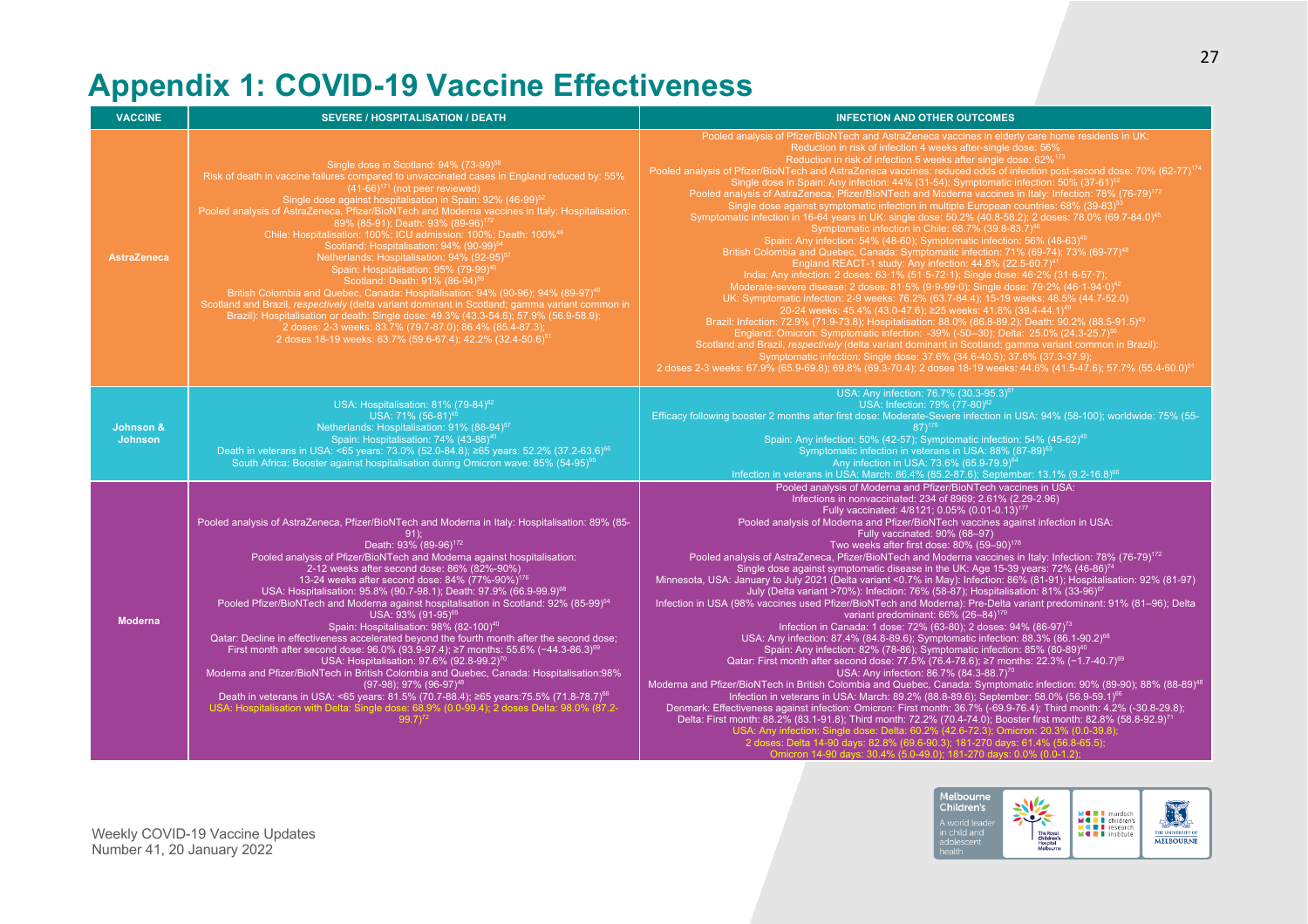# **Appendix 1: COVID-19 Vaccine Effectiveness**

| <b>VACCINE</b>              | <b>SEVERE / HOSPITALISATION / DEATH</b>                                                                                                                                                                                                                                                                                                                                                                                                                                                                                                                                                                                                                                                                                                                                                                                                                                                                                                                                                                                                                                                                                                                                                                                                      | <b>INFECTION AND OTHER OUTCOMES</b>                                                                                                                                                                                                                                                                                                                                                                                                                                                                                                                                                                                                                                                                                                                                                                                                                                                                                                                                                                                                                                                                                                                                                                                                                                                                                                                                                                                                                                                                                                                                                                                                                                                                                                                                                                                                                                                                                                                                                                                                                                                                                                                                                                  |
|-----------------------------|----------------------------------------------------------------------------------------------------------------------------------------------------------------------------------------------------------------------------------------------------------------------------------------------------------------------------------------------------------------------------------------------------------------------------------------------------------------------------------------------------------------------------------------------------------------------------------------------------------------------------------------------------------------------------------------------------------------------------------------------------------------------------------------------------------------------------------------------------------------------------------------------------------------------------------------------------------------------------------------------------------------------------------------------------------------------------------------------------------------------------------------------------------------------------------------------------------------------------------------------|------------------------------------------------------------------------------------------------------------------------------------------------------------------------------------------------------------------------------------------------------------------------------------------------------------------------------------------------------------------------------------------------------------------------------------------------------------------------------------------------------------------------------------------------------------------------------------------------------------------------------------------------------------------------------------------------------------------------------------------------------------------------------------------------------------------------------------------------------------------------------------------------------------------------------------------------------------------------------------------------------------------------------------------------------------------------------------------------------------------------------------------------------------------------------------------------------------------------------------------------------------------------------------------------------------------------------------------------------------------------------------------------------------------------------------------------------------------------------------------------------------------------------------------------------------------------------------------------------------------------------------------------------------------------------------------------------------------------------------------------------------------------------------------------------------------------------------------------------------------------------------------------------------------------------------------------------------------------------------------------------------------------------------------------------------------------------------------------------------------------------------------------------------------------------------------------------|
| <b>AstraZeneca</b>          | Single dose in Scotland: 94% (73-99) <sup>58</sup><br>Risk of death in vaccine failures compared to unvaccinated cases in England reduced by: 55%<br>$(41-66)^{171}$ (not peer reviewed)<br>Single dose against hospitalisation in Spain: 92% (46-99) <sup>52</sup><br>Pooled analysis of AstraZeneca, Pfizer/BioNTech and Moderna vaccines in Italy: Hospitalisation:<br>89% (85-91); Death: 93% (89-96) <sup>172</sup><br>Chile: Hospitalisation: 100%; ICU admission: 100%; Death: 100% <sup>46</sup><br>Scotland: Hospitalisation: 94% (90-99) <sup>54</sup><br>Netherlands: Hospitalisation: 94% (92-95) <sup>57</sup><br>Spain: Hospitalisation: 95% (79-99) <sup>4</sup><br>Scotland: Death: 91% (86-94) <sup>59</sup><br>British Colombia and Quebec, Canada: Hospitalisation: 94% (90-96); 94% (89-97) <sup>48</sup><br>Scotland and Brazil, respectively (delta variant dominant in Scotland; gamma variant common in<br>Brazil): Hospitalisation or death: Single dose: 49.3% (43.3-54.6); 57.9% (56.9-58.9);<br>2 doses: 2-3 weeks: 83.7% (79.7-87.0); 86.4% (85.4-87.3);<br>2 doses 18-19 weeks: 63.7% (59.6-67.4); 42.2% (32.4-50.6) <sup>51</sup>                                                                             | Pooled analysis of Pfizer/BioNTech and AstraZeneca vaccines in elderly care home residents in UK:<br>Reduction in risk of infection 4 weeks after-single dose: 56%<br>Reduction in risk of infection 5 weeks after single dose: 62% <sup>173</sup><br>Pooled analysis of Pfizer/BioNTech and AstraZeneca vaccines: reduced odds of infection post-second dose: 70% (62-77) <sup>174</sup><br>Single dose in Spain: Any infection: 44% (31-54); Symptomatic infection: 50% (37-61) <sup>52</sup><br>Pooled analysis of AstraZeneca, Pfizer/BioNTech and Moderna vaccines in Italy: Infection: 78% (76-79) <sup>172</sup><br>Single dose against symptomatic infection in multiple European countries: 68% (39-83) <sup>4</sup><br>Symptomatic infection in 16-64 years in UK: single dose: 50.2% (40.8-58.2); 2 doses: 78.0% (69.7-84.0) <sup>45</sup><br>Symptomatic infection in Chile: 68.7% (39.8-83.7) <sup>46</sup><br>Spain: Any infection: 54% (48-60); Symptomatic infection: 56% (48-63) <sup>40</sup><br>British Colombia and Quebec, Canada: Symptomatic infection: 71% (69-74); 73% (69-77) <sup>48</sup><br>England REACT-1 study: Any infection: 44.8% (22.5-60.7) <sup>4</sup><br>India: Any infection: 2 doses: 63.1% (51.5-72.1); Single dose: 46.2% (31.6-57.7);<br>Moderate-severe disease: 2 doses: 81.5% (9.9-99.0); Single dose: 79.2% (46.1-94.0) <sup>42</sup><br>UK: Symptomatic infection: 2-9 weeks: 76.2% (63.7-84.4); 15-19 weeks: 48.5% (44.7-52.0)<br>20-24 weeks: 45.4% (43.0-47.6); ≥25 weeks: 41.8% (39.4-44.1) <sup>4</sup><br>Brazil: Infection: 72.9% (71.9-73.8); Hospitalisation: 88.0% (86.8-89.2); Death: 90.2% (88.5-91.5) <sup>43</sup><br>England: Omicron: Symptomatic infection: -39% (-50--30); Delta: 25.0% (24.3-25.7) <sup>50</sup><br>Scotland and Brazil, respectively (delta variant dominant in Scotland; gamma variant common in Brazil):<br>Symptomatic infection: Single dose: 37.6% (34.6-40.5); 37.6% (37.3-37.9);<br>2 doses 2-3 weeks: 67.9% (65.9-69.8); 69.8% (69.3-70.4); 2 doses 18-19 weeks: 44.6% (41.5-47.6); 57.7% (55.4-60.0) <sup>51</sup>                                                                                    |
| Johnson &<br><b>Johnson</b> | USA: Hospitalisation: 81% (79-84) <sup>62</sup><br>USA: 71% (56-81) <sup>65</sup><br>Netherlands: Hospitalisation: 91% (88-94) <sup>57</sup><br>Spain: Hospitalisation: 74% (43-88) <sup>40</sup><br>Death in veterans in USA: <65 years: 73.0% (52.0-84.8); ≥65 years: 52.2% (37.2-63.6) <sup>66</sup><br>South Africa: Booster against hospitalisation during Omicron wave: 85% (54-95) <sup>95</sup>                                                                                                                                                                                                                                                                                                                                                                                                                                                                                                                                                                                                                                                                                                                                                                                                                                      | USA: Any infection: 76.7% (30.3-95.3) <sup>6</sup><br>USA: Infection: 79% (77-80) <sup>62</sup><br>Efficacy following booster 2 months after first dose: Moderate-Severe infection in USA: 94% (58-100); worldwide: 75% (55-<br>$87)$ <sup>175</sup><br>Spain: Any infection: 50% (42-57); Symptomatic infection: 54% (45-62) <sup>40</sup><br>Symptomatic infection in veterans in USA: 88% (87-89) <sup>63</sup><br>Any infection in USA: 73.6% (65.9-79.9) <sup>64</sup><br>Infection in veterans in USA: March: 86.4% (85.2-87.6); September: 13.1% (9.2-16.8) <sup>66</sup>                                                                                                                                                                                                                                                                                                                                                                                                                                                                                                                                                                                                                                                                                                                                                                                                                                                                                                                                                                                                                                                                                                                                                                                                                                                                                                                                                                                                                                                                                                                                                                                                                     |
| <b>Moderna</b>              | Pooled analysis of AstraZeneca, Pfizer/BioNTech and Moderna in Italy: Hospitalisation: 89% (85-<br>$91$ :<br>Death: 93% (89-96) <sup>172</sup><br>Pooled analysis of Pfizer/BioNTech and Moderna against hospitalisation:<br>2-12 weeks after second dose: 86% (82%-90%)<br>13-24 weeks after second dose: 84% (77%-90%) <sup>176</sup><br>USA: Hospitalisation: 95.8% (90.7-98.1); Death: 97.9% (66.9-99.9) <sup>68</sup><br>Pooled Pfizer/BioNTech and Moderna against hospitalisation in Scotland: 92% (85-99) <sup>54</sup><br>USA: 93% (91-95) <sup>65</sup><br>Spain: Hospitalisation: 98% (82-100) <sup>40</sup><br>Qatar: Decline in effectiveness accelerated beyond the fourth month after the second dose;<br>First month after second dose: 96.0% (93.9-97.4); ≥7 months: 55.6% (-44.3-86.3) <sup>69</sup><br>USA: Hospitalisation: 97.6% (92.8-99.2) <sup>70</sup><br>Moderna and Pfizer/BioNTech in British Colombia and Quebec, Canada: Hospitalisation:98%<br>(97-98): 97% (96-97) <sup>48</sup><br>Death in veterans in USA: <65 years: 81.5% (70.7-88.4); ≥65 years:75.5% (71.8-78.7) <sup>66</sup><br>USA: Hospitalisation with Delta: Single dose: 68.9% (0.0-99.4); 2 doses Delta: 98.0% (87.2-<br>$99.7$ <sup>72</sup> | Pooled analysis of Moderna and Pfizer/BioNTech vaccines in USA:<br>Infections in nonvaccinated: 234 of 8969; 2.61% (2.29-2.96)<br>Fully vaccinated: 4/8121; 0.05% (0.01-0.13) <sup>177</sup><br>Pooled analysis of Moderna and Pfizer/BioNTech vaccines against infection in USA:<br>Fully vaccinated: 90% (68-97)<br>Two weeks after first dose: 80% (59-90) <sup>178</sup><br>Pooled analysis of AstraZeneca, Pfizer/BioNTech and Moderna vaccines in Italy: Infection: 78% (76-79) <sup>172</sup><br>Single dose against symptomatic disease in the UK: Age 15-39 years: 72% (46-86) <sup>74</sup><br>Minnesota, USA: January to July 2021 (Delta variant <0.7% in May): Infection: 86% (81-91); Hospitalisation: 92% (81-97)<br>July (Delta variant >70%): Infection: 76% (58-87); Hospitalisation: 81% (33-96) <sup>67</sup><br>Infection in USA (98% vaccines used Pfizer/BioNTech and Moderna): Pre-Delta variant predominant: 91% (81-96); Delta<br>variant predominant: 66% (26-84) <sup>179</sup><br>Infection in Canada: 1 dose: 72% (63-80); 2 doses: 94% (86-97) <sup>73</sup><br>USA: Any infection: 87.4% (84.8-89.6); Symptomatic infection: 88.3% (86.1-90.2) <sup>68</sup><br>Spain: Any infection: 82% (78-86); Symptomatic infection: 85% (80-89) <sup>40</sup><br>Qatar: First month after second dose: 77.5% (76.4-78.6); ≥7 months: 22.3% (-1.7-40.7) <sup>69</sup><br>USA: Any infection: 86.7% (84.3-88.7) <sup>70</sup><br>Moderna and Pfizer/BioNTech in British Colombia and Quebec, Canada: Symptomatic infection: 90% (89-90); 88% (88-89) <sup>48</sup><br>Infection in veterans in USA: March: 89.2% (88.8-89.6); September: 58.0% (56.9-59.1) <sup>66</sup><br>Denmark: Effectiveness against infection: Omicron: First month: 36.7% (-69.9-76.4); Third month: 4.2% (-30.8-29.8);<br>Delta: First month: 88.2% (83.1-91.8); Third month: 72.2% (70.4-74.0); Booster first month: 82.8% (58.8-92.9) <sup>71</sup><br>USA: Any infection: Single dose: Delta: 60.2% (42.6-72.3); Omicron: 20.3% (0.0-39.8);<br>2 doses: Delta 14-90 days: 82.8% (69.6-90.3); 181-270 days: 61.4% (56.8-65.5);<br>Omicron 14-90 days: 30.4% (5.0-49.0); 181-270 days: 0.0% (0.0-1.2); |

Melbourne<br>Children's  $\begin{picture}(130,10) \put(0,0){\line(1,0){15}} \put(15,0){\line(1,0){15}} \put(15,0){\line(1,0){15}} \put(15,0){\line(1,0){15}} \put(15,0){\line(1,0){15}} \put(15,0){\line(1,0){15}} \put(15,0){\line(1,0){15}} \put(15,0){\line(1,0){15}} \put(15,0){\line(1,0){15}} \put(15,0){\line(1,0){15}} \put(15,0){\line(1,0){15}} \put(15,0){\line($ THE UNIVERSITY OF **MERL** murdoch<br> **MERL** research<br>
MERL institute A world lead in child and<br>adolescent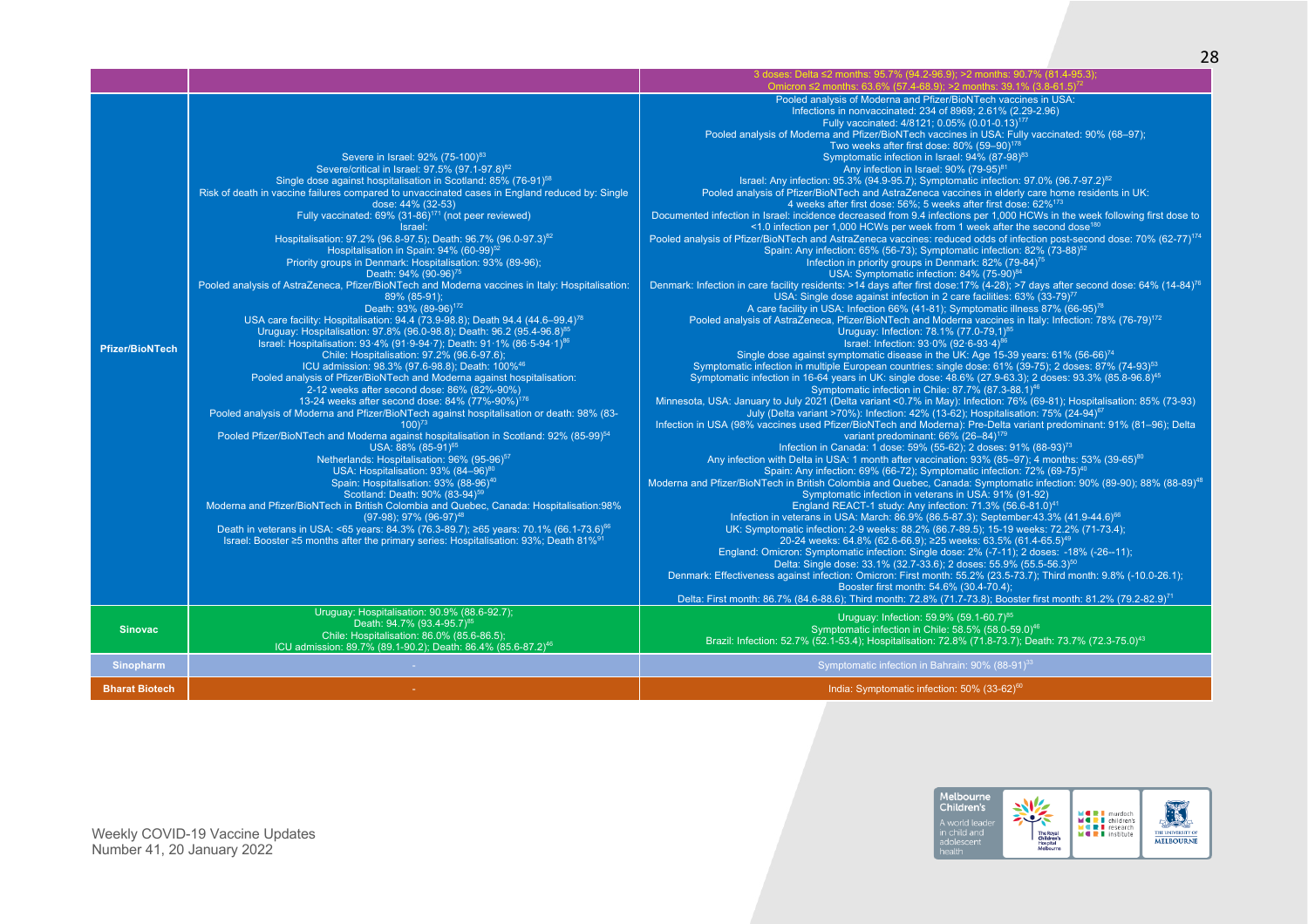|                        |                                                                                                                                                                                                                                                                                                                                                                                                                                                                                                                                                                                                                                                                                                                                                                                                                                                                                                                                                                                                                                                                                                                                                                                                                                                                                                                                                                                                                                                                                                                                                                                                                                                                                                                                                                                                                                                                                                                                                                                                                                                                                                                                                                                                                                         | 3 doses: Delta ≤2 months: 95.7% (94.2-96.9); >2 months: 90.7% (81.4-95.3);<br>Omicron $\leq$ 2 months: 63.6% (57.4-68.9); >2 months: 39.1% (3.8-61.5) <sup>7</sup><br>Pooled analysis of Moderna and Pfizer/BioNTech vaccines in USA:<br>Infections in nonvaccinated: 234 of 8969; 2.61% (2.29-2.96)<br>Fully vaccinated: 4/8121; 0.05% (0.01-0.13) <sup>177</sup>                                                                                                                                                                                                                                                                                                                                                                                                                                                                                                                                                                                                                                                                                                                                                                                                                                                                                                                                                                                                                                                                                                                                                                                                                                                                                                                                                                                                                                                                                                                                                                                                                                                                                                                                                                                                                                                                                                                                                                                                                                                                                                                                                                                                                                                                                                                                                                                                                                                                                                                                                                                                                                                                                                                                                                                                                                                                                                                                                                                                                                                                                                                                                                                                                                                                                                                                                                                                                                                                                                                     |
|------------------------|-----------------------------------------------------------------------------------------------------------------------------------------------------------------------------------------------------------------------------------------------------------------------------------------------------------------------------------------------------------------------------------------------------------------------------------------------------------------------------------------------------------------------------------------------------------------------------------------------------------------------------------------------------------------------------------------------------------------------------------------------------------------------------------------------------------------------------------------------------------------------------------------------------------------------------------------------------------------------------------------------------------------------------------------------------------------------------------------------------------------------------------------------------------------------------------------------------------------------------------------------------------------------------------------------------------------------------------------------------------------------------------------------------------------------------------------------------------------------------------------------------------------------------------------------------------------------------------------------------------------------------------------------------------------------------------------------------------------------------------------------------------------------------------------------------------------------------------------------------------------------------------------------------------------------------------------------------------------------------------------------------------------------------------------------------------------------------------------------------------------------------------------------------------------------------------------------------------------------------------------|----------------------------------------------------------------------------------------------------------------------------------------------------------------------------------------------------------------------------------------------------------------------------------------------------------------------------------------------------------------------------------------------------------------------------------------------------------------------------------------------------------------------------------------------------------------------------------------------------------------------------------------------------------------------------------------------------------------------------------------------------------------------------------------------------------------------------------------------------------------------------------------------------------------------------------------------------------------------------------------------------------------------------------------------------------------------------------------------------------------------------------------------------------------------------------------------------------------------------------------------------------------------------------------------------------------------------------------------------------------------------------------------------------------------------------------------------------------------------------------------------------------------------------------------------------------------------------------------------------------------------------------------------------------------------------------------------------------------------------------------------------------------------------------------------------------------------------------------------------------------------------------------------------------------------------------------------------------------------------------------------------------------------------------------------------------------------------------------------------------------------------------------------------------------------------------------------------------------------------------------------------------------------------------------------------------------------------------------------------------------------------------------------------------------------------------------------------------------------------------------------------------------------------------------------------------------------------------------------------------------------------------------------------------------------------------------------------------------------------------------------------------------------------------------------------------------------------------------------------------------------------------------------------------------------------------------------------------------------------------------------------------------------------------------------------------------------------------------------------------------------------------------------------------------------------------------------------------------------------------------------------------------------------------------------------------------------------------------------------------------------------------------------------------------------------------------------------------------------------------------------------------------------------------------------------------------------------------------------------------------------------------------------------------------------------------------------------------------------------------------------------------------------------------------------------------------------------------------------------------------------------------|
| <b>Pfizer/BioNTech</b> | Severe in Israel: 92% (75-100) <sup>83</sup><br>Severe/critical in Israel: 97.5% (97.1-97.8) <sup>82</sup><br>Single dose against hospitalisation in Scotland: 85% (76-91) <sup>58</sup><br>Risk of death in vaccine failures compared to unvaccinated cases in England reduced by: Single<br>dose: 44% (32-53)<br>Fully vaccinated: 69% (31-86) <sup>171</sup> (not peer reviewed)<br>Israel:<br>Hospitalisation: 97.2% (96.8-97.5); Death: 96.7% (96.0-97.3) <sup>82</sup><br>Hospitalisation in Spain: 94% (60-99) <sup>52</sup><br>Priority groups in Denmark: Hospitalisation: 93% (89-96);<br>Death: 94% (90-96) <sup>75</sup><br>Pooled analysis of AstraZeneca, Pfizer/BioNTech and Moderna vaccines in Italy: Hospitalisation:<br>89% (85-91);<br>Death: 93% (89-96) <sup>172</sup><br>USA care facility: Hospitalisation: 94.4 (73.9-98.8); Death 94.4 (44.6-99.4) <sup>78</sup><br>Uruguay: Hospitalisation: 97.8% (96.0-98.8); Death: 96.2 (95.4-96.8) <sup>85</sup><br>Israel: Hospitalisation: 93.4% (91.9-94.7); Death: 91.1% (86.5-94.1) <sup>86</sup><br>Chile: Hospitalisation: 97.2% (96.6-97.6);<br>ICU admission: 98.3% (97.6-98.8); Death: 100% <sup>46</sup><br>Pooled analysis of Pfizer/BioNTech and Moderna against hospitalisation:<br>2-12 weeks after second dose: 86% (82%-90%)<br>13-24 weeks after second dose: 84% (77%-90%) <sup>176</sup><br>Pooled analysis of Moderna and Pfizer/BioNTech against hospitalisation or death: 98% (83-<br>$100^{73}$<br>Pooled Pfizer/BioNTech and Moderna against hospitalisation in Scotland: 92% (85-99) <sup>54</sup><br>USA: 88% (85-91) <sup>65</sup><br>Netherlands: Hospitalisation: 96% (95-96) <sup>57</sup><br>USA: Hospitalisation: 93% (84-96) <sup>80</sup><br>Spain: Hospitalisation: 93% (88-96) <sup>40</sup><br>Scotland: Death: 90% (83-94) <sup>59</sup><br>Moderna and Pfizer/BioNTech in British Colombia and Quebec, Canada: Hospitalisation:98%<br>$(97-98)$ ; 97% $(96-97)^{48}$<br>Death in veterans in USA: <65 years: 84.3% (76.3-89.7); ≥65 years: 70.1% (66.1-73.6) <sup>66</sup><br>Israel: Booster ≥5 months after the primary series: Hospitalisation: 93%; Death 81% <sup>91</sup><br>Uruguay: Hospitalisation: 90.9% (88.6-92.7); | Pooled analysis of Moderna and Pfizer/BioNTech vaccines in USA: Fully vaccinated: 90% (68-97);<br>Two weeks after first dose: 80% (59-90) <sup>178</sup><br>Symptomatic infection in Israel: 94% (87-98) <sup>83</sup><br>Any infection in Israel: 90% (79-95) <sup>81</sup><br>Israel: Any infection: 95.3% (94.9-95.7); Symptomatic infection: 97.0% (96.7-97.2) <sup>82</sup><br>Pooled analysis of Pfizer/BioNTech and AstraZeneca vaccines in elderly care home residents in UK:<br>4 weeks after first dose: 56%; 5 weeks after first dose: 62% <sup>173</sup><br>Documented infection in Israel: incidence decreased from 9.4 infections per 1,000 HCWs in the week following first dose to<br><1.0 infection per 1,000 HCWs per week from 1 week after the second dose <sup>180</sup><br>Pooled analysis of Pfizer/BioNTech and AstraZeneca vaccines: reduced odds of infection post-second dose: 70% (62-77) <sup>174</sup><br>Spain: Any infection: 65% (56-73); Symptomatic infection: 82% (73-88) <sup>52</sup><br>Infection in priority groups in Denmark: 82% (79-84) <sup>75</sup><br>USA: Symptomatic infection: 84% (75-90) <sup>84</sup><br>Denmark: Infection in care facility residents: >14 days after first dose:17% (4-28); >7 days after second dose: 64% (14-84) <sup>76</sup><br>USA: Single dose against infection in 2 care facilities: 63% (33-79) <sup>77</sup><br>A care facility in USA: Infection 66% (41-81); Symptomatic illness 87% (66-95) <sup>78</sup><br>Pooled analysis of AstraZeneca, Pfizer/BioNTech and Moderna vaccines in Italy: Infection: 78% (76-79) <sup>172</sup><br>Uruguay: Infection: 78.1% (77.0-79.1) <sup>85</sup><br>Israel: Infection: 93.0% (92.6-93.4) <sup>86</sup><br>Single dose against symptomatic disease in the UK: Age 15-39 years: 61% (56-66) <sup>74</sup><br>Symptomatic infection in multiple European countries: single dose: 61% (39-75); 2 doses: 87% (74-93) <sup>53</sup><br>Symptomatic infection in 16-64 years in UK: single dose: 48.6% (27.9-63.3); 2 doses: 93.3% (85.8-96.8) <sup>45</sup><br>Symptomatic infection in Chile: 87.7% (87.3-88.1) <sup>46</sup><br>Minnesota, USA: January to July 2021 (Delta variant <0.7% in May): Infection: 76% (69-81); Hospitalisation: 85% (73-93)<br>July (Delta variant >70%): Infection: 42% (13-62); Hospitalisation: 75% (24-94) <sup>67</sup><br>Infection in USA (98% vaccines used Pfizer/BioNTech and Moderna): Pre-Delta variant predominant: 91% (81-96); Delta<br>variant predominant: 66% (26-84) <sup>179</sup><br>Infection in Canada: 1 dose: 59% (55-62); 2 doses: 91% (88-93) <sup>73</sup><br>Any infection with Delta in USA: 1 month after vaccination: 93% (85-97); 4 months: 53% (39-65) <sup>80</sup><br>Spain: Any infection: 69% (66-72); Symptomatic infection: 72% (69-75) <sup>40</sup><br>Moderna and Pfizer/BioNTech in British Colombia and Quebec, Canada: Symptomatic infection: 90% (89-90); 88% (88-89) <sup>48</sup><br>Symptomatic infection in veterans in USA: 91% (91-92)<br>England REACT-1 study: Any infection: 71.3% (56.6-81.0) <sup>41</sup><br>Infection in veterans in USA: March: 86.9% (86.5-87.3); September:43.3% (41.9-44.6) <sup>66</sup><br>UK: Symptomatic infection: 2-9 weeks: 88.2% (86.7-89.5); 15-19 weeks: 72.2% (71-73.4);<br>20-24 weeks: 64.8% (62.6-66.9); ≥25 weeks: 63.5% (61.4-65.5) <sup>49</sup><br>England: Omicron: Symptomatic infection: Single dose: 2% (-7-11); 2 doses: -18% (-26--11);<br>Delta: Single dose: 33.1% (32.7-33.6); 2 doses: 55.9% (55.5-56.3) <sup>50</sup><br>Denmark: Effectiveness against infection: Omicron: First month: 55.2% (23.5-73.7); Third month: 9.8% (-10.0-26.1);<br>Booster first month: 54.6% (30.4-70.4);<br>Delta: First month: 86.7% (84.6-88.6); Third month: 72.8% (71.7-73.8); Booster first month: 81.2% (79.2-82.9) <sup>71</sup> |
| <b>Sinovac</b>         | Death: 94.7% (93.4-95.7) <sup>85</sup><br>Chile: Hospitalisation: 86.0% (85.6-86.5):<br>ICU admission: 89.7% (89.1-90.2); Death: 86.4% (85.6-87.2) <sup>46</sup>                                                                                                                                                                                                                                                                                                                                                                                                                                                                                                                                                                                                                                                                                                                                                                                                                                                                                                                                                                                                                                                                                                                                                                                                                                                                                                                                                                                                                                                                                                                                                                                                                                                                                                                                                                                                                                                                                                                                                                                                                                                                        | Uruguay: Infection: 59.9% (59.1-60.7) <sup>85</sup><br>Symptomatic infection in Chile: 58.5% (58.0-59.0) <sup>46</sup><br>Brazil: Infection: 52.7% (52.1-53.4); Hospitalisation: 72.8% (71.8-73.7); Death: 73.7% (72.3-75.0) <sup>43</sup>                                                                                                                                                                                                                                                                                                                                                                                                                                                                                                                                                                                                                                                                                                                                                                                                                                                                                                                                                                                                                                                                                                                                                                                                                                                                                                                                                                                                                                                                                                                                                                                                                                                                                                                                                                                                                                                                                                                                                                                                                                                                                                                                                                                                                                                                                                                                                                                                                                                                                                                                                                                                                                                                                                                                                                                                                                                                                                                                                                                                                                                                                                                                                                                                                                                                                                                                                                                                                                                                                                                                                                                                                                             |
| <b>Sinopharm</b>       |                                                                                                                                                                                                                                                                                                                                                                                                                                                                                                                                                                                                                                                                                                                                                                                                                                                                                                                                                                                                                                                                                                                                                                                                                                                                                                                                                                                                                                                                                                                                                                                                                                                                                                                                                                                                                                                                                                                                                                                                                                                                                                                                                                                                                                         | Symptomatic infection in Bahrain: 90% (88-91) <sup>33</sup>                                                                                                                                                                                                                                                                                                                                                                                                                                                                                                                                                                                                                                                                                                                                                                                                                                                                                                                                                                                                                                                                                                                                                                                                                                                                                                                                                                                                                                                                                                                                                                                                                                                                                                                                                                                                                                                                                                                                                                                                                                                                                                                                                                                                                                                                                                                                                                                                                                                                                                                                                                                                                                                                                                                                                                                                                                                                                                                                                                                                                                                                                                                                                                                                                                                                                                                                                                                                                                                                                                                                                                                                                                                                                                                                                                                                                            |
| <b>Bharat Biotech</b>  |                                                                                                                                                                                                                                                                                                                                                                                                                                                                                                                                                                                                                                                                                                                                                                                                                                                                                                                                                                                                                                                                                                                                                                                                                                                                                                                                                                                                                                                                                                                                                                                                                                                                                                                                                                                                                                                                                                                                                                                                                                                                                                                                                                                                                                         | India: Symptomatic infection: 50% (33-62) <sup>60</sup>                                                                                                                                                                                                                                                                                                                                                                                                                                                                                                                                                                                                                                                                                                                                                                                                                                                                                                                                                                                                                                                                                                                                                                                                                                                                                                                                                                                                                                                                                                                                                                                                                                                                                                                                                                                                                                                                                                                                                                                                                                                                                                                                                                                                                                                                                                                                                                                                                                                                                                                                                                                                                                                                                                                                                                                                                                                                                                                                                                                                                                                                                                                                                                                                                                                                                                                                                                                                                                                                                                                                                                                                                                                                                                                                                                                                                                |

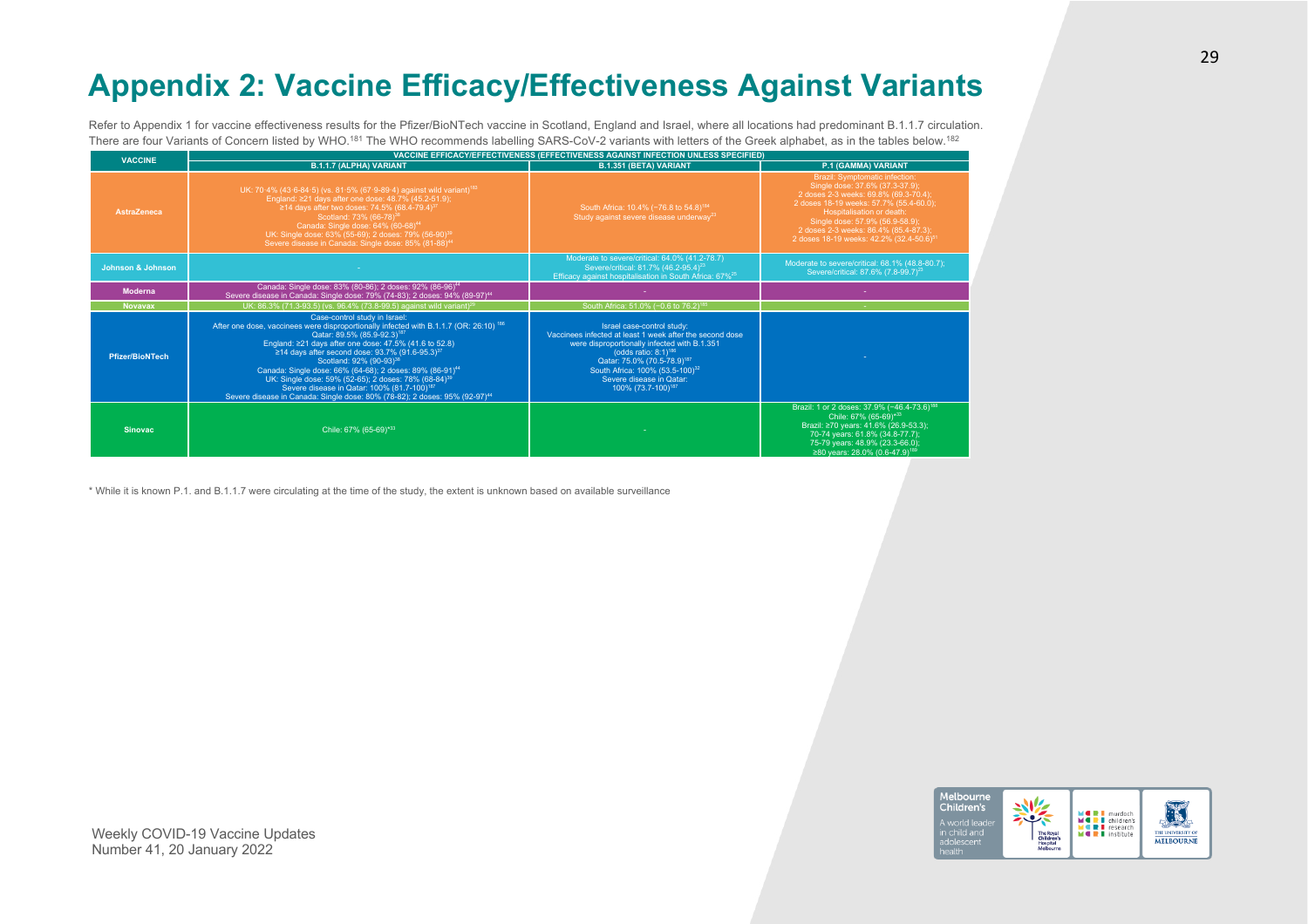# **Appendix 2: Vaccine Efficacy/Effectiveness Against Variants**

Refer to Appendix 1 for vaccine effectiveness results for the Pfizer/BioNTech vaccine in Scotland, England and Israel, where all locations had predominant B.1.1.7 circulation. There are four Variants of Concern listed by WHO.<sup>181</sup> The WHO recommends labelling SARS-CoV-2 variants with letters of the Greek alphabet, as in the tables below.<sup>182</sup>

| <b>VACCINE</b>         | VACCINE EFFICACY/EFFECTIVENESS (EFFECTIVENESS AGAINST INFECTION UNLESS SPECIFIED)                                                                                                                                                                                                                                                                                                                                                                                                                                                                                                                                                              |                                                                                                                                                                                                                                                                                                                                     |                                                                                                                                                                                                                                                                                                                               |  |  |  |  |
|------------------------|------------------------------------------------------------------------------------------------------------------------------------------------------------------------------------------------------------------------------------------------------------------------------------------------------------------------------------------------------------------------------------------------------------------------------------------------------------------------------------------------------------------------------------------------------------------------------------------------------------------------------------------------|-------------------------------------------------------------------------------------------------------------------------------------------------------------------------------------------------------------------------------------------------------------------------------------------------------------------------------------|-------------------------------------------------------------------------------------------------------------------------------------------------------------------------------------------------------------------------------------------------------------------------------------------------------------------------------|--|--|--|--|
|                        | <b>B.1.1.7 (ALPHA) VARIANT</b>                                                                                                                                                                                                                                                                                                                                                                                                                                                                                                                                                                                                                 | B.1.351 (BETA) VARIANT                                                                                                                                                                                                                                                                                                              | P.1 (GAMMA) VARIANT                                                                                                                                                                                                                                                                                                           |  |  |  |  |
| AstraZeneca            | UK: 70.4% (43.6-84.5) (vs. 81.5% (67.9-89.4) against wild variant) <sup>183</sup><br>England: ≥21 days after one dose: 48.7% (45.2-51.9);<br>≥14 days after two doses: 74.5% (68.4-79.4) <sup>3</sup><br>Scotland: 73% (66-78) <sup>38</sup><br>Canada: Single dose: 64% (60-68) <sup>44</sup><br>UK: Single dose: 63% (55-69); 2 doses: 79% (56-90) <sup>39</sup><br>Severe disease in Canada: Single dose: 85% (81-88) <sup>44</sup>                                                                                                                                                                                                         | South Africa: 10.4% (-76.8 to 54.8) <sup>184</sup><br>Study against severe disease underway <sup>23</sup>                                                                                                                                                                                                                           | <b>Brazil: Symptomatic infection:</b><br>Single dose: 37.6% (37.3-37.9);<br>2 doses 2-3 weeks: 69.8% (69.3-70.4):<br>2 doses 18-19 weeks: 57.7% (55.4-60.0);<br>Hospitalisation or death:<br>Single dose: 57.9% (56.9-58.9);<br>2 doses 2-3 weeks: 86.4% (85.4-87.3);<br>2 doses 18-19 weeks: 42.2% (32.4-50.6) <sup>51</sup> |  |  |  |  |
| Johnson & Johnson      |                                                                                                                                                                                                                                                                                                                                                                                                                                                                                                                                                                                                                                                | Moderate to severe/critical: 64.0% (41.2-78.7)<br>Severe/critical: 81.7% (46.2-95.4) <sup>23</sup><br>Efficacy against hospitalisation in South Africa: 67% <sup>25</sup>                                                                                                                                                           | Moderate to severe/critical: 68.1% (48.8-80.7);<br>Severe/critical: 87.6% (7.8-99.7) <sup>23</sup>                                                                                                                                                                                                                            |  |  |  |  |
| <b>Moderna</b>         | Canada: Single dose: 83% (80-86); 2 doses: 92% (86-96) <sup>44</sup><br>Severe disease in Canada: Single dose: 79% (74-83); 2 doses: 94% (89-97) <sup>44</sup>                                                                                                                                                                                                                                                                                                                                                                                                                                                                                 |                                                                                                                                                                                                                                                                                                                                     |                                                                                                                                                                                                                                                                                                                               |  |  |  |  |
| <b>Novavax</b>         | UK: 86.3% (71.3-93.5) (vs. 96.4% (73.8-99.5) against wild variant) <sup>29</sup>                                                                                                                                                                                                                                                                                                                                                                                                                                                                                                                                                               | South Africa: 51.0% (-0.6 to 76.2) <sup>185</sup>                                                                                                                                                                                                                                                                                   |                                                                                                                                                                                                                                                                                                                               |  |  |  |  |
| <b>Pfizer/BioNTech</b> | Case-control study in Israel:<br>After one dose, vaccinees were disproportionally infected with B.1.1.7 (OR: 26:10) <sup>186</sup><br>Qatar: 89.5% (85.9-92.3) <sup>187</sup><br>England: ≥21 days after one dose: 47.5% (41.6 to 52.8)<br>≥14 days after second dose: 93.7% (91.6-95.3) <sup>37</sup><br>Scotland: 92% (90-93) <sup>38</sup><br>Canada: Single dose: 66% (64-68); 2 doses: 89% (86-91) <sup>44</sup><br>UK: Single dose: 59% (52-65); 2 doses: 78% (68-84) <sup>39</sup><br>Severe disease in Qatar: 100% (81.7-100) <sup>187</sup><br>Severe disease in Canada: Single dose: 80% (78-82); 2 doses: 95% (92-97) <sup>44</sup> | Israel case-control study:<br>Vaccinees infected at least 1 week after the second dose<br>were disproportionally infected with B.1.351<br>(odds ratio: $8:1$ <sup>186</sup><br>Qatar: 75.0% (70.5-78.9) <sup>187</sup><br>South Africa: 100% (53.5-100) <sup>32</sup><br>Severe disease in Oatar:<br>100% (73.7-100) <sup>187</sup> |                                                                                                                                                                                                                                                                                                                               |  |  |  |  |
| <b>Sinovac</b>         | Chile: 67% (65-69)*33                                                                                                                                                                                                                                                                                                                                                                                                                                                                                                                                                                                                                          |                                                                                                                                                                                                                                                                                                                                     | Brazil: 1 or 2 doses: 37.9% (-46.4-73.6) <sup>188</sup><br>Chile: 67% (65-69)*33<br>Brazil: ≥70 years: 41.6% (26.9-53.3):<br>70-74 years: 61.8% (34.8-77.7);<br>75-79 years: 48.9% (23.3-66.0):<br>≥80 years: 28.0% (0.6-47.9) <sup>189</sup>                                                                                 |  |  |  |  |

\* While it is known P.1. and B.1.1.7 were circulating at the time of the study, the extent is unknown based on available surveillance

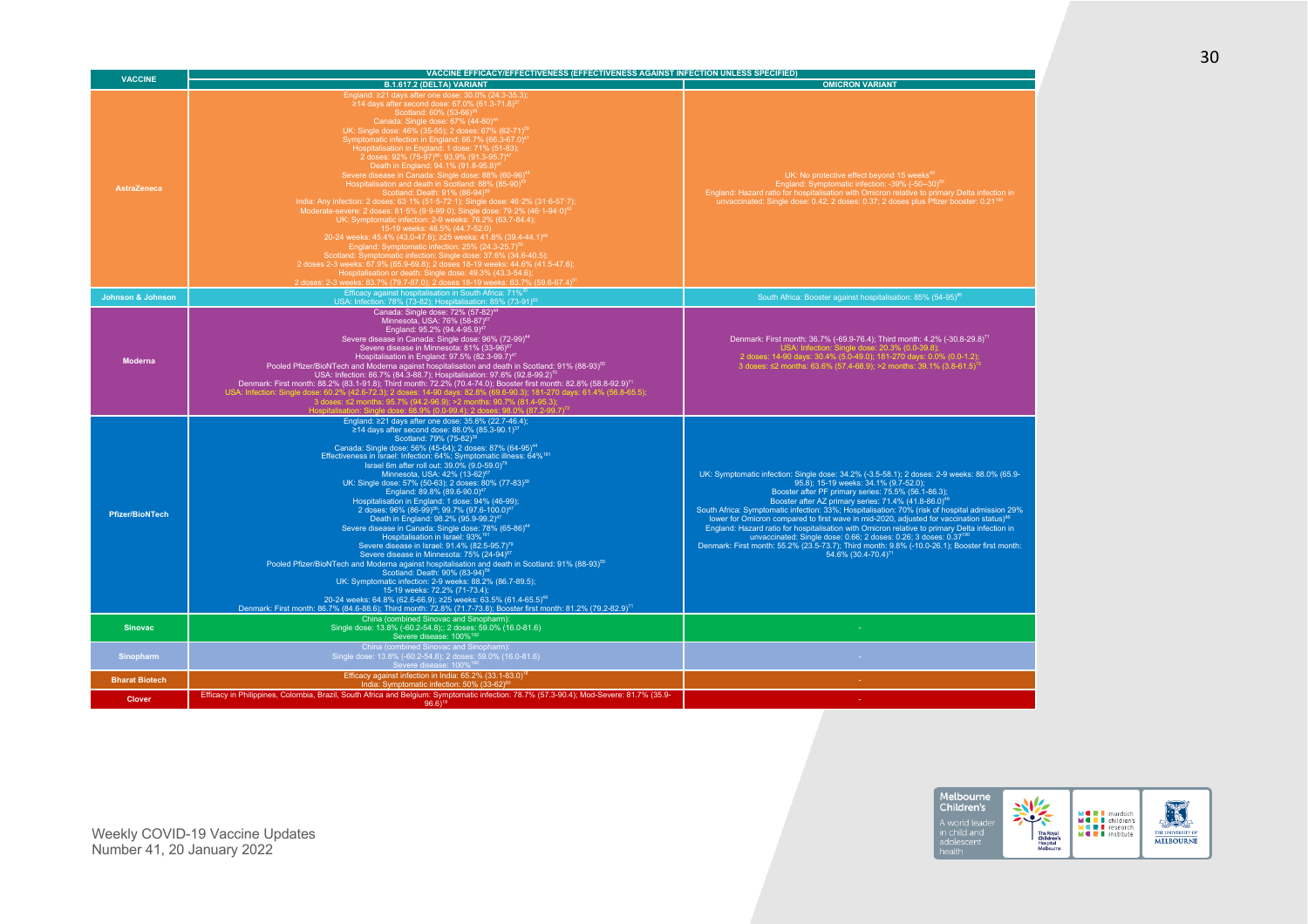| <b>VACCINE</b>               | VACCINE EFFICACY/EFFECTIVENESS (EFFECTIVENESS AGAINST INFECTION UNLESS SPECIFIED)                                                                                                                                                                                                                                                                                                                                                                                                                                                                                                                                                                                                                                                                                                                                                                                                                                                                                                                                                                                                                                                                                                                                                                                                                                                                                                                                                                                                                                  |                                                                                                                                                                                                                                                                                                                                                                                                                                                                                                                                                                                                                                                                                                                                                                                               |  |  |  |
|------------------------------|--------------------------------------------------------------------------------------------------------------------------------------------------------------------------------------------------------------------------------------------------------------------------------------------------------------------------------------------------------------------------------------------------------------------------------------------------------------------------------------------------------------------------------------------------------------------------------------------------------------------------------------------------------------------------------------------------------------------------------------------------------------------------------------------------------------------------------------------------------------------------------------------------------------------------------------------------------------------------------------------------------------------------------------------------------------------------------------------------------------------------------------------------------------------------------------------------------------------------------------------------------------------------------------------------------------------------------------------------------------------------------------------------------------------------------------------------------------------------------------------------------------------|-----------------------------------------------------------------------------------------------------------------------------------------------------------------------------------------------------------------------------------------------------------------------------------------------------------------------------------------------------------------------------------------------------------------------------------------------------------------------------------------------------------------------------------------------------------------------------------------------------------------------------------------------------------------------------------------------------------------------------------------------------------------------------------------------|--|--|--|
|                              | B.1.617.2 (DELTA) VARIANT                                                                                                                                                                                                                                                                                                                                                                                                                                                                                                                                                                                                                                                                                                                                                                                                                                                                                                                                                                                                                                                                                                                                                                                                                                                                                                                                                                                                                                                                                          | <b>OMICRON VARIANT</b>                                                                                                                                                                                                                                                                                                                                                                                                                                                                                                                                                                                                                                                                                                                                                                        |  |  |  |
| <b>AstraZeneca</b>           | England: ≥21 days after one dose: 30.0% (24.3-35.3);<br>≥14 days after second dose: 67.0% (61.3-71.8) <sup>37</sup><br>Scotland: 60% (53-66) <sup>3</sup><br>Canada: Single dose: 67% (44-80) <sup>44</sup><br>UK: Single dose: 46% (35-55); 2 doses: 67% (62-71) <sup>39</sup><br>Symptomatic infection in England: 66.7% (66.3-67.0) <sup>4</sup><br>Hospitalisation in England: 1 dose: 71% (51-83);<br>2 doses: 92% (75-97) <sup>56</sup> ; 93.9% (91.3-95.7) <sup>47</sup><br>Death in England: 94.1% (91.8-95.8)<br>Severe disease in Canada: Single dose: 88% (60-96) <sup>44</sup><br>Hospitalisation and death in Scotland: 88% (85-90) <sup>5</sup><br>Scotland: Death: 91% (86-94) <sup>5</sup><br>India: Any infection: 2 doses: 63·1% (51·5-72·1); Single dose: 46·2% (31·6-57·7);<br>Moderate-severe: 2 doses: 81.5% (9.9-99.0); Single dose: 79.2% (46.1-94.0) <sup>42</sup><br>UK: Symptomatic infection: 2-9 weeks: 76.2% (63.7-84.4);<br>15-19 weeks: 48.5% (44.7-52.0)<br>20-24 weeks: 45.4% (43.0-47.6); ≥25 weeks: 41.8% (39.4-44.1) <sup>49</sup><br>England: Symptomatic infection: 25% (24.3-25.7)<br>Scotland: Symptomatic infection: Single dose: 37.6% (34.6-40.5);<br>2 doses 2-3 weeks: 67.9% (65.9-69.8); 2 doses 18-19 weeks: 44.6% (41.5-47.6);<br>Hospitalisation or death: Single dose: 49.3% (43.3-54.6);<br>2 doses: 2-3 weeks: 83.7% (79.7-87.0): 2 doses 18-19 weeks: 63.7% (59.6-67.4) <sup>51</sup><br>Efficacy against hospitalisation in South Africa: 71% <sup>25</sup> | UK: No protective effect beyond 15 weeks <sup>49</sup><br>England: Symptomatic infection: -39% (-50--30) <sup>50</sup><br>England: Hazard ratio for hospitalisation with Omicron relative to primary Delta infection in<br>unvaccinated: Single dose: 0.42; 2 doses: 0.37; 2 doses plus Pfizer booster: 0.21 <sup>190</sup>                                                                                                                                                                                                                                                                                                                                                                                                                                                                   |  |  |  |
| <b>Johnson &amp; Johnson</b> | USA: Infection: 78% (73-82); Hospitalisation: 85% (73-91) <sup>62</sup>                                                                                                                                                                                                                                                                                                                                                                                                                                                                                                                                                                                                                                                                                                                                                                                                                                                                                                                                                                                                                                                                                                                                                                                                                                                                                                                                                                                                                                            | South Africa: Booster against hospitalisation: 85% (54-95) <sup>95</sup>                                                                                                                                                                                                                                                                                                                                                                                                                                                                                                                                                                                                                                                                                                                      |  |  |  |
| <b>Moderna</b>               | Canada: Single dose: 72% (57-82) <sup>44</sup><br>Minnesota, USA: 76% (58-87) <sup>67</sup><br>England: 95.2% (94.4-95.9) <sup>47</sup><br>Severe disease in Canada: Single dose: 96% (72-99) <sup>44</sup><br>Severe disease in Minnesota: 81% (33-96) <sup>67</sup><br>Hospitalisation in England: 97.5% (82.3-99.7) <sup>47</sup><br>Pooled Pfizer/BioNTech and Moderna against hospitalisation and death in Scotland: 91% (88-93) <sup>55</sup><br>USA: Infection: 86.7% (84.3-88.7); Hospitalisation: 97.6% (92.8-99.2) <sup>7(</sup><br>Denmark: First month: 88.2% (83.1-91.8); Third month: 72.2% (70.4-74.0); Booster first month: 82.8% (58.8-92.9) <sup>71</sup><br>USA: Infection: Single dose: 60.2% (42.6-72.3); 2 doses: 14-90 days: 82.8% (69.6-90.3); 181-270 days: 61.4% (56.8-65.5);<br>3 doses: ≤2 months: 95.7% (94.2-96.9); >2 months: 90.7% (81.4-95.3);<br>Hospitalisation: Single dose: 68.9% (0.0-99.4): 2 doses: 98.0% (87.2-99.7) <sup>72</sup>                                                                                                                                                                                                                                                                                                                                                                                                                                                                                                                                        | Denmark: First month: 36.7% (-69.9-76.4); Third month: 4.2% (-30.8-29.8) <sup>71</sup><br>USA: Infection: Single dose: 20.3% (0.0-39.8);<br>2 doses: 14-90 days: 30.4% (5.0-49.0); 181-270 days: 0.0% (0.0-1.2);<br>3 doses: ≤2 months: 63.6% (57.4-68.9); >2 months: 39.1% (3.8-61.5) <sup>72</sup>                                                                                                                                                                                                                                                                                                                                                                                                                                                                                          |  |  |  |
| <b>Pfizer/BioNTech</b>       | England: ≥21 days after one dose: 35.6% (22.7-46.4);<br>≥14 days after second dose: 88.0% (85.3-90.1) <sup>37</sup><br>Scotland: 79% (75-82) <sup>38</sup><br>Canada: Single dose: 56% (45-64); 2 doses: 87% (64-95) <sup>44</sup><br>Effectiveness in Israel: Infection: 64%; Symptomatic illness: 64% <sup>191</sup><br>Israel 6m after roll out: 39.0% (9.0-59.0) <sup>79</sup><br>Minnesota, USA: 42% (13-62) <sup>67</sup><br>UK: Single dose: 57% (50-63); 2 doses: 80% (77-83) <sup>39</sup><br>England: 89.8% (89.6-90.0) <sup>47</sup><br>Hospitalisation in England: 1 dose: 94% (46-99);<br>2 doses: 96% (86-99) <sup>56</sup> ; 99.7% (97.6-100.0) <sup>47</sup><br>Death in England: 98.2% (95.9-99.2) <sup>47</sup><br>Severe disease in Canada: Single dose: 78% (65-86) <sup>44</sup><br>Hospitalisation in Israel: 93% <sup>19</sup><br>Severe disease in Israel: 91.4% (82.5-95.7) <sup>79</sup><br>Severe disease in Minnesota: 75% (24-94) <sup>67</sup><br>Pooled Pfizer/BioNTech and Moderna against hospitalisation and death in Scotland: 91% (88-93) <sup>55</sup><br>Scotland: Death: 90% (83-94) <sup>59</sup><br>UK: Symptomatic infection: 2-9 weeks: 88.2% (86.7-89.5);<br>15-19 weeks: 72.2% (71-73.4);<br>20-24 weeks: 64.8% (62.6-66.9); ≥25 weeks: 63.5% (61.4-65.5) <sup>49</sup><br>Denmark: First month: 86.7% (84.6-88.6); Third month: 72.8% (71.7-73.8); Booster first month: 81.2% (79.2-82.9) <sup>71</sup>                                                              | UK: Symptomatic infection: Single dose: 34.2% (-3.5-58.1); 2 doses: 2-9 weeks: 88.0% (65.9-<br>95.8); 15-19 weeks: 34.1% (9.7-52.0);<br>Booster after PF primary series: 75.5% (56.1-86.3);<br>Booster after AZ primary series: 71.4% (41.8-86.0) <sup>49</sup><br>South Africa: Symptomatic infection: 33%; Hospitalisation: 70% (risk of hospital admission 29%<br>lower for Omicron compared to first wave in mid-2020, adjusted for vaccination status) <sup>96</sup><br>England: Hazard ratio for hospitalisation with Omicron relative to primary Delta infection in<br>unvaccinated: Single dose: 0.66; 2 doses: 0.26; 3 doses: 0.37 <sup>19</sup><br>Denmark: First month: 55.2% (23.5-73.7); Third month: 9.8% (-10.0-26.1); Booster first month:<br>54.6% (30.4-70.4) <sup>71</sup> |  |  |  |
| <b>Sinovac</b>               | China (combined Sinovac and Sinopharm):<br>Single dose: 13.8% (-60.2-54.8);; 2 doses: 59.0% (16.0-81.6)<br>Severe disease: 100% <sup>192</sup>                                                                                                                                                                                                                                                                                                                                                                                                                                                                                                                                                                                                                                                                                                                                                                                                                                                                                                                                                                                                                                                                                                                                                                                                                                                                                                                                                                     |                                                                                                                                                                                                                                                                                                                                                                                                                                                                                                                                                                                                                                                                                                                                                                                               |  |  |  |
| Sinopharm                    | China (combined Sinovac and Sinopharm):<br>Single dose: 13.8% (-60.2-54.8); 2 doses: 59.0% (16.0-81.6)<br>Severe disease: 10                                                                                                                                                                                                                                                                                                                                                                                                                                                                                                                                                                                                                                                                                                                                                                                                                                                                                                                                                                                                                                                                                                                                                                                                                                                                                                                                                                                       |                                                                                                                                                                                                                                                                                                                                                                                                                                                                                                                                                                                                                                                                                                                                                                                               |  |  |  |
| <b>Bharat Biotech</b>        | Efficacy against infection in India: 65.2% (33.1-83.0) <sup>11</sup><br>India: Symptomatic infection: 50% (33-62) <sup>60</sup>                                                                                                                                                                                                                                                                                                                                                                                                                                                                                                                                                                                                                                                                                                                                                                                                                                                                                                                                                                                                                                                                                                                                                                                                                                                                                                                                                                                    |                                                                                                                                                                                                                                                                                                                                                                                                                                                                                                                                                                                                                                                                                                                                                                                               |  |  |  |
| <b>Clover</b>                | Efficacy in Philippines, Colombia, Brazil, South Africa and Belgium: Symptomatic infection: 78.7% (57.3-90.4); Mod-Severe: 81.7% (35.9-<br>$96.6)^{19}$                                                                                                                                                                                                                                                                                                                                                                                                                                                                                                                                                                                                                                                                                                                                                                                                                                                                                                                                                                                                                                                                                                                                                                                                                                                                                                                                                            |                                                                                                                                                                                                                                                                                                                                                                                                                                                                                                                                                                                                                                                                                                                                                                                               |  |  |  |

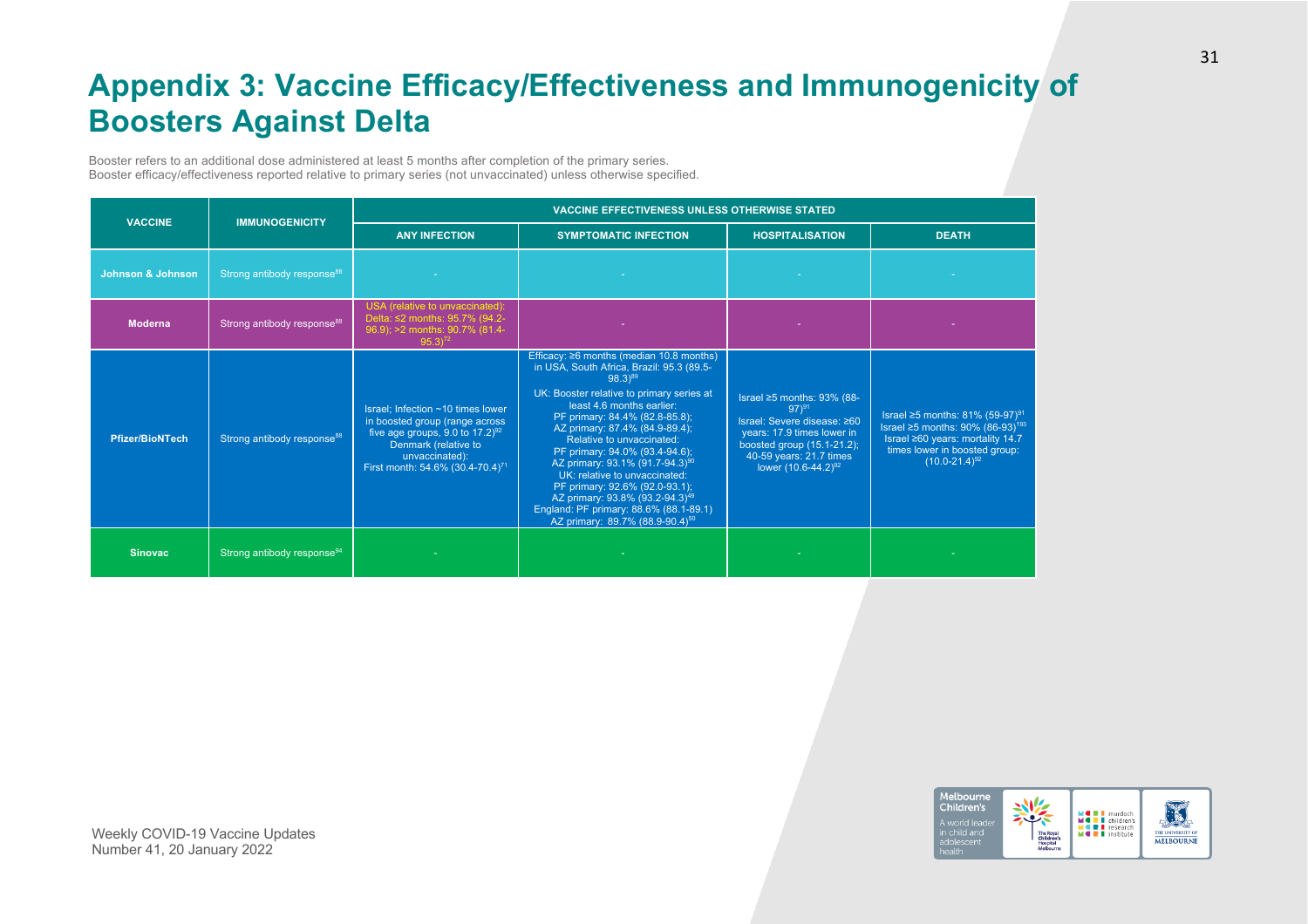# **Appendix 3: Vaccine Efficacy/Effectiveness and Immunogenicity of Boosters Against Delta**

Booster refers to an additional dose administered at least 5 months after completion of the primary series. Booster efficacy/effectiveness reported relative to primary series (not unvaccinated) unless otherwise specified.

| <b>VACCINE</b>         | <b>IMMUNOGENICITY</b>                  | <b>VACCINE EFFECTIVENESS UNLESS OTHERWISE STATED</b>                                                                                                                                                            |                                                                                                                                                                                                                                                                                                                                                                                                                                                                                                                                                                               |                                                                                                                                                                                                            |                                                                                                                                                                                          |  |  |
|------------------------|----------------------------------------|-----------------------------------------------------------------------------------------------------------------------------------------------------------------------------------------------------------------|-------------------------------------------------------------------------------------------------------------------------------------------------------------------------------------------------------------------------------------------------------------------------------------------------------------------------------------------------------------------------------------------------------------------------------------------------------------------------------------------------------------------------------------------------------------------------------|------------------------------------------------------------------------------------------------------------------------------------------------------------------------------------------------------------|------------------------------------------------------------------------------------------------------------------------------------------------------------------------------------------|--|--|
|                        |                                        | <b>ANY INFECTION</b>                                                                                                                                                                                            | <b>SYMPTOMATIC INFECTION</b>                                                                                                                                                                                                                                                                                                                                                                                                                                                                                                                                                  | <b>HOSPITALISATION</b>                                                                                                                                                                                     | <b>DEATH</b>                                                                                                                                                                             |  |  |
| Johnson & Johnson      | Strong antibody response <sup>88</sup> |                                                                                                                                                                                                                 |                                                                                                                                                                                                                                                                                                                                                                                                                                                                                                                                                                               |                                                                                                                                                                                                            |                                                                                                                                                                                          |  |  |
| <b>Moderna</b>         | Strong antibody response <sup>88</sup> | USA (relative to unvaccinated):<br>Delta: ≤2 months: 95.7% (94.2-<br>96.9); >2 months: 90.7% (81.4-<br>$95.3^{72}$                                                                                              |                                                                                                                                                                                                                                                                                                                                                                                                                                                                                                                                                                               |                                                                                                                                                                                                            |                                                                                                                                                                                          |  |  |
| <b>Pfizer/BioNTech</b> | Strong antibody response <sup>88</sup> | Israel; Infection ~10 times lower<br>in boosted group (range across<br>five age groups, 9.0 to $17.2$ ) <sup>92</sup><br>Denmark (relative to<br>unvaccinated):<br>First month: 54.6% (30.4-70.4) <sup>71</sup> | Efficacy: $\geq 6$ months (median 10.8 months)<br>in USA, South Africa, Brazil: 95.3 (89.5-<br>98.3)89<br>UK: Booster relative to primary series at<br>least 4.6 months earlier:<br>PF primary: 84.4% (82.8-85.8);<br>AZ primary: 87.4% (84.9-89.4);<br>Relative to unvaccinated:<br>PF primary: 94.0% (93.4-94.6);<br>AZ primary: 93.1% (91.7-94.3) <sup>90</sup><br>UK: relative to unvaccinated:<br>PF primary: 92.6% (92.0-93.1);<br>AZ primary: 93.8% (93.2-94.3) <sup>49</sup><br>England: PF primary: 88.6% (88.1-89.1)<br>AZ primary: 89.7% (88.9-90.4) <sup>50</sup> | Israel $\geq 5$ months: 93% (88-<br>$97)^{91}$<br>Israel: Severe disease: ≥60<br>years: 17.9 times lower in<br>boosted group $(15.1-21.2)$ ;<br>40-59 years: 21.7 times<br>lower (10.6-44.2) <sup>92</sup> | Israel ≥5 months: 81% (59-97) <sup>91</sup><br>Israel ≥5 months: 90% (86-93) <sup>193</sup><br>Israel ≥60 years: mortality 14.7<br>times lower in boosted group:<br>$(10.0 - 21.4)^{92}$ |  |  |
| <b>Sinovac</b>         | Strong antibody response <sup>94</sup> |                                                                                                                                                                                                                 |                                                                                                                                                                                                                                                                                                                                                                                                                                                                                                                                                                               |                                                                                                                                                                                                            |                                                                                                                                                                                          |  |  |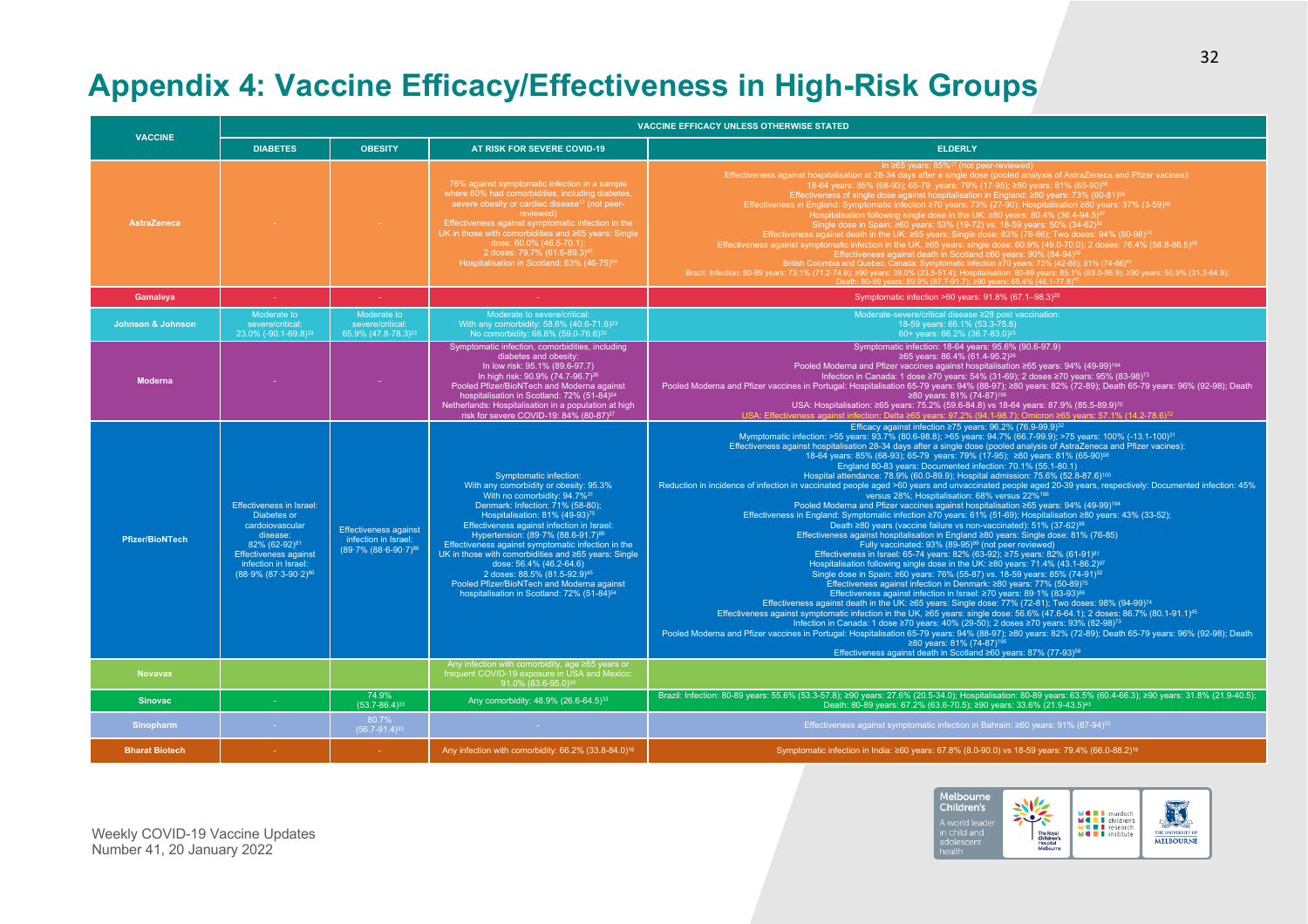# **Appendix 4: Vaccine Efficacy/Effectiveness in High-Risk Groups**

|                              | <b>VACCINE EFFICACY UNLESS OTHERWISE STATED</b><br><b>VACCINE</b>                                                                                                                                      |                                                                                    |                                                                                                                                                                                                                                                                                                                                                                                                                                                                                                                                                                                             |                                                                                                                                                                                                                                                                                                                                                                                                                                                                                                                                                                                                                                                                                                                                                                                                                                                                                                                                                                                                                                                                                                                                                                                                                                                                                                                                                                                                                                                                                                                                                                                                                                                                                                                                                                                                                                                                                                                                                                                                                                                                                                                                                                                                                                                                                                                                                                                                                       |
|------------------------------|--------------------------------------------------------------------------------------------------------------------------------------------------------------------------------------------------------|------------------------------------------------------------------------------------|---------------------------------------------------------------------------------------------------------------------------------------------------------------------------------------------------------------------------------------------------------------------------------------------------------------------------------------------------------------------------------------------------------------------------------------------------------------------------------------------------------------------------------------------------------------------------------------------|-----------------------------------------------------------------------------------------------------------------------------------------------------------------------------------------------------------------------------------------------------------------------------------------------------------------------------------------------------------------------------------------------------------------------------------------------------------------------------------------------------------------------------------------------------------------------------------------------------------------------------------------------------------------------------------------------------------------------------------------------------------------------------------------------------------------------------------------------------------------------------------------------------------------------------------------------------------------------------------------------------------------------------------------------------------------------------------------------------------------------------------------------------------------------------------------------------------------------------------------------------------------------------------------------------------------------------------------------------------------------------------------------------------------------------------------------------------------------------------------------------------------------------------------------------------------------------------------------------------------------------------------------------------------------------------------------------------------------------------------------------------------------------------------------------------------------------------------------------------------------------------------------------------------------------------------------------------------------------------------------------------------------------------------------------------------------------------------------------------------------------------------------------------------------------------------------------------------------------------------------------------------------------------------------------------------------------------------------------------------------------------------------------------------------|
|                              | <b>DIABETES</b>                                                                                                                                                                                        | <b>OBESITY</b>                                                                     | AT RISK FOR SEVERE COVID-19                                                                                                                                                                                                                                                                                                                                                                                                                                                                                                                                                                 | <b>ELDERLY</b>                                                                                                                                                                                                                                                                                                                                                                                                                                                                                                                                                                                                                                                                                                                                                                                                                                                                                                                                                                                                                                                                                                                                                                                                                                                                                                                                                                                                                                                                                                                                                                                                                                                                                                                                                                                                                                                                                                                                                                                                                                                                                                                                                                                                                                                                                                                                                                                                        |
| <b>AstraZeneca</b>           |                                                                                                                                                                                                        |                                                                                    | 76% against symptomatic infection in a sample<br>where 60% had comorbidities, including diabetes,<br>severe obesity or cardiac disease <sup>17</sup> (not peer-<br>reviewed)<br>Effectiveness against symptomatic infection in the<br>UK in those with comorbidities and ≥65 years: Single<br>dose: 60.0% (46.5-70.1);<br>2 doses: 79.7% (61.6-89.3) <sup>45</sup><br>Hospitalisation in Scotland: 63% (46-75) <sup>54</sup>                                                                                                                                                                | In $\geq 65$ years: $85\%$ <sup>17</sup> (not peer-reviewed)<br>Effectiveness against hospitalisation at 28-34 days after a single dose (pooled analysis of AstraZeneca and Pfizer vacines):<br>18-64 years: 85% (68-93); 65-79 years: 79% (17-95); ≥80 years: 81% (65-90) <sup>58</sup><br>Effectiveness of single dose against hospitalisation in England: ≥80 years: 73% (60-81) <sup>99</sup><br>Effectiveness in England: Symptomatic infection ≥70 years: 73% (27-90); Hospitalisation ≥80 years: 37% (3-59) <sup>98</sup><br>Hospitalisation following single dose in the UK: ≥80 years: 80.4% (36.4-94.5) <sup>9</sup><br>Single dose in Spain: ≥60 years: 53% (19-72) vs. 18-59 years: 50% (34-62) <sup>5:</sup><br>Effectiveness against death in the UK: ≥65 years: Single dose: 83% (78-86); Two doses: 94% (80-98) <sup>74</sup><br>Effectiveness against symptomatic infection in the UK, ≥65 years: single dose: 60.9% (49.0-70.0); 2 doses: 76.4% (58.8-86.5) <sup>45</sup><br>Encoursings squared symptomizer answer on the start and the College of the College of the College of the College of the College of the College of the College of the College of the College of the College of the College of<br>Death: 80-89 years: 89.9% (87.7-91.7); ≥90 years: 65.4% (46.1-77.8) <sup>43</sup>                                                                                                                                                                                                                                                                                                                                                                                                                                                                                                                                                                                                                                                                                                                                                                                                                                                                                                                                                                                                                                                                                                      |
| Gamaleya                     | 14.1                                                                                                                                                                                                   | 140                                                                                |                                                                                                                                                                                                                                                                                                                                                                                                                                                                                                                                                                                             | Symptomatic infection >60 years: 91.8% (67.1-98.3) <sup>20</sup>                                                                                                                                                                                                                                                                                                                                                                                                                                                                                                                                                                                                                                                                                                                                                                                                                                                                                                                                                                                                                                                                                                                                                                                                                                                                                                                                                                                                                                                                                                                                                                                                                                                                                                                                                                                                                                                                                                                                                                                                                                                                                                                                                                                                                                                                                                                                                      |
| <b>Johnson &amp; Johnson</b> | Moderate to<br>severe/critical:<br>23.0% (-90.1-69.8) <sup>23</sup>                                                                                                                                    | Moderate to<br>severe/critical:<br>65.9% (47.8-78.3) <sup>23</sup>                 | Moderate to severe/critical:<br>With any comorbidity: 58.6% (40.6-71.6) <sup>23</sup><br>No comorbidity: 68.8% (59.0-76.6) <sup>23</sup>                                                                                                                                                                                                                                                                                                                                                                                                                                                    | Moderate-severe/critical disease ≥28 post vaccination:<br>18-59 years: 66.1% (53.3-75.8)<br>60+ years: 66.2% (36.7-83.0) <sup>23</sup>                                                                                                                                                                                                                                                                                                                                                                                                                                                                                                                                                                                                                                                                                                                                                                                                                                                                                                                                                                                                                                                                                                                                                                                                                                                                                                                                                                                                                                                                                                                                                                                                                                                                                                                                                                                                                                                                                                                                                                                                                                                                                                                                                                                                                                                                                |
| <b>Moderna</b>               |                                                                                                                                                                                                        |                                                                                    | Symptomatic infection, comorbidities, including<br>diabetes and obesity:<br>In low risk: 95.1% (89.6-97.7)<br>In high risk: 90.9% (74.7-96.7) <sup>26</sup><br>Pooled Pfizer/BioNTech and Moderna against<br>hospitalisation in Scotland: 72% (51-84) <sup>54</sup><br>Netherlands: Hospitalisation in a population at high<br>risk for severe COVID-19: 84% (80-87) <sup>57</sup>                                                                                                                                                                                                          | Symptomatic infection: 18-64 years: 95.6% (90.6-97.9)<br>≥65 years: 86.4% (61.4-95.2) <sup>26</sup><br>Pooled Moderna and Pfizer vaccines against hospitalisation ≥65 years: 94% (49-99) <sup>194</sup><br>Infection in Canada: 1 dose ≥70 years: 54% (31-69); 2 doses ≥70 years: 95% (83-98) <sup>73</sup><br>Pooled Moderna and Pfizer vaccines in Portugal: Hospitalisation 65-79 years: 94% (88-97); ≥80 years: 82% (72-89); Death 65-79 years: 96% (92-98); Death<br>≥80 years: 81% (74-87) <sup>195</sup><br>USA: Hospitalisation: ≥65 years: 75.2% (59.6-84.8) vs 18-64 years: 87.9% (85.5-89.9) <sup>70</sup><br>USA: Effectiveness against infection: Delta ≥65 vears: 97.2% (94.1-98.7): Omicron ≥65 vears: 57.1% (14.2-78.6) <sup>72</sup>                                                                                                                                                                                                                                                                                                                                                                                                                                                                                                                                                                                                                                                                                                                                                                                                                                                                                                                                                                                                                                                                                                                                                                                                                                                                                                                                                                                                                                                                                                                                                                                                                                                                 |
| <b>Pfizer/BioNTech</b>       | <b>Effectiveness in Israel:</b><br>Diabetes or<br>cardoiovascular<br>disease:<br>82% (62-92) <sup>81</sup><br><b>Effectiveness against</b><br>infection in Israel:<br>(88.9% (87.3-90.2) <sup>86</sup> | <b>Effectiveness against</b><br>infection in Israel:<br>$(89.7\%)(88.6-90.7)^{86}$ | Symptomatic infection:<br>With any comorbidity or obesity: 95.3%<br>With no comorbidity: 94.7% <sup>31</sup><br>Denmark: Infection: 71% (58-80);<br>Hospitalisation: 81% (49-93) <sup>75</sup><br>Effectiveness against infection in Israel:<br>Hypertension: (89.7% (88.6-91.7) <sup>86</sup><br>Effectiveness against symptomatic infection in the<br>UK in those with comorbidities and ≥65 years: Single<br>dose: 56.4% (46.2-64.6)<br>2 doses: 88.5% (81.5-92.9) <sup>45</sup><br>Pooled Pfizer/BioNTech and Moderna against<br>hospitalisation in Scotland: 72% (51-84) <sup>54</sup> | Efficacy against infection ≥75 years: 96.2% (76.9-99.9) <sup>32</sup><br>Mymptomatic infection: >55 years: 93.7% (80.6-98.8); >65 years: 94.7% (66.7-99.9); >75 years: 100% (-13.1-100) <sup>31</sup><br>Effectiveness against hospitalisation 28-34 days after a single dose (pooled analysis of AstraZeneca and Pfizer vacines):<br>18-64 years: 85% (68-93); 65-79 years: 79% (17-95); ≥80 years: 81% (65-90) <sup>58</sup><br>England 80-83 years: Documented infection: 70.1% (55.1-80.1)<br>Hospital attendance: 78.9% (60.0-89.9); Hospital admission: 75.6% (52.8-87.6) <sup>100</sup><br>Reduction in incidence of infection in vaccinated people aged >60 years and unvaccinated people aged 20-39 years, respectively: Documented infection: 45%<br>versus 28%: Hospitalisation: 68% versus 22% <sup>196</sup><br>Pooled Moderna and Pfizer vaccines against hospitalisation ≥65 years: 94% (49-99) <sup>194</sup><br>Effectiveness in England: Symptomatic infection ≥70 years: 61% (51-69); Hospitalisation ≥80 years: 43% (33-52);<br>Death ≥80 vears (vaccine failure vs non-vaccinated): 51% (37-62) <sup>98</sup><br>Effectiveness against hospitalisation in England ≥80 years: Single dose: 81% (76-85)<br>Fully vaccinated: 93% (89-95) <sup>99</sup> (not peer reviewed)<br>Effectiveness in Israel: 65-74 years: 82% (63-92); ≥75 years: 82% (61-91) <sup>81</sup><br>Hospitalisation following single dose in the UK: ≥80 years: 71.4% (43.1-86.2) <sup>97</sup><br>Single dose in Spain: ≥60 years: 76% (55-87) vs. 18-59 years: 85% (74-91) <sup>52</sup><br>Effectiveness against infection in Denmark: ≥80 years: 77% (50-89) <sup>75</sup><br>Effectiveness against infection in Israel: ≥70 years: 89·1% (83-93) <sup>86</sup><br>Effectiveness against death in the UK: ≥65 years: Single dose: 77% (72-81); Two doses: 98% (94-99) <sup>74</sup><br>Effectiveness against symptomatic infection in the UK, ≥65 years: single dose: 56.6% (47.6-64.1); 2 doses: 86.7% (80.1-91.1) <sup>45</sup><br>Infection in Canada: 1 dose ≥70 years: 40% (29-50); 2 doses ≥70 years: 93% (82-98) <sup>73</sup><br>Pooled Moderna and Pfizer vaccines in Portugal: Hospitalisation 65-79 years: 94% (88-97); ≥80 years: 82% (72-89); Death 65-79 years: 96% (92-98); Death<br>≥80 years: 81% (74-87) <sup>195</sup><br>Effectiveness against death in Scotland ≥60 years: 87% (77-93) <sup>59</sup> |
| <b>Novavax</b>               |                                                                                                                                                                                                        |                                                                                    | Any infection with comorbidity, age $\geq 65$ years or<br>frequent COVID-19 exposure in USA and Mexico:<br>91.0% (83.6-95.0)30                                                                                                                                                                                                                                                                                                                                                                                                                                                              |                                                                                                                                                                                                                                                                                                                                                                                                                                                                                                                                                                                                                                                                                                                                                                                                                                                                                                                                                                                                                                                                                                                                                                                                                                                                                                                                                                                                                                                                                                                                                                                                                                                                                                                                                                                                                                                                                                                                                                                                                                                                                                                                                                                                                                                                                                                                                                                                                       |
| <b>Sinovac</b>               |                                                                                                                                                                                                        | 74.9%<br>$(53.7 - 86.4)^{33}$                                                      | Any comorbidity: 48.9% (26.6-64.5) <sup>33</sup>                                                                                                                                                                                                                                                                                                                                                                                                                                                                                                                                            | Brazil: Infection: 80-89 years: 55.6% (53.3-57.8); ≥90 years: 27.6% (20.5-34.0); Hospitalisation: 80-89 years: 63.5% (60.4-66.3); ≥90 years: 31.8% (21.9-40.5);<br>Death: 80-89 years: 67.2% (63.6-70.5); ≥90 years: 33.6% (21.9-43.5) <sup>43</sup>                                                                                                                                                                                                                                                                                                                                                                                                                                                                                                                                                                                                                                                                                                                                                                                                                                                                                                                                                                                                                                                                                                                                                                                                                                                                                                                                                                                                                                                                                                                                                                                                                                                                                                                                                                                                                                                                                                                                                                                                                                                                                                                                                                  |
| Sinopharm                    |                                                                                                                                                                                                        | 80.7%<br>$(56.7 - 91.4)^{33}$                                                      |                                                                                                                                                                                                                                                                                                                                                                                                                                                                                                                                                                                             | Effectiveness against symptomatic infection in Bahrain: ≥60 years: 91% (87-94) <sup>33</sup>                                                                                                                                                                                                                                                                                                                                                                                                                                                                                                                                                                                                                                                                                                                                                                                                                                                                                                                                                                                                                                                                                                                                                                                                                                                                                                                                                                                                                                                                                                                                                                                                                                                                                                                                                                                                                                                                                                                                                                                                                                                                                                                                                                                                                                                                                                                          |
| <b>Bharat Biotech</b>        |                                                                                                                                                                                                        |                                                                                    | Any infection with comorbidity: 66.2% (33.8-84.0) <sup>18</sup>                                                                                                                                                                                                                                                                                                                                                                                                                                                                                                                             | Symptomatic infection in India: ≥60 years: 67.8% (8.0-90.0) vs 18-59 years: 79.4% (66.0-88.2) <sup>18</sup>                                                                                                                                                                                                                                                                                                                                                                                                                                                                                                                                                                                                                                                                                                                                                                                                                                                                                                                                                                                                                                                                                                                                                                                                                                                                                                                                                                                                                                                                                                                                                                                                                                                                                                                                                                                                                                                                                                                                                                                                                                                                                                                                                                                                                                                                                                           |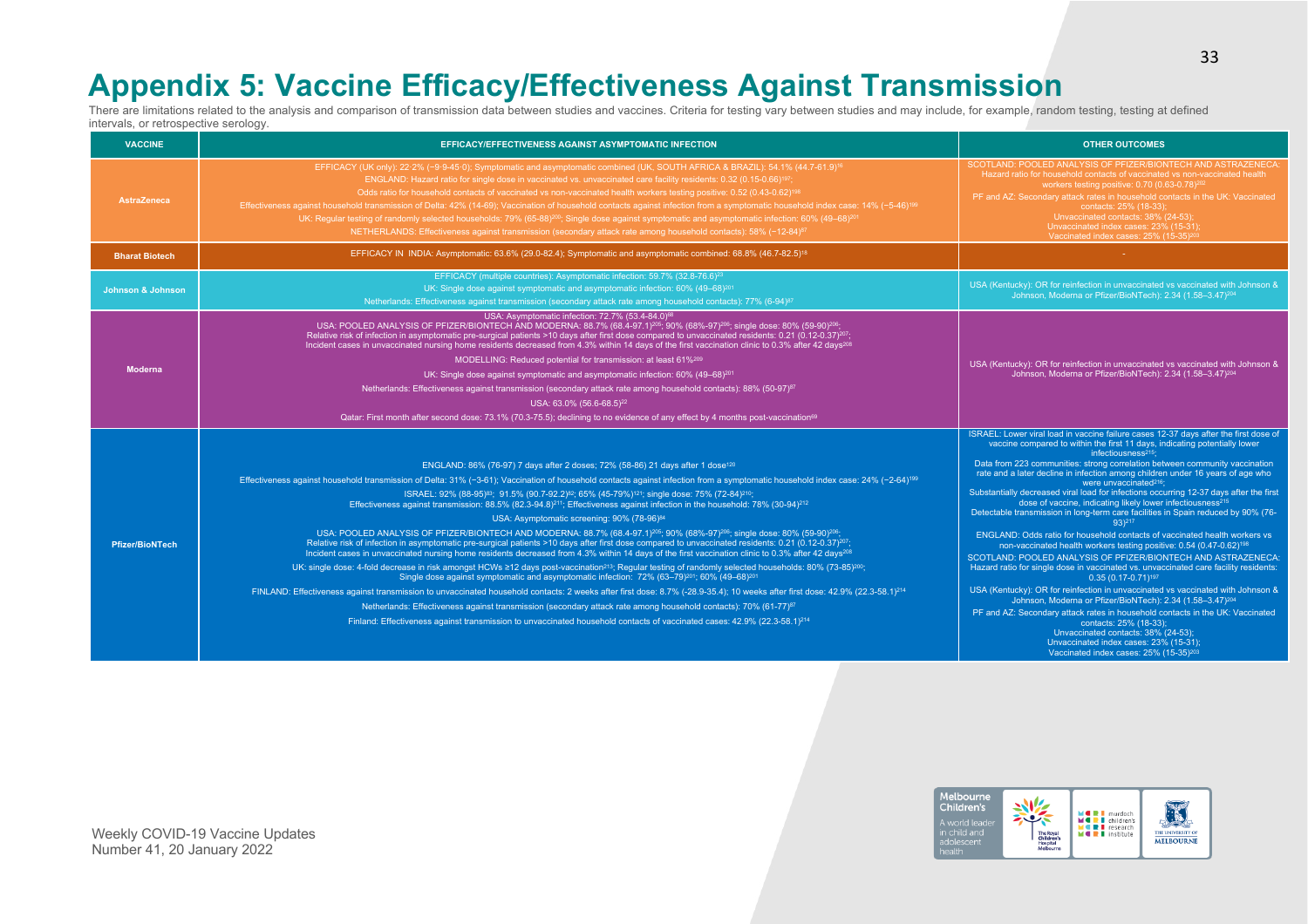### **Appendix 5: Vaccine Efficacy/Effectiveness Against Transmission**

There are limitations related to the analysis and comparison of transmission data between studies and vaccines. Criteria for testing vary between studies and may include, for example, random testing, testing at defined intervals, or retrospective serology.

| <b>VACCINE</b>               | <b>EFFICACY/EFFECTIVENESS AGAINST ASYMPTOMATIC INFECTION</b>                                                                                                                                                                                                                                                                                                                                                                                                                                                                                                                                                                                                                                                                                                                                                                                                                                                                                                                                                                                                                                                                                                                                                                                                                                                                                                                                                                                                                                                                                                                                                                                                                                                                                                                                                                                                                                                                        | <b>OTHER OUTCOMES</b>                                                                                                                                                                                                                                                                                                                                                                                                                                                                                                                                                                                                                                                                                                                                                                                                                                                                                                                                                                                                                                                                                                                                                                                                                                                                                                                                                                                                                                         |
|------------------------------|-------------------------------------------------------------------------------------------------------------------------------------------------------------------------------------------------------------------------------------------------------------------------------------------------------------------------------------------------------------------------------------------------------------------------------------------------------------------------------------------------------------------------------------------------------------------------------------------------------------------------------------------------------------------------------------------------------------------------------------------------------------------------------------------------------------------------------------------------------------------------------------------------------------------------------------------------------------------------------------------------------------------------------------------------------------------------------------------------------------------------------------------------------------------------------------------------------------------------------------------------------------------------------------------------------------------------------------------------------------------------------------------------------------------------------------------------------------------------------------------------------------------------------------------------------------------------------------------------------------------------------------------------------------------------------------------------------------------------------------------------------------------------------------------------------------------------------------------------------------------------------------------------------------------------------------|---------------------------------------------------------------------------------------------------------------------------------------------------------------------------------------------------------------------------------------------------------------------------------------------------------------------------------------------------------------------------------------------------------------------------------------------------------------------------------------------------------------------------------------------------------------------------------------------------------------------------------------------------------------------------------------------------------------------------------------------------------------------------------------------------------------------------------------------------------------------------------------------------------------------------------------------------------------------------------------------------------------------------------------------------------------------------------------------------------------------------------------------------------------------------------------------------------------------------------------------------------------------------------------------------------------------------------------------------------------------------------------------------------------------------------------------------------------|
| <b>AstraZeneca</b>           | EFFICACY (UK only): 22.2% (-9.9-45.0); Symptomatic and asymptomatic combined (UK, SOUTH AFRICA & BRAZIL): 54.1% (44.7-61.9) <sup>16</sup><br>ENGLAND: Hazard ratio for single dose in vaccinated vs. unvaccinated care facility residents: 0.32 (0.15-0.66) <sup>197</sup> ;<br>Odds ratio for household contacts of vaccinated vs non-vaccinated health workers testing positive: 0.52 (0.43-0.62) <sup>198</sup><br>Effectiveness against household transmission of Delta: 42% (14-69); Vaccination of household contacts against infection from a symptomatic household index case: 14% (-5-46) <sup>199</sup><br>UK: Regular testing of randomly selected households: 79% (65-88) <sup>200</sup> ; Single dose against symptomatic and asymptomatic infection: 60% (49-68) <sup>201</sup><br>NETHERLANDS: Effectiveness against transmission (secondary attack rate among household contacts): 58% (-12-84) <sup>87</sup>                                                                                                                                                                                                                                                                                                                                                                                                                                                                                                                                                                                                                                                                                                                                                                                                                                                                                                                                                                                                       | SCOTLAND: POOLED ANALYSIS OF PFIZER/BIONTECH AND ASTRAZENECA:<br>Hazard ratio for household contacts of vaccinated vs non-vaccinated health<br>workers testing positive: 0.70 (0.63-0.78) <sup>202</sup><br>PF and AZ: Secondary attack rates in household contacts in the UK: Vaccinated<br>contacts: 25% (18-33);<br>Unvaccinated contacts: 38% (24-53);<br>Unvaccinated index cases: 23% (15-31);<br>Vaccinated index cases: 25% (15-35) <sup>20</sup>                                                                                                                                                                                                                                                                                                                                                                                                                                                                                                                                                                                                                                                                                                                                                                                                                                                                                                                                                                                                     |
| <b>Bharat Biotech</b>        | EFFICACY IN INDIA: Asymptomatic: 63.6% (29.0-82.4); Symptomatic and asymptomatic combined: 68.8% (46.7-82.5) <sup>18</sup>                                                                                                                                                                                                                                                                                                                                                                                                                                                                                                                                                                                                                                                                                                                                                                                                                                                                                                                                                                                                                                                                                                                                                                                                                                                                                                                                                                                                                                                                                                                                                                                                                                                                                                                                                                                                          |                                                                                                                                                                                                                                                                                                                                                                                                                                                                                                                                                                                                                                                                                                                                                                                                                                                                                                                                                                                                                                                                                                                                                                                                                                                                                                                                                                                                                                                               |
| <b>Johnson &amp; Johnson</b> | EFFICACY (multiple countries): Asymptomatic infection: 59.7% (32.8-76.6) <sup>23</sup><br>UK: Single dose against symptomatic and asymptomatic infection: 60% (49-68) <sup>201</sup><br>Netherlands: Effectiveness against transmission (secondary attack rate among household contacts): 77% (6-94) <sup>87</sup>                                                                                                                                                                                                                                                                                                                                                                                                                                                                                                                                                                                                                                                                                                                                                                                                                                                                                                                                                                                                                                                                                                                                                                                                                                                                                                                                                                                                                                                                                                                                                                                                                  | USA (Kentucky): OR for reinfection in unvaccinated vs vaccinated with Johnson &<br>Johnson, Moderna or Pfizer/BioNTech): 2.34 (1.58-3.47) <sup>204</sup>                                                                                                                                                                                                                                                                                                                                                                                                                                                                                                                                                                                                                                                                                                                                                                                                                                                                                                                                                                                                                                                                                                                                                                                                                                                                                                      |
| <b>Moderna</b>               | USA: Asymptomatic infection: 72.7% (53.4-84.0) <sup>68</sup><br>USA: POOLED ANALYSIS OF PFIZER/BIONTECH AND MODERNA: 88.7% (68.4-97.1) <sup>205</sup> ; 90% (68%-97) <sup>206</sup> ; single dose: 80% (59-90) <sup>206</sup> ;<br>Relative risk of infection in asymptomatic pre-surgical patients >10 days after first dose compared to unvaccinated residents: 0.21 (0.12-0.37) <sup>207</sup> ;<br>Incident cases in unvaccinated nursing home residents decreased from 4.3% within 14 days of the first vaccination clinic to 0.3% after 42 days <sup>208</sup><br>MODELLING: Reduced potential for transmission: at least 61% <sup>209</sup><br>UK: Single dose against symptomatic and asymptomatic infection: 60% (49-68) <sup>201</sup><br>Netherlands: Effectiveness against transmission (secondary attack rate among household contacts): 88% (50-97) <sup>87</sup><br>USA: 63.0% (56.6-68.5) <sup>22</sup><br>Qatar: First month after second dose: 73.1% (70.3-75.5); declining to no evidence of any effect by 4 months post-vaccination <sup>69</sup>                                                                                                                                                                                                                                                                                                                                                                                                                                                                                                                                                                                                                                                                                                                                                                                                                                                               | USA (Kentucky): OR for reinfection in unvaccinated vs vaccinated with Johnson &<br>Johnson, Moderna or Pfizer/BioNTech): 2.34 (1.58-3.47) <sup>204</sup>                                                                                                                                                                                                                                                                                                                                                                                                                                                                                                                                                                                                                                                                                                                                                                                                                                                                                                                                                                                                                                                                                                                                                                                                                                                                                                      |
| <b>Pfizer/BioNTech</b>       | ENGLAND: 86% (76-97) 7 days after 2 doses; 72% (58-86) 21 days after 1 dose <sup>120</sup><br>Effectiveness against household transmission of Delta: 31% (-3-61); Vaccination of household contacts against infection from a symptomatic household index case: 24% (-2-64) <sup>199</sup><br>ISRAEL: 92% (88-95) <sup>83</sup> ; 91.5% (90.7-92.2) <sup>82</sup> ; 65% (45-79%) <sup>121</sup> ; single dose: 75% (72-84) <sup>210</sup> ;<br>Effectiveness against transmission: 88.5% (82.3-94.8) <sup>211</sup> ; Effectiveness against infection in the household: 78% (30-94) <sup>212</sup><br>USA: Asymptomatic screening: 90% (78-96)84<br>USA: POOLED ANALYSIS OF PFIZER/BIONTECH AND MODERNA: 88.7% (68.4-97.1) <sup>205</sup> ; 90% (68%-97) <sup>206</sup> ; single dose: 80% (59-90) <sup>206</sup> ;<br>Relative risk of infection in asymptomatic pre-surgical patients >10 days after first dose compared to unvaccinated residents: 0.21 (0.12-0.37) <sup>207</sup> ;<br>Incident cases in unvaccinated nursing home residents decreased from 4.3% within 14 days of the first vaccination clinic to 0.3% after 42 days <sup>208</sup><br>UK: single dose: 4-fold decrease in risk amongst HCWs ≥12 days post-vaccination <sup>213</sup> ; Regular testing of randomly selected households: 80% (73-85) <sup>200</sup> ;<br>Single dose against symptomatic and asymptomatic infection: 72% (63-79) <sup>201</sup> ; 60% (49-68) <sup>201</sup><br>FINLAND: Effectiveness against transmission to unvaccinated household contacts: 2 weeks after first dose: 8.7% (-28.9-35.4); 10 weeks after first dose: 42.9% (22.3-58.1) <sup>214</sup><br>Netherlands: Effectiveness against transmission (secondary attack rate among household contacts): 70% (61-77) <sup>87</sup><br>Finland: Effectiveness against transmission to unvaccinated household contacts of vaccinated cases: 42.9% (22.3-58.1) <sup>214</sup> | ISRAEL: Lower viral load in vaccine failure cases 12-37 days after the first dose of<br>vaccine compared to within the first 11 days, indicating potentially lower<br>infectiousness <sup>215</sup> :<br>Data from 223 communities: strong correlation between community vaccination<br>rate and a later decline in infection among children under 16 years of age who<br>were unvaccinated <sup>216</sup> :<br>Substantially decreased viral load for infections occurring 12-37 days after the first<br>dose of vaccine, indicating likely lower infectiousness <sup>215</sup><br>Detectable transmission in long-term care facilities in Spain reduced by 90% (76-<br>93) <sup>217</sup><br>ENGLAND: Odds ratio for household contacts of vaccinated health workers vs<br>non-vaccinated health workers testing positive: 0.54 (0.47-0.62) <sup>198</sup><br>SCOTLAND: POOLED ANALYSIS OF PFIZER/BIONTECH AND ASTRAZENECA<br>Hazard ratio for single dose in vaccinated vs. unvaccinated care facility residents:<br>$0.35(0.17-0.71)^{197}$<br>USA (Kentucky): OR for reinfection in unvaccinated vs vaccinated with Johnson &<br>Johnson, Moderna or Pfizer/BioNTech): 2.34 (1.58-3.47) <sup>204</sup><br>PF and AZ: Secondary attack rates in household contacts in the UK: Vaccinated<br>contacts: 25% (18-33):<br>Unvaccinated contacts: 38% (24-53);<br>Unvaccinated index cases: 23% (15-31):<br>Vaccinated index cases: 25% (15-35) <sup>203</sup> |